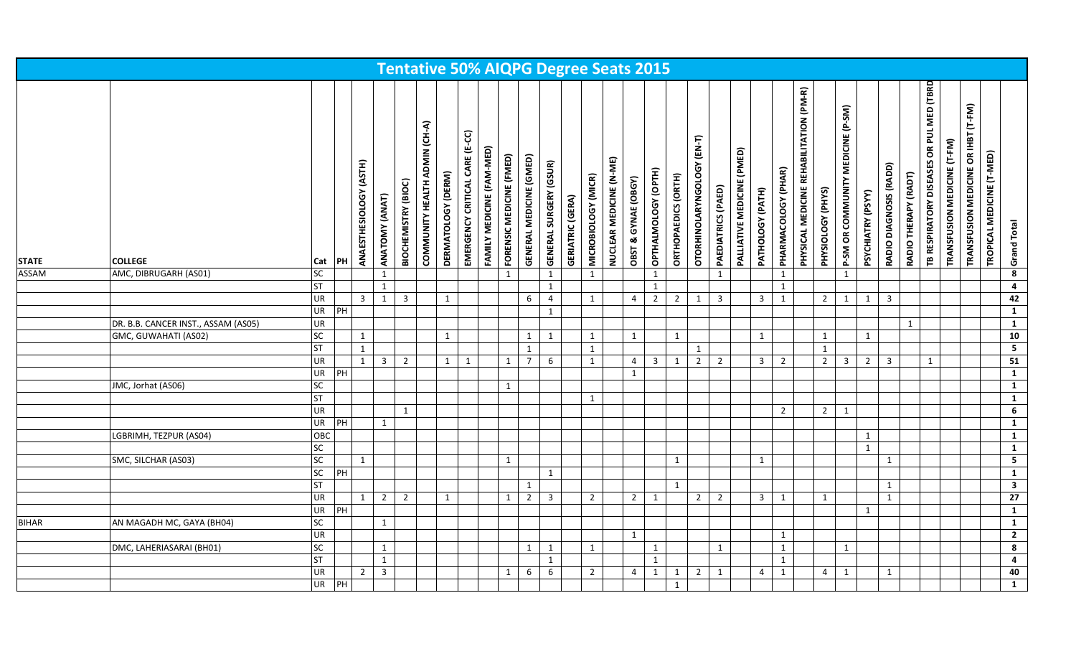| <b>STATE</b> | <b>COLLEGE</b>                      |                                                                                                                                                                                                                                                                                                                                                                                                                                                                                                                                                                                                                                                                                                                                                                                                                       |    |                |                |                |              | $(E-CC)$<br>CARE |              |   |                                                                                                                                                                                                                                                                                                                                                                                                                                                                                                                                                                                                                                                                                                                                                                                                                                                                                                                                                                                                                                                                                                                                                                                                                                                                                                                                                                                                                                                                                                                                                                                                                                                                                                                                   |  |              |                |              |                |              |   |                         |   |  |              |                |                |  | OR PUL MED (TBRD | TRANSFUSION MEDICINE (T-FM) | TRANSFUSION MEDICINE OR IHBT (T-FM) | TROPICAL MEDICINE (T-MED) | Grand Total             |
|--------------|-------------------------------------|-----------------------------------------------------------------------------------------------------------------------------------------------------------------------------------------------------------------------------------------------------------------------------------------------------------------------------------------------------------------------------------------------------------------------------------------------------------------------------------------------------------------------------------------------------------------------------------------------------------------------------------------------------------------------------------------------------------------------------------------------------------------------------------------------------------------------|----|----------------|----------------|----------------|--------------|------------------|--------------|---|-----------------------------------------------------------------------------------------------------------------------------------------------------------------------------------------------------------------------------------------------------------------------------------------------------------------------------------------------------------------------------------------------------------------------------------------------------------------------------------------------------------------------------------------------------------------------------------------------------------------------------------------------------------------------------------------------------------------------------------------------------------------------------------------------------------------------------------------------------------------------------------------------------------------------------------------------------------------------------------------------------------------------------------------------------------------------------------------------------------------------------------------------------------------------------------------------------------------------------------------------------------------------------------------------------------------------------------------------------------------------------------------------------------------------------------------------------------------------------------------------------------------------------------------------------------------------------------------------------------------------------------------------------------------------------------------------------------------------------------|--|--------------|----------------|--------------|----------------|--------------|---|-------------------------|---|--|--------------|----------------|----------------|--|------------------|-----------------------------|-------------------------------------|---------------------------|-------------------------|
| <b>ASSAM</b> | AMC, DIBRUGARH (AS01)               | <b>SC</b>                                                                                                                                                                                                                                                                                                                                                                                                                                                                                                                                                                                                                                                                                                                                                                                                             |    |                | $\mathbf{1}$   |                |              |                  | $\mathbf{1}$ |   | $\mathbf{1}$                                                                                                                                                                                                                                                                                                                                                                                                                                                                                                                                                                                                                                                                                                                                                                                                                                                                                                                                                                                                                                                                                                                                                                                                                                                                                                                                                                                                                                                                                                                                                                                                                                                                                                                      |  | $\mathbf{1}$ |                | $\mathbf{1}$ |                |              | 1 |                         | 1 |  | $\mathbf{1}$ |                |                |  |                  |                             |                                     |                           | $\overline{\mathbf{8}}$ |
|              |                                     | <b>ST</b>                                                                                                                                                                                                                                                                                                                                                                                                                                                                                                                                                                                                                                                                                                                                                                                                             |    |                | $\mathbf{1}$   |                |              |                  |              |   | $\mathbf{1}$                                                                                                                                                                                                                                                                                                                                                                                                                                                                                                                                                                                                                                                                                                                                                                                                                                                                                                                                                                                                                                                                                                                                                                                                                                                                                                                                                                                                                                                                                                                                                                                                                                                                                                                      |  |              |                | $\mathbf{1}$ |                |              |   |                         | 1 |  |              |                |                |  |                  |                             |                                     |                           | $\overline{4}$          |
|              |                                     |                                                                                                                                                                                                                                                                                                                                                                                                                                                                                                                                                                                                                                                                                                                                                                                                                       |    | 3 <sup>7</sup> | $\mathbf{1}$   | $\overline{3}$ | $\mathbf{1}$ |                  |              | 6 | $\overline{4}$                                                                                                                                                                                                                                                                                                                                                                                                                                                                                                                                                                                                                                                                                                                                                                                                                                                                                                                                                                                                                                                                                                                                                                                                                                                                                                                                                                                                                                                                                                                                                                                                                                                                                                                    |  | $\mathbf{1}$ | $\overline{4}$ |              | $\overline{2}$ | $\mathbf{1}$ |   | $\overline{\mathbf{3}}$ | 1 |  | $\mathbf{1}$ | $\mathbf{1}$   | $\overline{3}$ |  |                  |                             |                                     |                           | 42                      |
|              |                                     |                                                                                                                                                                                                                                                                                                                                                                                                                                                                                                                                                                                                                                                                                                                                                                                                                       |    |                |                |                |              |                  |              |   | $\mathbf{1}$                                                                                                                                                                                                                                                                                                                                                                                                                                                                                                                                                                                                                                                                                                                                                                                                                                                                                                                                                                                                                                                                                                                                                                                                                                                                                                                                                                                                                                                                                                                                                                                                                                                                                                                      |  |              |                |              |                |              |   |                         |   |  |              |                |                |  |                  |                             |                                     |                           | $\mathbf{1}$            |
|              | DR. B.B. CANCER INST., ASSAM (AS05) |                                                                                                                                                                                                                                                                                                                                                                                                                                                                                                                                                                                                                                                                                                                                                                                                                       |    |                |                |                |              |                  |              |   |                                                                                                                                                                                                                                                                                                                                                                                                                                                                                                                                                                                                                                                                                                                                                                                                                                                                                                                                                                                                                                                                                                                                                                                                                                                                                                                                                                                                                                                                                                                                                                                                                                                                                                                                   |  |              |                |              |                |              |   |                         |   |  |              |                |                |  |                  |                             |                                     |                           | $\mathbf{1}$            |
|              | GMC, GUWAHATI (AS02)                |                                                                                                                                                                                                                                                                                                                                                                                                                                                                                                                                                                                                                                                                                                                                                                                                                       |    | $\mathbf{1}$   |                |                | 1            |                  |              | 1 | 1                                                                                                                                                                                                                                                                                                                                                                                                                                                                                                                                                                                                                                                                                                                                                                                                                                                                                                                                                                                                                                                                                                                                                                                                                                                                                                                                                                                                                                                                                                                                                                                                                                                                                                                                 |  | 1            |                |              |                |              |   |                         |   |  |              | 1              |                |  |                  |                             |                                     |                           | 10                      |
|              |                                     |                                                                                                                                                                                                                                                                                                                                                                                                                                                                                                                                                                                                                                                                                                                                                                                                                       |    |                |                |                |              |                  |              |   |                                                                                                                                                                                                                                                                                                                                                                                                                                                                                                                                                                                                                                                                                                                                                                                                                                                                                                                                                                                                                                                                                                                                                                                                                                                                                                                                                                                                                                                                                                                                                                                                                                                                                                                                   |  |              |                |              |                |              |   |                         |   |  |              |                |                |  |                  |                             |                                     |                           | $5\overline{)}$         |
|              |                                     |                                                                                                                                                                                                                                                                                                                                                                                                                                                                                                                                                                                                                                                                                                                                                                                                                       |    |                |                |                |              |                  |              |   | <b>Tentative 50% AIQPG Degree Seats 2015</b><br>PHYSICAL MEDICINE REHABILITATION (PM-R)<br>P-SM OR COMMUNITY MEDICINE (P-SM)<br>OTORHINOLARYNGOLOGY (EN-T)<br><b>PALLIATIVE MEDICINE (PMED)</b><br>GENERAL MEDICINE (GMED)<br>NUCLEAR MEDICINE (N-ME)<br>TB RESPIRATORY DISEASES<br><b>GENERAL SURGERY (GSUR)</b><br>RADIO DIAGNOSIS (RADD)<br>PHARMACOLOGY (PHAR)<br>OPTHALMOLOGY (OPTH)<br>RADIO THERAPY (RADT)<br><b>ORTHOPAEDICS (ORTH)</b><br>MICROBIOLOGY (MICR)<br>OBST & GYNAE (OBGY)<br><b>PAEDIATRICS (PAED)</b><br>PATHOLOGY (PATH)<br>PHYSIOLOGY (PHYS)<br>PSYCHIATRY (PSYY)<br><b>GERIATRIC (GERA)</b><br>$\overline{2}$<br>$\overline{3}$<br>$2^{\circ}$<br>$\mathbf{1}$<br>1<br>$\mathbf{1}$<br>$\mathbf{1}$<br>$\mathbf{1}$<br>$\mathbf{1}$<br>1<br>$\mathbf{1}$<br>$\mathbf{1}$<br>$\overline{7}$<br>6<br>$\mathbf{1}$<br>$\overline{3}$<br>1<br>$\overline{2}$<br>$\overline{2}$<br>$\overline{\mathbf{3}}$<br>$\overline{2}$<br>$\overline{2}$<br>$\overline{\mathbf{3}}$<br>$\mathbf{1}$<br>$\overline{4}$<br>$\overline{2}$<br>$\overline{3}$<br>$\mathbf{1}$<br>1<br>$2^{\circ}$<br>$\overline{2}$<br>$\mathbf{1}$<br>$\mathbf{1}$<br>$\mathbf{1}$<br>1<br>1<br>1<br>$\mathbf{1}$<br>$\mathbf{1}$<br>1<br>1<br>$\overline{2}$<br>3<br>$\overline{2}$<br>$\overline{2}$<br>$\overline{\mathbf{3}}$<br>$\mathbf{1}$<br>$\overline{2}$<br>$2^{\circ}$<br>1<br>$\mathbf{1}$<br>1<br>$\mathbf{1}$<br>$\mathbf{1}$<br>1<br>$\mathbf{1}$<br>$\mathbf{1}$<br>$\mathbf{1}$<br>1<br>$\mathbf{1}$<br>1<br>$\mathbf{1}$<br>$\mathbf{1}$<br>$\mathbf{1}$<br>1<br>6<br>6<br>$\overline{2}$<br>$\mathbf{1}$<br>$\mathbf{1}$<br>$\overline{2}$<br>1<br>4<br>1<br>$\overline{4}$<br>$\overline{4}$<br>1<br>1<br>$\mathbf{1}$ |  |              |                | 51           |                |              |   |                         |   |  |              |                |                |  |                  |                             |                                     |                           |                         |
|              |                                     | COMMUNITY HEALTH ADMIN (CH-A)<br>FAMILY MEDICINE (FAM-MED)<br>FORENSIC MEDICINE (FMED)<br>ANAESTHESIOLOGY (ASTH)<br>DERMATOLOGY (DERM)<br>EMERGENCY CRITICAL<br>BIOCHEMISTRY (BIOC)<br>ANATOMY (ANAT)<br>PH<br>Cat<br><b>UR</b><br><b>UR</b><br>PH<br><b>UR</b><br> SC<br><b>ST</b><br>$\mathbf{1}$<br><b>UR</b><br>$\mathbf{1}$<br>$\overline{3}$<br>$\overline{2}$<br>$1 \mid$<br>1<br>$\mathbf{1}$<br><b>UR</b><br>PH<br><b>SC</b><br>1<br><b>ST</b><br><b>UR</b><br>1<br><b>UR</b><br>$\overline{P}$<br>$\mathbf{1}$<br>OBC<br>$\overline{\mathsf{sc}}$<br>$\overline{SC}$<br>1<br>$\mathbf{1}$<br> SC<br>PH<br>ST<br>UR<br>$2^{\circ}$<br>$\overline{2}$<br>$\mathbf{1}$<br>$\mathbf{1}$<br>$\mathbf{1}$<br>UR<br>$\overline{P}$<br>SC<br>$\mathbf{1}$<br>UR<br> SC<br>$\mathbf{1}$<br>$\mathbf{1}$<br><b>ST</b> |    |                |                |                |              |                  |              |   |                                                                                                                                                                                                                                                                                                                                                                                                                                                                                                                                                                                                                                                                                                                                                                                                                                                                                                                                                                                                                                                                                                                                                                                                                                                                                                                                                                                                                                                                                                                                                                                                                                                                                                                                   |  |              |                |              |                |              |   |                         |   |  |              | $\overline{1}$ |                |  |                  |                             |                                     |                           |                         |
|              | JMC, Jorhat (AS06)                  |                                                                                                                                                                                                                                                                                                                                                                                                                                                                                                                                                                                                                                                                                                                                                                                                                       |    |                |                |                |              |                  |              |   |                                                                                                                                                                                                                                                                                                                                                                                                                                                                                                                                                                                                                                                                                                                                                                                                                                                                                                                                                                                                                                                                                                                                                                                                                                                                                                                                                                                                                                                                                                                                                                                                                                                                                                                                   |  |              |                |              |                | $\mathbf{1}$ |   |                         |   |  |              |                |                |  |                  |                             |                                     |                           |                         |
|              |                                     |                                                                                                                                                                                                                                                                                                                                                                                                                                                                                                                                                                                                                                                                                                                                                                                                                       |    |                |                |                |              |                  |              |   |                                                                                                                                                                                                                                                                                                                                                                                                                                                                                                                                                                                                                                                                                                                                                                                                                                                                                                                                                                                                                                                                                                                                                                                                                                                                                                                                                                                                                                                                                                                                                                                                                                                                                                                                   |  |              |                |              |                |              |   |                         |   |  |              |                |                |  |                  |                             |                                     |                           | $\mathbf{1}$            |
|              |                                     |                                                                                                                                                                                                                                                                                                                                                                                                                                                                                                                                                                                                                                                                                                                                                                                                                       |    |                |                |                |              |                  |              |   |                                                                                                                                                                                                                                                                                                                                                                                                                                                                                                                                                                                                                                                                                                                                                                                                                                                                                                                                                                                                                                                                                                                                                                                                                                                                                                                                                                                                                                                                                                                                                                                                                                                                                                                                   |  |              |                |              |                |              |   |                         |   |  |              |                |                |  |                  |                             |                                     |                           | $6\overline{6}$         |
|              |                                     |                                                                                                                                                                                                                                                                                                                                                                                                                                                                                                                                                                                                                                                                                                                                                                                                                       |    |                |                |                |              |                  |              |   |                                                                                                                                                                                                                                                                                                                                                                                                                                                                                                                                                                                                                                                                                                                                                                                                                                                                                                                                                                                                                                                                                                                                                                                                                                                                                                                                                                                                                                                                                                                                                                                                                                                                                                                                   |  |              |                |              |                |              |   |                         |   |  |              |                |                |  |                  |                             |                                     |                           | $\overline{1}$          |
|              | LGBRIMH, TEZPUR (AS04)              |                                                                                                                                                                                                                                                                                                                                                                                                                                                                                                                                                                                                                                                                                                                                                                                                                       |    |                |                |                |              |                  |              |   |                                                                                                                                                                                                                                                                                                                                                                                                                                                                                                                                                                                                                                                                                                                                                                                                                                                                                                                                                                                                                                                                                                                                                                                                                                                                                                                                                                                                                                                                                                                                                                                                                                                                                                                                   |  |              |                |              |                |              |   |                         |   |  |              |                |                |  |                  |                             |                                     |                           | $\overline{1}$          |
|              |                                     |                                                                                                                                                                                                                                                                                                                                                                                                                                                                                                                                                                                                                                                                                                                                                                                                                       |    |                |                |                |              |                  |              |   |                                                                                                                                                                                                                                                                                                                                                                                                                                                                                                                                                                                                                                                                                                                                                                                                                                                                                                                                                                                                                                                                                                                                                                                                                                                                                                                                                                                                                                                                                                                                                                                                                                                                                                                                   |  |              |                |              |                |              |   |                         |   |  |              |                |                |  |                  |                             |                                     |                           | $\overline{1}$          |
|              | SMC, SILCHAR (AS03)                 |                                                                                                                                                                                                                                                                                                                                                                                                                                                                                                                                                                                                                                                                                                                                                                                                                       |    |                |                |                |              |                  |              |   |                                                                                                                                                                                                                                                                                                                                                                                                                                                                                                                                                                                                                                                                                                                                                                                                                                                                                                                                                                                                                                                                                                                                                                                                                                                                                                                                                                                                                                                                                                                                                                                                                                                                                                                                   |  |              |                |              |                |              |   |                         |   |  |              |                |                |  |                  |                             |                                     |                           | $\overline{\mathbf{5}}$ |
|              |                                     |                                                                                                                                                                                                                                                                                                                                                                                                                                                                                                                                                                                                                                                                                                                                                                                                                       |    |                |                |                |              |                  |              |   |                                                                                                                                                                                                                                                                                                                                                                                                                                                                                                                                                                                                                                                                                                                                                                                                                                                                                                                                                                                                                                                                                                                                                                                                                                                                                                                                                                                                                                                                                                                                                                                                                                                                                                                                   |  |              |                |              |                |              |   |                         |   |  |              |                |                |  |                  |                             |                                     |                           | $\overline{1}$          |
|              |                                     |                                                                                                                                                                                                                                                                                                                                                                                                                                                                                                                                                                                                                                                                                                                                                                                                                       |    |                |                |                |              |                  |              |   |                                                                                                                                                                                                                                                                                                                                                                                                                                                                                                                                                                                                                                                                                                                                                                                                                                                                                                                                                                                                                                                                                                                                                                                                                                                                                                                                                                                                                                                                                                                                                                                                                                                                                                                                   |  |              |                |              |                |              |   |                         |   |  |              |                |                |  |                  |                             |                                     |                           | $\overline{\mathbf{3}}$ |
|              |                                     |                                                                                                                                                                                                                                                                                                                                                                                                                                                                                                                                                                                                                                                                                                                                                                                                                       |    |                |                |                |              |                  |              |   |                                                                                                                                                                                                                                                                                                                                                                                                                                                                                                                                                                                                                                                                                                                                                                                                                                                                                                                                                                                                                                                                                                                                                                                                                                                                                                                                                                                                                                                                                                                                                                                                                                                                                                                                   |  |              |                |              |                |              |   |                         |   |  |              |                |                |  |                  |                             |                                     |                           | $\overline{27}$         |
|              |                                     |                                                                                                                                                                                                                                                                                                                                                                                                                                                                                                                                                                                                                                                                                                                                                                                                                       |    |                |                |                |              |                  |              |   |                                                                                                                                                                                                                                                                                                                                                                                                                                                                                                                                                                                                                                                                                                                                                                                                                                                                                                                                                                                                                                                                                                                                                                                                                                                                                                                                                                                                                                                                                                                                                                                                                                                                                                                                   |  |              |                |              |                |              |   |                         |   |  |              |                |                |  |                  |                             |                                     |                           | $\mathbf{1}$            |
| <b>BIHAR</b> | AN MAGADH MC, GAYA (BH04)           |                                                                                                                                                                                                                                                                                                                                                                                                                                                                                                                                                                                                                                                                                                                                                                                                                       |    |                |                |                |              |                  |              |   |                                                                                                                                                                                                                                                                                                                                                                                                                                                                                                                                                                                                                                                                                                                                                                                                                                                                                                                                                                                                                                                                                                                                                                                                                                                                                                                                                                                                                                                                                                                                                                                                                                                                                                                                   |  |              |                |              |                |              |   |                         |   |  |              |                |                |  |                  |                             |                                     |                           | $\overline{1}$          |
|              |                                     |                                                                                                                                                                                                                                                                                                                                                                                                                                                                                                                                                                                                                                                                                                                                                                                                                       |    |                |                |                |              |                  |              |   |                                                                                                                                                                                                                                                                                                                                                                                                                                                                                                                                                                                                                                                                                                                                                                                                                                                                                                                                                                                                                                                                                                                                                                                                                                                                                                                                                                                                                                                                                                                                                                                                                                                                                                                                   |  |              |                |              |                |              |   |                         |   |  |              |                |                |  |                  |                             |                                     |                           | $\overline{2}$          |
|              | DMC, LAHERIASARAI (BH01)            |                                                                                                                                                                                                                                                                                                                                                                                                                                                                                                                                                                                                                                                                                                                                                                                                                       |    |                |                |                |              |                  |              |   |                                                                                                                                                                                                                                                                                                                                                                                                                                                                                                                                                                                                                                                                                                                                                                                                                                                                                                                                                                                                                                                                                                                                                                                                                                                                                                                                                                                                                                                                                                                                                                                                                                                                                                                                   |  |              |                |              |                |              |   |                         |   |  |              |                |                |  |                  |                             |                                     |                           | 8                       |
|              |                                     |                                                                                                                                                                                                                                                                                                                                                                                                                                                                                                                                                                                                                                                                                                                                                                                                                       |    |                |                |                |              |                  |              |   |                                                                                                                                                                                                                                                                                                                                                                                                                                                                                                                                                                                                                                                                                                                                                                                                                                                                                                                                                                                                                                                                                                                                                                                                                                                                                                                                                                                                                                                                                                                                                                                                                                                                                                                                   |  |              |                |              |                |              |   |                         |   |  |              |                |                |  |                  |                             |                                     |                           | $\overline{4}$          |
|              |                                     | <b>UR</b>                                                                                                                                                                                                                                                                                                                                                                                                                                                                                                                                                                                                                                                                                                                                                                                                             |    | $\overline{2}$ | $\overline{3}$ |                |              |                  | 1            |   |                                                                                                                                                                                                                                                                                                                                                                                                                                                                                                                                                                                                                                                                                                                                                                                                                                                                                                                                                                                                                                                                                                                                                                                                                                                                                                                                                                                                                                                                                                                                                                                                                                                                                                                                   |  |              |                |              |                |              |   |                         |   |  |              |                |                |  |                  |                             |                                     |                           | 40                      |
|              |                                     | <b>UR</b>                                                                                                                                                                                                                                                                                                                                                                                                                                                                                                                                                                                                                                                                                                                                                                                                             | PH |                |                |                |              |                  |              |   |                                                                                                                                                                                                                                                                                                                                                                                                                                                                                                                                                                                                                                                                                                                                                                                                                                                                                                                                                                                                                                                                                                                                                                                                                                                                                                                                                                                                                                                                                                                                                                                                                                                                                                                                   |  |              |                |              |                |              |   |                         |   |  |              |                |                |  |                  |                             |                                     |                           | $\mathbf{1}$            |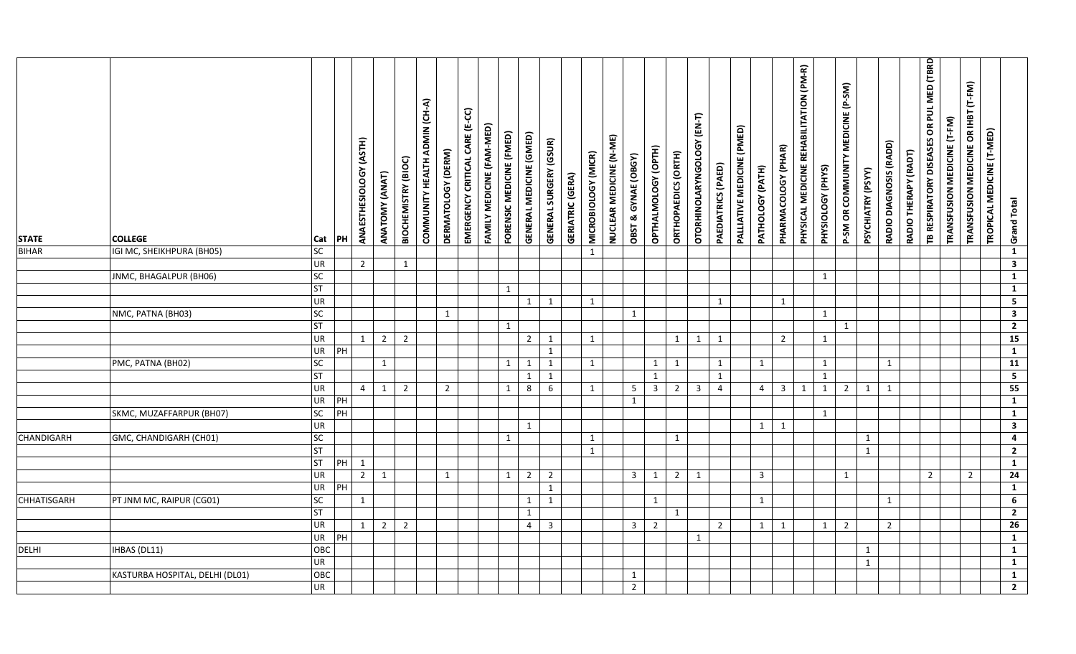| <b>STATE</b><br><b>BIHAR</b> | <b>COLLEGE</b><br>IGI MC, SHEIKHPURA (BH05) | Cat<br>SC             | PH     | ANAESTHESIOLOGY (ASTH) | ANATOMY (ANAT) | BIOCHEMISTRY (BIOC) | COMMUNITY HEALTH ADMIN (CH-A) | DERMATOLOGY (DERM) | EMERGENCY CRITICAL CARE (E-CC) | FAMILY MEDICINE (FAM-MED) | FORENSIC MEDICINE (FMED) | <b>GENERAL MEDICINE (GMED)</b> | <b>GENERAL SURGERY (GSUR)</b> | <b>GERIATRIC (GERA)</b> | MICROBIOLOGY (MICR)<br>$\mathbf{1}$ | NUCLEAR MEDICINE (N-ME) | OBST & GYNAE (OBGY) | OPTHALMOLOGY (OPTH) | ORTHOPAEDICS (ORTH) | OTORHINOLARYNGOLOGY (EN-T) | PAEDIATRICS (PAED) | PALLIATIVE MEDICINE (PMED) | PATHOLOGY (PATH) | PHARMACOLOGY (PHAR) | PHYSICAL MEDICINE REHABILITATION (PM-R) | PHYSIOLOGY (PHYS) | P-SM OR COMMUNITY MEDICINE (P-SM) | PSYCHIATRY (PSYY) | RADIO DIAGNOSIS (RADD) | RADIO THERAPY (RADT) | TB RESPIRATORY DISEASES OR PUL MED (TBRD | TRANSFUSION MEDICINE (T-FM) | TRANSFUSION MEDICINE OR IHBT (T-FM) | TROPICAL MEDICINE (T-MED) | <b>Grand Total</b><br>$\mathbf{1}$        |
|------------------------------|---------------------------------------------|-----------------------|--------|------------------------|----------------|---------------------|-------------------------------|--------------------|--------------------------------|---------------------------|--------------------------|--------------------------------|-------------------------------|-------------------------|-------------------------------------|-------------------------|---------------------|---------------------|---------------------|----------------------------|--------------------|----------------------------|------------------|---------------------|-----------------------------------------|-------------------|-----------------------------------|-------------------|------------------------|----------------------|------------------------------------------|-----------------------------|-------------------------------------|---------------------------|-------------------------------------------|
|                              |                                             | UR                    |        | $\overline{2}$         |                | 1                   |                               |                    |                                |                           |                          |                                |                               |                         |                                     |                         |                     |                     |                     |                            |                    |                            |                  |                     |                                         |                   |                                   |                   |                        |                      |                                          |                             |                                     |                           | $\overline{\mathbf{3}}$                   |
|                              | JNMC, BHAGALPUR (BH06)                      | $\overline{SC}$       |        |                        |                |                     |                               |                    |                                |                           |                          |                                |                               |                         |                                     |                         |                     |                     |                     |                            |                    |                            |                  |                     |                                         | $\mathbf{1}$      |                                   |                   |                        |                      |                                          |                             |                                     |                           | $\mathbf{1}$                              |
|                              |                                             | ST                    |        |                        |                |                     |                               |                    |                                |                           | $\mathbf{1}$             |                                |                               |                         |                                     |                         |                     |                     |                     |                            |                    |                            |                  |                     |                                         |                   |                                   |                   |                        |                      |                                          |                             |                                     |                           | $\mathbf{1}$                              |
|                              |                                             | UR                    |        |                        |                |                     |                               |                    |                                |                           |                          | $\mathbf{1}$                   | $\mathbf{1}$                  |                         | $\mathbf{1}$                        |                         |                     |                     |                     |                            | 1                  |                            |                  | 1                   |                                         |                   |                                   |                   |                        |                      |                                          |                             |                                     |                           | $\overline{\mathbf{5}}$                   |
|                              | NMC, PATNA (BH03)                           | SC                    |        |                        |                |                     |                               | $\mathbf{1}$       |                                |                           |                          |                                |                               |                         |                                     |                         | $\mathbf{1}$        |                     |                     |                            |                    |                            |                  |                     |                                         | 1                 |                                   |                   |                        |                      |                                          |                             |                                     |                           | $\overline{\mathbf{3}}$                   |
|                              |                                             | ST                    |        |                        |                |                     |                               |                    |                                |                           | $\mathbf{1}$             |                                |                               |                         |                                     |                         |                     |                     |                     |                            |                    |                            |                  |                     |                                         |                   | 1                                 |                   |                        |                      |                                          |                             |                                     |                           | $\overline{2}$                            |
|                              |                                             | UR                    |        | 1                      | $\overline{2}$ | $\overline{2}$      |                               |                    |                                |                           |                          | $\overline{2}$                 | 1                             |                         | $\mathbf{1}$                        |                         |                     |                     | $\mathbf{1}$        | $\mathbf{1}$               | 1                  |                            |                  | $\overline{2}$      |                                         | 1                 |                                   |                   |                        |                      |                                          |                             |                                     |                           | 15                                        |
|                              |                                             | UR                    | PH     |                        |                |                     |                               |                    |                                |                           |                          |                                | $\mathbf{1}$                  |                         |                                     |                         |                     |                     |                     |                            |                    |                            |                  |                     |                                         |                   |                                   |                   |                        |                      |                                          |                             |                                     |                           | $\overline{1}$                            |
|                              | PMC, PATNA (BH02)                           | SC                    |        |                        | $\mathbf{1}$   |                     |                               |                    |                                |                           | $\mathbf{1}$             | $\mathbf{1}$                   | $\mathbf{1}$                  |                         | $\mathbf{1}$                        |                         |                     | 1                   | 1                   |                            | 1                  |                            | 1                |                     |                                         | 1                 |                                   |                   | $\mathbf{1}$           |                      |                                          |                             |                                     |                           | $\overline{11}$                           |
|                              |                                             | <b>ST</b>             |        |                        |                |                     |                               |                    |                                |                           |                          | $\mathbf 1$                    | $\mathbf 1$                   |                         |                                     |                         |                     | $\mathbf{1}$        |                     |                            | $\mathbf{1}$       |                            |                  |                     |                                         | $\mathbf{1}$      |                                   |                   |                        |                      |                                          |                             |                                     |                           | $\overline{\mathbf{5}}$                   |
|                              |                                             | UR                    |        | $\overline{4}$         | $\mathbf{1}$   | $\overline{2}$      |                               | $\overline{2}$     |                                |                           | $\mathbf{1}$             | 8                              | 6                             |                         | $\mathbf{1}$                        |                         | 5                   | $\overline{3}$      | $\overline{2}$      | $\overline{\mathbf{3}}$    | $\overline{4}$     |                            | $\overline{4}$   | $\overline{3}$      | 1                                       | 1                 | $\overline{2}$                    | $\mathbf{1}$      | 1                      |                      |                                          |                             |                                     |                           | 55                                        |
|                              |                                             | UR                    | PH     |                        |                |                     |                               |                    |                                |                           |                          |                                |                               |                         |                                     |                         | 1                   |                     |                     |                            |                    |                            |                  |                     |                                         |                   |                                   |                   |                        |                      |                                          |                             |                                     |                           | $\overline{1}$                            |
|                              | SKMC, MUZAFFARPUR (BH07)                    | $\overline{SC}$<br>UR | PH     |                        |                |                     |                               |                    |                                |                           |                          |                                |                               |                         |                                     |                         |                     |                     |                     |                            |                    |                            |                  |                     |                                         | $\mathbf{1}$      |                                   |                   |                        |                      |                                          |                             |                                     |                           | $\overline{1}$<br>$\overline{\mathbf{3}}$ |
| CHANDIGARH                   |                                             | $\overline{SC}$       |        |                        |                |                     |                               |                    |                                |                           | $\mathbf{1}$             | 1                              |                               |                         | $\mathbf{1}$                        |                         |                     |                     | $\mathbf{1}$        |                            |                    |                            | 1                | 1                   |                                         |                   |                                   | 1                 |                        |                      |                                          |                             |                                     |                           | $\overline{4}$                            |
|                              | GMC, CHANDIGARH (CH01)                      | ST                    |        |                        |                |                     |                               |                    |                                |                           |                          |                                |                               |                         | $\mathbf{1}$                        |                         |                     |                     |                     |                            |                    |                            |                  |                     |                                         |                   |                                   | $\mathbf{1}$      |                        |                      |                                          |                             |                                     |                           | $\overline{2}$                            |
|                              |                                             | ST                    | $PH$ 1 |                        |                |                     |                               |                    |                                |                           |                          |                                |                               |                         |                                     |                         |                     |                     |                     |                            |                    |                            |                  |                     |                                         |                   |                                   |                   |                        |                      |                                          |                             |                                     |                           | $\mathbf{1}$                              |
|                              |                                             | <b>UR</b>             |        | $\overline{2}$         | $\overline{1}$ |                     |                               | 1                  |                                |                           | $\mathbf{1}$             | $\overline{2}$                 | $\overline{2}$                |                         |                                     |                         | 3 <sup>7</sup>      | $\mathbf{1}$        | $2^{\circ}$         | 1                          |                    |                            | $\overline{3}$   |                     |                                         |                   | $\mathbf{1}$                      |                   |                        |                      | $2^{\circ}$                              |                             | $2^{\circ}$                         |                           | 24                                        |
|                              |                                             | UR                    | PH     |                        |                |                     |                               |                    |                                |                           |                          |                                | $\mathbf{1}$                  |                         |                                     |                         |                     |                     |                     |                            |                    |                            |                  |                     |                                         |                   |                                   |                   |                        |                      |                                          |                             |                                     |                           | $\mathbf{1}$                              |
| <b>CHHATISGARH</b>           | PT JNM MC, RAIPUR (CG01)                    | SC                    |        | 1                      |                |                     |                               |                    |                                |                           |                          | $\mathbf{1}$                   | $\mathbf{1}$                  |                         |                                     |                         |                     | $\mathbf{1}$        |                     |                            |                    |                            | 1                |                     |                                         |                   |                                   |                   | $\mathbf{1}$           |                      |                                          |                             |                                     |                           | $6\overline{6}$                           |
|                              |                                             | <b>ST</b>             |        |                        |                |                     |                               |                    |                                |                           |                          | $\mathbf{1}$                   |                               |                         |                                     |                         |                     |                     | $\mathbf{1}$        |                            |                    |                            |                  |                     |                                         |                   |                                   |                   |                        |                      |                                          |                             |                                     |                           | $\overline{2}$                            |
|                              |                                             | UR                    |        | 1                      | $\overline{2}$ | $\overline{2}$      |                               |                    |                                |                           |                          | $\overline{4}$                 | 3                             |                         |                                     |                         | 3                   | $\overline{2}$      |                     |                            | $\overline{2}$     |                            | 1                | 1                   |                                         | 1                 | $\overline{2}$                    |                   | $\overline{2}$         |                      |                                          |                             |                                     |                           | $\overline{26}$                           |
|                              |                                             | UR                    | PH     |                        |                |                     |                               |                    |                                |                           |                          |                                |                               |                         |                                     |                         |                     |                     |                     | 1                          |                    |                            |                  |                     |                                         |                   |                                   |                   |                        |                      |                                          |                             |                                     |                           | $\mathbf{1}$                              |
| DELHI                        | <b>IHBAS (DL11)</b>                         | OBC                   |        |                        |                |                     |                               |                    |                                |                           |                          |                                |                               |                         |                                     |                         |                     |                     |                     |                            |                    |                            |                  |                     |                                         |                   |                                   | $\mathbf{1}$      |                        |                      |                                          |                             |                                     |                           | $\mathbf{1}$                              |
|                              |                                             | UR                    |        |                        |                |                     |                               |                    |                                |                           |                          |                                |                               |                         |                                     |                         |                     |                     |                     |                            |                    |                            |                  |                     |                                         |                   |                                   | $\mathbf{1}$      |                        |                      |                                          |                             |                                     |                           | $\mathbf{1}$                              |
|                              | KASTURBA HOSPITAL, DELHI (DL01)             | ${\sf OBC}$           |        |                        |                |                     |                               |                    |                                |                           |                          |                                |                               |                         |                                     |                         | $\mathbf{1}$        |                     |                     |                            |                    |                            |                  |                     |                                         |                   |                                   |                   |                        |                      |                                          |                             |                                     |                           | $\mathbf{1}$                              |
|                              |                                             | UR                    |        |                        |                |                     |                               |                    |                                |                           |                          |                                |                               |                         |                                     |                         | $\overline{2}$      |                     |                     |                            |                    |                            |                  |                     |                                         |                   |                                   |                   |                        |                      |                                          |                             |                                     |                           | $\overline{2}$                            |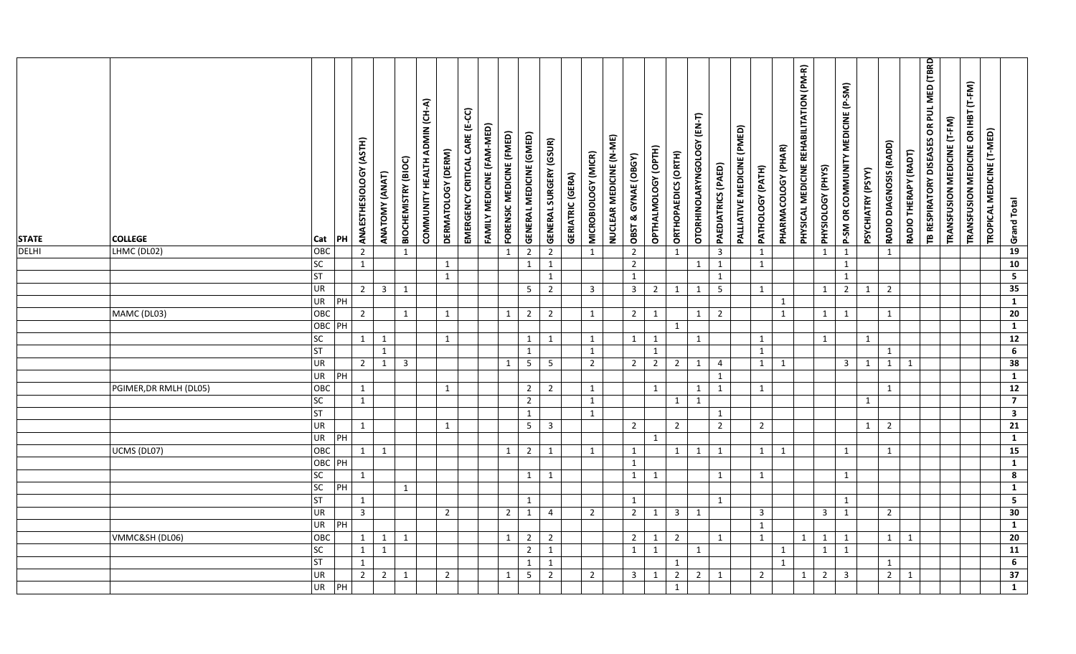| <b>STATE</b> | <b>COLLEGE</b>         | Cat                                | PH | ANAESTHESIOLOGY (ASTH) | ANATOMY (ANAT) | BIOCHEMISTRY (BIOC) | COMMUNITY HEALTH ADMIN (CH-A) | DERMATOLOGY (DERM)           | EMERGENCY CRITICAL CARE (E-CC) | FAMILY MEDICINE (FAM-MED) | FORENSIC MEDICINE (FMED) | <b>GENERAL MEDICINE (GMED)</b> | <b>GENERAL SURGERY (GSUR)</b> | <b>GERIATRIC (GERA)</b> | MICROBIOLOGY (MICR) | NUCLEAR MEDICINE (N-ME) | OBST & GYNAE (OBGY)            | OPTHALMOLOGY (OPTH) | ORTHOPAEDICS (ORTH)     | OTORHINOLARYNGOLOGY (EN-T) | PAEDIATRICS (PAED)           | PALLIATIVE MEDICINE (PMED) | PATHOLOGY (PATH) | PHARMACOLOGY (PHAR) | PHYSICAL MEDICINE REHABILITATION (PM-R) | PHYSIOLOGY (PHYS) | P-SM OR COMMUNITY MEDICINE (P-SM) | PSYCHIATRY (PSYY) | RADIO DIAGNOSIS (RADD) | RADIO THERAPY (RADT) | TB RESPIRATORY DISEASES OR PUL MED (TBRD | TRANSFUSION MEDICINE (T-FM) | TRANSFUSION MEDICINE OR IHBT (T-FM) | TROPICAL MEDICINE (T-MED) | Grand Total                               |  |
|--------------|------------------------|------------------------------------|----|------------------------|----------------|---------------------|-------------------------------|------------------------------|--------------------------------|---------------------------|--------------------------|--------------------------------|-------------------------------|-------------------------|---------------------|-------------------------|--------------------------------|---------------------|-------------------------|----------------------------|------------------------------|----------------------------|------------------|---------------------|-----------------------------------------|-------------------|-----------------------------------|-------------------|------------------------|----------------------|------------------------------------------|-----------------------------|-------------------------------------|---------------------------|-------------------------------------------|--|
| <b>DELHI</b> | LHMC (DL02)            | OBC<br>SC                          |    | $\overline{2}$         |                | 1                   |                               |                              |                                |                           | $1\,$                    | $\overline{2}$                 | $\overline{2}$                |                         | $\mathbf{1}$        |                         | $\overline{2}$                 |                     | $\mathbf{1}$            | $\mathbf{1}$               | $\overline{\mathbf{3}}$      |                            | $\mathbf{1}$     |                     |                                         | $\mathbf{1}$      | $\mathbf{1}$<br>$\mathbf{1}$      |                   | $\mathbf{1}$           |                      |                                          |                             |                                     |                           | 19<br>10                                  |  |
|              |                        | <b>ST</b>                          |    | $\mathbf{1}$           |                |                     |                               | $\mathbf{1}$<br>$\mathbf{1}$ |                                |                           |                          | $\mathbf{1}$                   | $\mathbf{1}$<br>$\mathbf{1}$  |                         |                     |                         | $\overline{2}$<br>$\mathbf{1}$ |                     |                         |                            | $\mathbf{1}$<br>$\mathbf{1}$ |                            | $\mathbf{1}$     |                     |                                         |                   | $\mathbf{1}$                      |                   |                        |                      |                                          |                             |                                     |                           | $\overline{\mathbf{5}}$                   |  |
|              |                        | UR                                 |    | $2 \mid$               | 3 <sup>1</sup> | 1                   |                               |                              |                                |                           |                          | 5 <sub>1</sub>                 | $\overline{2}$                |                         | $\overline{3}$      |                         | $\overline{3}$                 | $\overline{2}$      | $\mathbf{1}$            | 1                          | $5\phantom{.0}$              |                            | 1                |                     |                                         | 1                 | $\overline{2}$                    | $\mathbf{1}$      | $\overline{2}$         |                      |                                          |                             |                                     |                           | 35                                        |  |
|              |                        | UR                                 | PH |                        |                |                     |                               |                              |                                |                           |                          |                                |                               |                         |                     |                         |                                |                     |                         |                            |                              |                            |                  | $\mathbf{1}$        |                                         |                   |                                   |                   |                        |                      |                                          |                             |                                     |                           | $\overline{1}$                            |  |
|              | MAMC (DL03)            | OBC                                |    | $\overline{2}$         |                | $\mathbf{1}$        |                               | $\mathbf{1}$                 |                                |                           | $\mathbf{1}$             | $2^{\circ}$                    | $\overline{2}$                |                         | $\mathbf{1}$        |                         | $2^{\circ}$                    | 1                   |                         | $\mathbf{1}$               | $\overline{2}$               |                            |                  | $\mathbf{1}$        |                                         | 1                 | 1                                 |                   | $\mathbf{1}$           |                      |                                          |                             |                                     |                           | 20                                        |  |
|              |                        | OBC PH                             |    |                        |                |                     |                               |                              |                                |                           |                          |                                |                               |                         |                     |                         |                                |                     | $\mathbf{1}$            |                            |                              |                            |                  |                     |                                         |                   |                                   |                   |                        |                      |                                          |                             |                                     |                           | $\overline{1}$                            |  |
|              |                        | $\overline{SC}$                    |    | $\mathbf{1}$           | $\mathbf{1}$   |                     |                               | $\mathbf{1}$                 |                                |                           |                          | $\mathbf{1}$                   | $\mathbf{1}$                  |                         | $\mathbf{1}$        |                         | $\mathbf{1}$                   | 1                   |                         | 1                          |                              |                            | 1                |                     |                                         | 1                 |                                   | $\mathbf{1}$      |                        |                      |                                          |                             |                                     |                           | $\overline{12}$                           |  |
|              |                        | ST                                 |    |                        | $\mathbf{1}$   |                     |                               |                              |                                |                           |                          | $\mathbf{1}$                   |                               |                         | $\mathbf{1}$        |                         |                                | $\mathbf{1}$        |                         |                            |                              |                            | $\mathbf{1}$     |                     |                                         |                   |                                   |                   | $\mathbf{1}$           |                      |                                          |                             |                                     |                           | 6 <sup>2</sup>                            |  |
|              |                        | UR                                 |    | $2^{\circ}$            | $\mathbf{1}$   | $\overline{3}$      |                               |                              |                                |                           | $\mathbf{1}$             | $5\phantom{.0}$                | $5\phantom{.}$                |                         | $\overline{2}$      |                         | $\overline{2}$                 | $\overline{2}$      | $\overline{2}$          | $\mathbf{1}$               | $\overline{4}$               |                            | $\mathbf{1}$     | 1                   |                                         |                   | $\overline{3}$                    | $\mathbf{1}$      | $\mathbf{1}$           | 1                    |                                          |                             |                                     |                           | 38                                        |  |
|              |                        | $\overline{\mathsf{UR}}$           | PH |                        |                |                     |                               |                              |                                |                           |                          |                                |                               |                         |                     |                         |                                |                     |                         |                            | $\mathbf{1}$                 |                            |                  |                     |                                         |                   |                                   |                   |                        |                      |                                          |                             |                                     |                           | $\overline{1}$                            |  |
|              | PGIMER, DR RMLH (DL05) | OBC                                |    | 1                      |                |                     |                               | $\mathbf{1}$                 |                                |                           |                          | $\overline{2}$                 | $\overline{2}$                |                         | 1                   |                         |                                | 1                   |                         | 1                          | 1                            |                            | 1                |                     |                                         |                   |                                   |                   | $\mathbf{1}$           |                      |                                          |                             |                                     |                           | 12                                        |  |
|              |                        | $\overline{SC}$                    |    | $\mathbf{1}$           |                |                     |                               |                              |                                |                           |                          | $\overline{2}$                 |                               |                         | $\mathbf{1}$        |                         |                                |                     | $\mathbf{1}$            | $\mathbf{1}$               |                              |                            |                  |                     |                                         |                   |                                   | $\mathbf{1}$      |                        |                      |                                          |                             |                                     |                           | $\overline{7}$                            |  |
|              |                        | ST                                 |    |                        |                |                     |                               |                              |                                |                           |                          | $\mathbf{1}$                   |                               |                         | $\mathbf{1}$        |                         |                                |                     |                         |                            | 1                            |                            |                  |                     |                                         |                   |                                   |                   |                        |                      |                                          |                             |                                     |                           | $\overline{\mathbf{3}}$                   |  |
|              |                        | UR                                 |    | $\mathbf{1}$           |                |                     |                               | $\mathbf{1}$                 |                                |                           |                          | 5 <sub>1</sub>                 | $\mathbf{3}$                  |                         |                     |                         | $\overline{2}$                 |                     | $\overline{2}$          |                            | $\overline{2}$               |                            | $\overline{2}$   |                     |                                         |                   |                                   | $\mathbf{1}$      | $\overline{2}$         |                      |                                          |                             |                                     |                           | $\overline{21}$                           |  |
|              |                        | UR                                 | PH |                        |                |                     |                               |                              |                                |                           |                          |                                |                               |                         |                     |                         |                                | $\mathbf{1}$        |                         |                            |                              |                            |                  |                     |                                         |                   |                                   |                   |                        |                      |                                          |                             |                                     |                           | $\mathbf{1}$                              |  |
|              | UCMS (DL07)            | OBC                                |    | 1                      | $\overline{1}$ |                     |                               |                              |                                |                           | $\mathbf{1}$             | $2^{\circ}$                    | $\mathbf{1}$                  |                         | $\mathbf{1}$        |                         | $\mathbf{1}$                   |                     | 1                       | 1                          | 1                            |                            | 1                | 1                   |                                         |                   | $\mathbf{1}$                      |                   | $\mathbf{1}$           |                      |                                          |                             |                                     |                           | 15                                        |  |
|              |                        | OBC PH<br>$\overline{\mathsf{sc}}$ |    |                        |                |                     |                               |                              |                                |                           |                          |                                |                               |                         |                     |                         | $\mathbf{1}$                   |                     |                         |                            |                              |                            |                  |                     |                                         |                   |                                   |                   |                        |                      |                                          |                             |                                     |                           | $\overline{1}$                            |  |
|              |                        | SC                                 | PH | 1                      |                |                     |                               |                              |                                |                           |                          | $\mathbf{1}$                   | $\mathbf{1}$                  |                         |                     |                         | $\mathbf{1}$                   | 1                   |                         |                            | 1                            |                            | 1                |                     |                                         |                   | $\mathbf{1}$                      |                   |                        |                      |                                          |                             |                                     |                           | $\overline{\mathbf{8}}$<br>$\overline{1}$ |  |
|              |                        | <b>ST</b>                          |    | 1                      |                | $\mathbf{1}$        |                               |                              |                                |                           |                          | $\mathbf{1}$                   |                               |                         |                     |                         | $\mathbf{1}$                   |                     |                         |                            | 1                            |                            |                  |                     |                                         |                   | 1                                 |                   |                        |                      |                                          |                             |                                     |                           | $\overline{\mathbf{5}}$                   |  |
|              |                        | UR                                 |    | $\overline{3}$         |                |                     |                               | $\overline{2}$               |                                |                           | $\overline{2}$           | $\mathbf{1}$                   | $\overline{4}$                |                         | $\overline{2}$      |                         | $\overline{2}$                 | 1                   | $\overline{\mathbf{3}}$ | 1                          |                              |                            | $\overline{3}$   |                     |                                         | $\overline{3}$    | $\mathbf{1}$                      |                   | $\overline{2}$         |                      |                                          |                             |                                     |                           | 30                                        |  |
|              |                        | UR                                 | PH |                        |                |                     |                               |                              |                                |                           |                          |                                |                               |                         |                     |                         |                                |                     |                         |                            |                              |                            | $\mathbf{1}$     |                     |                                         |                   |                                   |                   |                        |                      |                                          |                             |                                     |                           | $\overline{1}$                            |  |
|              | VMMC&SH (DL06)         | OBC                                |    | $\mathbf{1}$           | 1              | $\mathbf{1}$        |                               |                              |                                |                           | $\mathbf{1}$             | $\overline{2}$                 | $\overline{2}$                |                         |                     |                         | $2^{\circ}$                    | 1                   | $\overline{2}$          |                            | 1                            |                            | 1                |                     | 1                                       | $\mathbf{1}$      | $\mathbf{1}$                      |                   | $\mathbf{1}$           | 1                    |                                          |                             |                                     |                           | 20                                        |  |
|              |                        | SC                                 |    | $\mathbf{1}$           | $\mathbf{1}$   |                     |                               |                              |                                |                           |                          | $\overline{2}$                 | $\mathbf{1}$                  |                         |                     |                         | $\mathbf{1}$                   | $\mathbf{1}$        |                         | $\mathbf{1}$               |                              |                            |                  | $\mathbf{1}$        |                                         | $\mathbf{1}$      | $\mathbf{1}$                      |                   |                        |                      |                                          |                             |                                     |                           | 11                                        |  |
|              |                        | ST                                 |    | 1                      |                |                     |                               |                              |                                |                           |                          | $\mathbf{1}$                   | $\mathbf{1}$                  |                         |                     |                         |                                |                     | 1                       |                            |                              |                            |                  | $\mathbf{1}$        |                                         |                   |                                   |                   | 1                      |                      |                                          |                             |                                     |                           | $6\overline{6}$                           |  |
|              |                        |                                    |    |                        |                |                     |                               |                              |                                |                           |                          |                                |                               |                         |                     |                         |                                |                     |                         |                            |                              |                            |                  |                     |                                         |                   |                                   |                   |                        |                      |                                          |                             |                                     |                           |                                           |  |
|              |                        | UR                                 |    | $2^{\circ}$            | $\overline{2}$ | $\mathbf{1}$        |                               | $\overline{2}$               |                                |                           | $\mathbf{1}$             | $5\phantom{.}$                 | $\overline{2}$                |                         | $\overline{2}$      |                         | $\overline{3}$                 | $\mathbf{1}$        | $\overline{2}$          | $\overline{2}$             | 1                            |                            | $\overline{2}$   |                     | 1                                       | $2^{\circ}$       | $\overline{3}$                    |                   | $\overline{2}$         | $\mathbf{1}$         |                                          |                             |                                     |                           | 37                                        |  |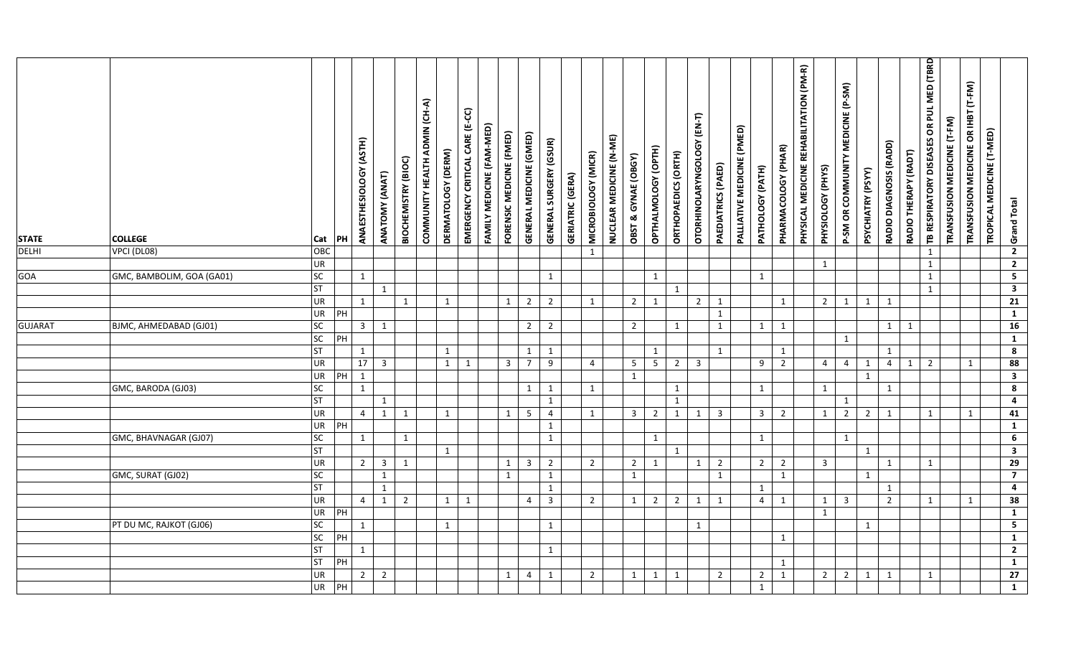| <b>STATE</b><br><b>DELHI</b> | <b>COLLEGE</b>            | Cat             | PH | ANAESTHESIOLOGY (ASTH) | ANATOMY (ANAT)          | BIOCHEMISTRY (BIOC) | COMMUNITY HEALTH ADMIN (CH-A) | DERMATOLOGY (DERM) | EMERGENCY CRITICAL CARE (E-CC) | FAMILY MEDICINE (FAM-MED) | FORENSIC MEDICINE (FMED) | <b>GENERAL MEDICINE (GMED)</b> | GENERAL SURGERY (GSUR) | <b>GERIATRIC (GERA)</b> | MICROBIOLOGY (MICR) | NUCLEAR MEDICINE (N-ME) | OBST & GYNAE (OBGY) | OPTHALMOLOGY (OPTH) | ORTHOPAEDICS (ORTH) | OTORHINOLARYNGOLOGY (EN-T) | PAEDIATRICS (PAED) | PALLIATIVE MEDICINE (PMED) | PATHOLOGY (PATH)        | PHARMACOLOGY (PHAR) | PHYSICAL MEDICINE REHABILITATION (PM-R) | PHYSIOLOGY (PHYS)       | P-SM OR COMMUNITY MEDICINE (P-SM) | PSYCHIATRY (PSYY) | RADIO DIAGNOSIS (RADD) | RADIO THERAPY (RADT) | TB RESPIRATORY DISEASES OR PUL MED (TBRD | TRANSFUSION MEDICINE (T-FM) | TRANSFUSION MEDICINE OR IHBT (T-FM) | TROPICAL MEDICINE (T-MED) | Grand Total                      |  |
|------------------------------|---------------------------|-----------------|----|------------------------|-------------------------|---------------------|-------------------------------|--------------------|--------------------------------|---------------------------|--------------------------|--------------------------------|------------------------|-------------------------|---------------------|-------------------------|---------------------|---------------------|---------------------|----------------------------|--------------------|----------------------------|-------------------------|---------------------|-----------------------------------------|-------------------------|-----------------------------------|-------------------|------------------------|----------------------|------------------------------------------|-----------------------------|-------------------------------------|---------------------------|----------------------------------|--|
|                              | $\sqrt{V}$ PCI (DL08)     | ОВС<br>UR       |    |                        |                         |                     |                               |                    |                                |                           |                          |                                |                        |                         | $\mathbf{1}$        |                         |                     |                     |                     |                            |                    |                            |                         |                     |                                         | 1                       |                                   |                   |                        |                      | $\mathbf{1}$<br>$\mathbf{1}$             |                             |                                     |                           | $\overline{2}$<br>$\overline{2}$ |  |
| GOA                          | GMC, BAMBOLIM, GOA (GA01) | SC              |    | 1                      |                         |                     |                               |                    |                                |                           |                          |                                | 1                      |                         |                     |                         |                     | $\mathbf{1}$        |                     |                            |                    |                            | 1                       |                     |                                         |                         |                                   |                   |                        |                      | $\mathbf{1}$                             |                             |                                     |                           | $\overline{\mathbf{5}}$          |  |
|                              |                           | <b>ST</b>       |    |                        | $\mathbf{1}$            |                     |                               |                    |                                |                           |                          |                                |                        |                         |                     |                         |                     |                     | 1                   |                            |                    |                            |                         |                     |                                         |                         |                                   |                   |                        |                      | $\mathbf{1}$                             |                             |                                     |                           | $\overline{\mathbf{3}}$          |  |
|                              |                           | <b>UR</b>       |    | 1                      |                         | 1                   |                               | $\mathbf{1}$       |                                |                           | $\mathbf{1}$             | $\overline{2}$                 | $\overline{2}$         |                         | $\mathbf{1}$        |                         | $\overline{2}$      | $\mathbf{1}$        |                     | $\overline{2}$             | $\mathbf{1}$       |                            |                         | $\mathbf{1}$        |                                         | $\overline{2}$          | $\mathbf{1}$                      | $\mathbf{1}$      | 1                      |                      |                                          |                             |                                     |                           | $\overline{21}$                  |  |
|                              |                           | UR              | PH |                        |                         |                     |                               |                    |                                |                           |                          |                                |                        |                         |                     |                         |                     |                     |                     |                            | $\mathbf{1}$       |                            |                         |                     |                                         |                         |                                   |                   |                        |                      |                                          |                             |                                     |                           | $\mathbf{1}$                     |  |
| <b>GUJARAT</b>               | BJMC, AHMEDABAD (GJ01)    | SC              |    | 3 <sup>7</sup>         | 1                       |                     |                               |                    |                                |                           |                          | $2^{\circ}$                    | $\overline{2}$         |                         |                     |                         | $\overline{2}$      |                     | 1                   |                            | $\mathbf{1}$       |                            | 1                       | 1                   |                                         |                         |                                   |                   | $\mathbf{1}$           | $\mathbf{1}$         |                                          |                             |                                     |                           | 16                               |  |
|                              |                           | SC              | PH |                        |                         |                     |                               |                    |                                |                           |                          |                                |                        |                         |                     |                         |                     |                     |                     |                            |                    |                            |                         |                     |                                         |                         | $\mathbf{1}$                      |                   |                        |                      |                                          |                             |                                     |                           | $\overline{1}$                   |  |
|                              |                           | <b>ST</b>       |    | 1                      |                         |                     |                               | $\mathbf{1}$       |                                |                           |                          | 1                              | $\mathbf{1}$           |                         |                     |                         |                     | $\mathbf{1}$        |                     |                            | 1                  |                            |                         | 1                   |                                         |                         |                                   |                   | 1                      |                      |                                          |                             |                                     |                           | $\overline{\mathbf{8}}$          |  |
|                              |                           | UR              |    | 17 <sup>1</sup>        | $\overline{3}$          |                     |                               |                    | $1 \quad 1$                    |                           | $\overline{3}$           | $\overline{7}$                 | 9                      |                         | $\overline{4}$      |                         | $5\phantom{.0}$     |                     | $5\vert 2 \vert$    | $\overline{3}$             |                    |                            | 9                       | $\overline{2}$      |                                         | $\overline{4}$          | $\overline{4}$                    | $\mathbf{1}$      | $\overline{4}$         | $\mathbf{1}$         | $\overline{2}$                           |                             | $\mathbf{1}$                        |                           | 88                               |  |
|                              |                           | UR              | PH | $\mathbf{1}$           |                         |                     |                               |                    |                                |                           |                          |                                |                        |                         |                     |                         | $\mathbf{1}$        |                     |                     |                            |                    |                            |                         |                     |                                         |                         |                                   | $\mathbf{1}$      |                        |                      |                                          |                             |                                     |                           | $\overline{\mathbf{3}}$          |  |
|                              | GMC, BARODA (GJ03)        | <b>SC</b>       |    | $\mathbf{1}$           |                         |                     |                               |                    |                                |                           |                          | $\mathbf{1}$                   | 1                      |                         | 1                   |                         |                     |                     | $\mathbf{1}$        |                            |                    |                            | 1                       |                     |                                         | 1                       |                                   |                   | $\mathbf{1}$           |                      |                                          |                             |                                     |                           | $\overline{\mathbf{8}}$          |  |
|                              |                           | <b>ST</b>       |    |                        | $\mathbf{1}$            |                     |                               |                    |                                |                           |                          |                                | $\mathbf{1}$           |                         |                     |                         |                     |                     | $\mathbf{1}$        |                            |                    |                            |                         |                     |                                         |                         | $\mathbf{1}$                      |                   |                        |                      |                                          |                             |                                     |                           | $\overline{\mathbf{4}}$          |  |
|                              |                           | UR              |    | $\overline{4}$         | 1                       | 1                   |                               | 1                  |                                |                           | 1                        | 5                              | $\overline{4}$         |                         | 1                   |                         | $\overline{3}$      |                     | $2 \mid 1$          | 1                          | $\overline{3}$     |                            | $\overline{\mathbf{3}}$ | $\overline{2}$      |                                         | 1                       | $2^{\circ}$                       | $\overline{2}$    | 1                      |                      | $\mathbf{1}$                             |                             | 1                                   |                           | 41                               |  |
|                              |                           | UR              | PH |                        |                         |                     |                               |                    |                                |                           |                          |                                | 1                      |                         |                     |                         |                     |                     |                     |                            |                    |                            |                         |                     |                                         |                         |                                   |                   |                        |                      |                                          |                             |                                     |                           | $\overline{1}$                   |  |
|                              | GMC, BHAVNAGAR (GJ07)     | SC              |    | 1                      |                         | $\mathbf{1}$        |                               |                    |                                |                           |                          |                                | $\mathbf{1}$           |                         |                     |                         |                     | $\mathbf{1}$        |                     |                            |                    |                            | $\mathbf{1}$            |                     |                                         |                         | $\mathbf{1}$                      |                   |                        |                      |                                          |                             |                                     |                           | $6\phantom{a}$                   |  |
|                              |                           | <b>ST</b>       |    |                        |                         |                     |                               | 1                  |                                |                           |                          |                                |                        |                         |                     |                         |                     |                     | $\mathbf{1}$        |                            |                    |                            |                         |                     |                                         |                         |                                   | $\mathbf{1}$      |                        |                      |                                          |                             |                                     |                           | $\overline{\mathbf{3}}$          |  |
|                              |                           | UR              |    | 2 <sup>1</sup>         | $\overline{\mathbf{3}}$ | 1                   |                               |                    |                                |                           | $\mathbf{1}$             | $\overline{3}$                 | $\overline{2}$         |                         | $\overline{2}$      |                         | $\overline{2}$      | $\mathbf{1}$        |                     | $\mathbf{1}$               | $\overline{2}$     |                            | $\overline{2}$          | $\overline{2}$      |                                         | $\overline{\mathbf{3}}$ |                                   |                   | $\mathbf{1}$           |                      | $\mathbf{1}$                             |                             |                                     |                           | 29                               |  |
|                              | GMC, SURAT (GJ02)         | SC              |    |                        | 1                       |                     |                               |                    |                                |                           | 1                        |                                | 1                      |                         |                     |                         | 1                   |                     |                     |                            | 1                  |                            |                         | 1                   |                                         |                         |                                   | $\mathbf{1}$      |                        |                      |                                          |                             |                                     |                           | $\overline{7}$                   |  |
|                              |                           | <b>ST</b>       |    |                        | $\mathbf{1}$            |                     |                               |                    |                                |                           |                          |                                | $\mathbf{1}$           |                         |                     |                         |                     |                     |                     |                            |                    |                            | $\mathbf{1}$            |                     |                                         |                         |                                   |                   | $\mathbf{1}$           |                      |                                          |                             |                                     |                           | $\overline{4}$                   |  |
|                              |                           | UR              |    | $\overline{4}$         | 1                       | $\overline{2}$      |                               |                    | $1 \mid 1$                     |                           |                          | $\overline{4}$                 | $\overline{3}$         |                         | $\overline{2}$      |                         | 1                   |                     | $2 \mid 2 \mid$     | 1                          | 1                  |                            | $\overline{4}$          | 1                   |                                         | 1                       | $\overline{3}$                    |                   | $2^{\circ}$            |                      | $\mathbf{1}$                             |                             | $\mathbf{1}$                        |                           | 38                               |  |
|                              |                           | UR              | PH |                        |                         |                     |                               |                    |                                |                           |                          |                                |                        |                         |                     |                         |                     |                     |                     |                            |                    |                            |                         |                     |                                         | 1                       |                                   |                   |                        |                      |                                          |                             |                                     |                           | $\mathbf{1}$                     |  |
|                              | PT DU MC, RAJKOT (GJ06)   | SC              |    | 1                      |                         |                     |                               | $\mathbf{1}$       |                                |                           |                          |                                | 1                      |                         |                     |                         |                     |                     |                     | $\mathbf{1}$               |                    |                            |                         |                     |                                         |                         |                                   | $\mathbf{1}$      |                        |                      |                                          |                             |                                     |                           | $\overline{\mathbf{5}}$          |  |
|                              |                           | SC<br><b>ST</b> | PH | $\mathbf{1}$           |                         |                     |                               |                    |                                |                           |                          |                                | $\mathbf{1}$           |                         |                     |                         |                     |                     |                     |                            |                    |                            |                         | 1                   |                                         |                         |                                   |                   |                        |                      |                                          |                             |                                     |                           | $\mathbf{1}$<br>$\overline{2}$   |  |
|                              |                           | <b>ST</b>       | PH |                        |                         |                     |                               |                    |                                |                           |                          |                                |                        |                         |                     |                         |                     |                     |                     |                            |                    |                            |                         | 1                   |                                         |                         |                                   |                   |                        |                      |                                          |                             |                                     |                           | $\mathbf{1}$                     |  |
|                              |                           | UR              |    |                        | $\overline{2}$          |                     |                               |                    |                                |                           |                          | $\overline{4}$                 | 1                      |                         | $\overline{2}$      |                         | 1                   |                     | 1                   |                            | $\overline{2}$     |                            | $\overline{2}$          | 1                   |                                         | $2^{\circ}$             | $\overline{2}$                    | $\mathbf{1}$      | $\mathbf{1}$           |                      | $\mathbf{1}$                             |                             |                                     |                           | 27                               |  |
|                              |                           | UR              | PH | $\overline{2}$         |                         |                     |                               |                    |                                |                           | $\mathbf{1}$             |                                |                        |                         |                     |                         |                     | $\mathbf{1}$        |                     |                            |                    |                            | $\mathbf{1}$            |                     |                                         |                         |                                   |                   |                        |                      |                                          |                             |                                     |                           | $\overline{1}$                   |  |
|                              |                           |                 |    |                        |                         |                     |                               |                    |                                |                           |                          |                                |                        |                         |                     |                         |                     |                     |                     |                            |                    |                            |                         |                     |                                         |                         |                                   |                   |                        |                      |                                          |                             |                                     |                           |                                  |  |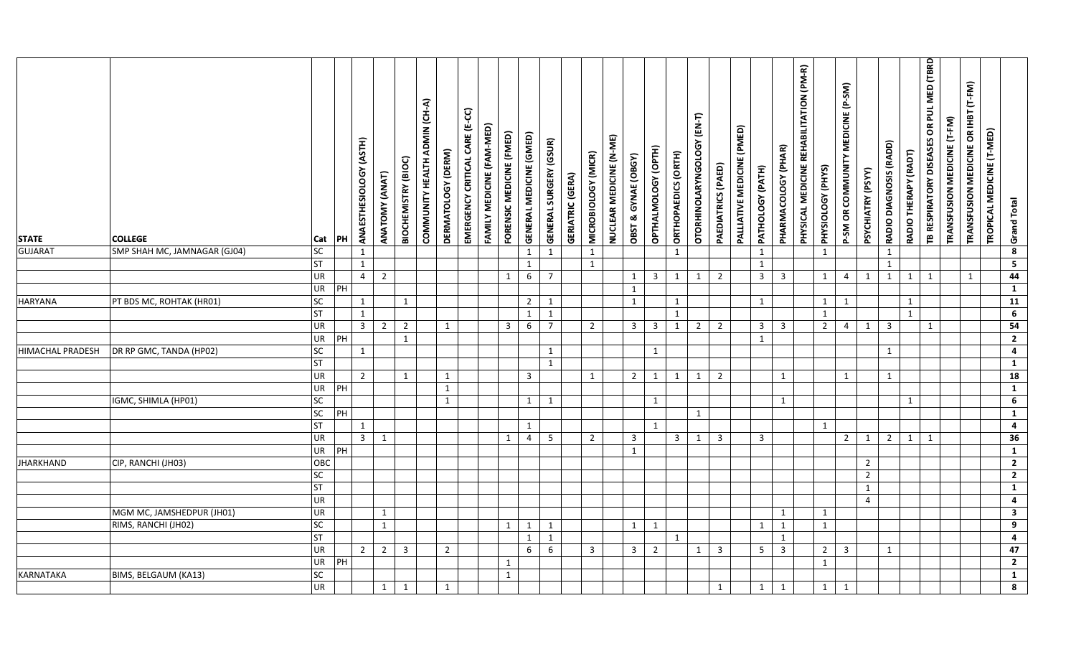| <b>STATE</b>            | <b>COLLEGE</b>               | Cat                          | PH             | ANAESTHESIOLOGY (ASTH) | ANATOMY (ANAT) | BIOCHEMISTRY (BIOC) | COMMUNITY HEALTH ADMIN (CH-A) | DERMATOLOGY (DERM) | EMERGENCY CRITICAL CARE (E-CC) | FAMILY MEDICINE (FAM-MED) | FORENSIC MEDICINE (FMED) | GENERAL MEDICINE (GMED) | <b>GENERAL SURGERY (GSUR)</b> | <b>GERIATRIC (GERA)</b> | MICROBIOLOGY (MICR) | NUCLEAR MEDICINE (N-ME) | <b>OBST &amp; GYNAE (OBGY)</b> | OPTHALMOLOGY (OPTH) | ORTHOPAEDICS (ORTH) | OTORHINOLARYNGOLOGY (EN-T) | PAEDIATRICS (PAED) | PALLIATIVE MEDICINE (PMED) | PATHOLOGY (PATH)        | PHARMACOLOGY (PHAR)     | PHYSICAL MEDICINE REHABILITATION (PM-R) | PHYSIOLOGY (PHYS) | MEDICINE (P-SM)<br>P-SM OR COMMUNITY | PSYCHIATRY (PSYY) | RADIO DIAGNOSIS (RADD) | RADIO THERAPY (RADT) | OR PUL MED (TBRD<br>TB RESPIRATORY DISEASES | TRANSFUSION MEDICINE (T-FM) | TRANSFUSION MEDICINE OR IHBT (T-FM) | TROPICAL MEDICINE (T-MED) | <b>Grand Total</b>              |  |
|-------------------------|------------------------------|------------------------------|----------------|------------------------|----------------|---------------------|-------------------------------|--------------------|--------------------------------|---------------------------|--------------------------|-------------------------|-------------------------------|-------------------------|---------------------|-------------------------|--------------------------------|---------------------|---------------------|----------------------------|--------------------|----------------------------|-------------------------|-------------------------|-----------------------------------------|-------------------|--------------------------------------|-------------------|------------------------|----------------------|---------------------------------------------|-----------------------------|-------------------------------------|---------------------------|---------------------------------|--|
| <b>GUJARAT</b>          | SMP SHAH MC, JAMNAGAR (GJ04) | SC                           |                | 1                      |                |                     |                               |                    |                                |                           |                          | $\mathbf{1}$            | $\mathbf{1}$                  |                         | 1                   |                         |                                |                     | $\mathbf{1}$        |                            |                    |                            | $\mathbf{1}$            |                         |                                         | 1                 |                                      |                   | $\mathbf{1}$           |                      |                                             |                             |                                     |                           | $\overline{\mathbf{8}}$         |  |
|                         |                              | <b>ST</b>                    |                | $\mathbf{1}$           |                |                     |                               |                    |                                |                           |                          | $\mathbf{1}$            |                               |                         | 1                   |                         |                                |                     |                     |                            |                    |                            | $\mathbf{1}$            |                         |                                         |                   |                                      |                   | $\mathbf{1}$           |                      |                                             |                             |                                     |                           | $\overline{\mathbf{5}}$         |  |
|                         |                              | <b>UR</b><br>UR <sup>1</sup> | PH             | $\overline{4}$         | $\overline{2}$ |                     |                               |                    |                                |                           | 1                        | $6\overline{6}$         | $\overline{7}$                |                         |                     |                         | 1                              | 3 <sup>1</sup>      | 1                   | $\mathbf{1}$               | $\overline{2}$     |                            | $\overline{\mathbf{3}}$ | $\overline{\mathbf{3}}$ |                                         | 1                 | $\overline{4}$                       | $\mathbf{1}$      | $\mathbf{1}$           | 1                    | 1                                           |                             | $\mathbf{1}$                        |                           | 44                              |  |
| <b>HARYANA</b>          | PT BDS MC, ROHTAK (HR01)     | <b>SC</b>                    |                | 1                      |                | $\mathbf{1}$        |                               |                    |                                |                           |                          | $2^{\circ}$             | 1                             |                         |                     |                         | 1<br>1                         |                     | 1                   |                            |                    |                            | $\mathbf{1}$            |                         |                                         | 1                 | 1                                    |                   |                        | $\mathbf{1}$         |                                             |                             |                                     |                           | $\mathbf{1}$<br>$\overline{11}$ |  |
|                         |                              | <b>ST</b>                    |                | $\mathbf{1}$           |                |                     |                               |                    |                                |                           |                          | $\mathbf{1}$            | $\mathbf{1}$                  |                         |                     |                         |                                |                     | $\mathbf{1}$        |                            |                    |                            |                         |                         |                                         | $\mathbf{1}$      |                                      |                   |                        | $\mathbf{1}$         |                                             |                             |                                     |                           | 6                               |  |
|                         |                              | UR                           |                | $\overline{3}$         | $\overline{2}$ | $\overline{2}$      |                               | $\mathbf{1}$       |                                |                           | $\overline{3}$           | $6\overline{6}$         | $\overline{7}$                |                         | $\overline{2}$      |                         | $\overline{3}$                 | $\overline{3}$      | $\mathbf{1}$        | $\overline{2}$             | $\overline{2}$     |                            | $\overline{\mathbf{3}}$ | $\overline{\mathbf{3}}$ |                                         | $\overline{2}$    | $\overline{4}$                       | $\mathbf{1}$      | $\overline{3}$         |                      | $\mathbf{1}$                                |                             |                                     |                           | 54                              |  |
|                         |                              | <b>UR</b>                    | PH             |                        |                | $\mathbf{1}$        |                               |                    |                                |                           |                          |                         |                               |                         |                     |                         |                                |                     |                     |                            |                    |                            | $\mathbf{1}$            |                         |                                         |                   |                                      |                   |                        |                      |                                             |                             |                                     |                           | $\overline{2}$                  |  |
| <b>HIMACHAL PRADESH</b> | DR RP GMC, TANDA (HP02)      | <b>SC</b>                    |                | $\mathbf{1}$           |                |                     |                               |                    |                                |                           |                          |                         | 1                             |                         |                     |                         |                                | $\mathbf{1}$        |                     |                            |                    |                            |                         |                         |                                         |                   |                                      |                   | $\mathbf{1}$           |                      |                                             |                             |                                     |                           | $\overline{4}$                  |  |
|                         |                              | <b>ST</b>                    |                |                        |                |                     |                               |                    |                                |                           |                          |                         | $\mathbf{1}$                  |                         |                     |                         |                                |                     |                     |                            |                    |                            |                         |                         |                                         |                   |                                      |                   |                        |                      |                                             |                             |                                     |                           | $\mathbf{1}$                    |  |
|                         |                              | <b>UR</b>                    |                | $\overline{2}$         |                | $\mathbf{1}$        |                               | $\mathbf{1}$       |                                |                           |                          | $\overline{3}$          |                               |                         | 1                   |                         | $\overline{2}$                 | $\mathbf{1}$        | $\mathbf{1}$        | 1                          | $\overline{2}$     |                            |                         | 1                       |                                         |                   | $\mathbf{1}$                         |                   | $\mathbf{1}$           |                      |                                             |                             |                                     |                           | 18                              |  |
|                         |                              | <b>UR</b>                    | $\overline{P}$ |                        |                |                     |                               | $\mathbf{1}$       |                                |                           |                          |                         |                               |                         |                     |                         |                                |                     |                     |                            |                    |                            |                         |                         |                                         |                   |                                      |                   |                        |                      |                                             |                             |                                     |                           | $\overline{1}$                  |  |
|                         | IGMC, SHIMLA (HP01)          | <b>SC</b>                    |                |                        |                |                     |                               | $\mathbf{1}$       |                                |                           |                          | $\mathbf{1}$            | 1                             |                         |                     |                         |                                | $\mathbf{1}$        |                     |                            |                    |                            |                         | 1                       |                                         |                   |                                      |                   |                        | 1                    |                                             |                             |                                     |                           | 6                               |  |
|                         |                              | SC                           | PH             |                        |                |                     |                               |                    |                                |                           |                          |                         |                               |                         |                     |                         |                                |                     |                     | 1                          |                    |                            |                         |                         |                                         |                   |                                      |                   |                        |                      |                                             |                             |                                     |                           | $\overline{1}$                  |  |
|                         |                              | <b>ST</b>                    |                | 1                      |                |                     |                               |                    |                                |                           |                          | 1                       |                               |                         |                     |                         |                                | $\mathbf{1}$        |                     |                            |                    |                            |                         |                         |                                         | 1                 |                                      |                   |                        |                      |                                             |                             |                                     |                           | $\overline{4}$                  |  |
|                         |                              | <b>UR</b>                    |                | $3 \mid 1$             |                |                     |                               |                    |                                |                           | 1                        | $\overline{4}$          | $5\overline{5}$               |                         | $\overline{2}$      |                         | $\overline{\mathbf{3}}$        |                     | 3 <sup>7</sup>      | 1                          | $\overline{3}$     |                            | $\overline{3}$          |                         |                                         |                   | $2^{\circ}$                          | $\mathbf{1}$      | $\overline{2}$         | 1                    | 1                                           |                             |                                     |                           | $\overline{36}$                 |  |
|                         |                              | UR                           | PH             |                        |                |                     |                               |                    |                                |                           |                          |                         |                               |                         |                     |                         | $\mathbf{1}$                   |                     |                     |                            |                    |                            |                         |                         |                                         |                   |                                      |                   |                        |                      |                                             |                             |                                     |                           | $\mathbf{1}$                    |  |
| <b>JHARKHAND</b>        | CIP, RANCHI (JH03)           | OBC                          |                |                        |                |                     |                               |                    |                                |                           |                          |                         |                               |                         |                     |                         |                                |                     |                     |                            |                    |                            |                         |                         |                                         |                   |                                      | $\overline{2}$    |                        |                      |                                             |                             |                                     |                           | $\overline{2}$                  |  |
|                         |                              | <b>SC</b>                    |                |                        |                |                     |                               |                    |                                |                           |                          |                         |                               |                         |                     |                         |                                |                     |                     |                            |                    |                            |                         |                         |                                         |                   |                                      | $2^{\circ}$       |                        |                      |                                             |                             |                                     |                           | $\overline{2}$                  |  |
|                         |                              | <b>ST</b>                    |                |                        |                |                     |                               |                    |                                |                           |                          |                         |                               |                         |                     |                         |                                |                     |                     |                            |                    |                            |                         |                         |                                         |                   |                                      | $\mathbf{1}$      |                        |                      |                                             |                             |                                     |                           | $\mathbf{1}$                    |  |
|                         |                              | <b>UR</b>                    |                |                        |                |                     |                               |                    |                                |                           |                          |                         |                               |                         |                     |                         |                                |                     |                     |                            |                    |                            |                         |                         |                                         |                   |                                      | $\overline{4}$    |                        |                      |                                             |                             |                                     |                           | $\overline{\mathbf{4}}$         |  |
|                         | MGM MC, JAMSHEDPUR (JH01)    | <b>UR</b>                    |                |                        | 1              |                     |                               |                    |                                |                           |                          |                         |                               |                         |                     |                         |                                |                     |                     |                            |                    |                            |                         | 1                       |                                         | 1                 |                                      |                   |                        |                      |                                             |                             |                                     |                           | $\overline{\mathbf{3}}$         |  |
|                         | RIMS, RANCHI (JH02)          | <b>SC</b>                    |                |                        | $\mathbf{1}$   |                     |                               |                    |                                |                           | 1                        | 1                       | 1                             |                         |                     |                         | $\mathbf{1}$                   | $\mathbf{1}$        |                     |                            |                    |                            | $\mathbf{1}$            | 1                       |                                         | 1                 |                                      |                   |                        |                      |                                             |                             |                                     |                           | $\overline{9}$                  |  |
|                         |                              | <b>ST</b>                    |                |                        |                |                     |                               |                    |                                |                           |                          | $\mathbf{1}$            | $\mathbf{1}$                  |                         |                     |                         |                                |                     | $\mathbf{1}$        |                            |                    |                            |                         | 1                       |                                         |                   |                                      |                   |                        |                      |                                             |                             |                                     |                           | 4                               |  |
|                         |                              | UR                           |                | $\overline{2}$         | $\overline{2}$ | $\overline{3}$      |                               | $\overline{2}$     |                                |                           |                          | 6                       | 6                             |                         | $\overline{3}$      |                         | $\overline{3}$                 | $\overline{2}$      |                     | 1                          | $\overline{3}$     |                            | $5\overline{)}$         | $\overline{\mathbf{3}}$ |                                         | $\overline{2}$    | $\overline{3}$                       |                   | $\mathbf{1}$           |                      |                                             |                             |                                     |                           | 47                              |  |
|                         |                              | <b>UR</b>                    | PI             |                        |                |                     |                               |                    |                                |                           | $\mathbf{1}$             |                         |                               |                         |                     |                         |                                |                     |                     |                            |                    |                            |                         |                         |                                         | 1                 |                                      |                   |                        |                      |                                             |                             |                                     |                           | $\overline{2}$                  |  |
| KARNATAKA               | BIMS, BELGAUM (KA13)         | SC                           |                |                        |                |                     |                               |                    |                                |                           | $\mathbf{1}$             |                         |                               |                         |                     |                         |                                |                     |                     |                            |                    |                            |                         |                         |                                         |                   |                                      |                   |                        |                      |                                             |                             |                                     |                           | $\overline{1}$                  |  |
|                         |                              | <b>UR</b>                    |                |                        | $\mathbf{1}$   | $\mathbf{1}$        |                               | $\mathbf{1}$       |                                |                           |                          |                         |                               |                         |                     |                         |                                |                     |                     |                            | $\mathbf{1}$       |                            | $\mathbf{1}$            | 1                       |                                         | $\mathbf{1}$      | 1                                    |                   |                        |                      |                                             |                             |                                     |                           | $\overline{\mathbf{8}}$         |  |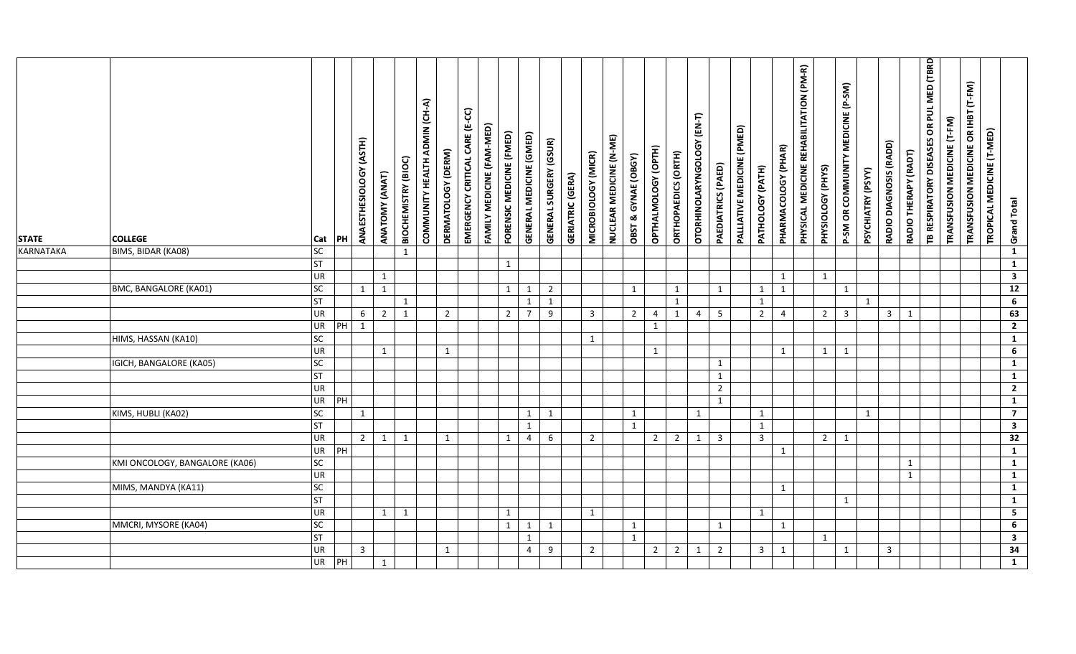| <b>STATE</b> | <b>COLLEGE</b>                 | Cat                    | PH | ANAESTHESIOLOGY (ASTH) | ANATOMY (ANAT) | <b>BIOCHEMISTRY (BIOC)</b> | COMMUNITY HEALTH ADMIN (CH-A) | DERMATOLOGY (DERM) | EMERGENCY CRITICAL CARE (E-CC) | FAMILY MEDICINE (FAM-MED) | FORENSIC MEDICINE (FMED) | GENERAL MEDICINE (GMED)        | <b>GENERAL SURGERY (GSUR)</b> | <b>GERIATRIC (GERA)</b> | MICROBIOLOGY (MICR) | NUCLEAR MEDICINE (N-ME) | OBST & GYNAE (OBGY) | OPTHALMOLOGY (OPTH) | ORTHOPAEDICS (ORTH) | OTORHINOLARYNGOLOGY (EN-T) | PAEDIATRICS (PAED) | PALLIATIVE MEDICINE (PMED) | PATHOLOGY (PATH)               | PHARMACOLOGY (PHAR) | PHYSICAL MEDICINE REHABILITATION (PM-R) | PHYSIOLOGY (PHYS) | P-SM OR COMMUNITY MEDICINE (P-SM) | PSYCHIATRY (PSYY) | RADIO DIAGNOSIS (RADD) | RADIO THERAPY (RADT) | TB RESPIRATORY DISEASES OR PUL MED (TBRD | TRANSFUSION MEDICINE (T-FM) | TRANSFUSION MEDICINE OR IHBT (T-FM) | TROPICAL MEDICINE (T-MED) | <b>Grand Total</b>               |
|--------------|--------------------------------|------------------------|----|------------------------|----------------|----------------------------|-------------------------------|--------------------|--------------------------------|---------------------------|--------------------------|--------------------------------|-------------------------------|-------------------------|---------------------|-------------------------|---------------------|---------------------|---------------------|----------------------------|--------------------|----------------------------|--------------------------------|---------------------|-----------------------------------------|-------------------|-----------------------------------|-------------------|------------------------|----------------------|------------------------------------------|-----------------------------|-------------------------------------|---------------------------|----------------------------------|
| KARNATAKA    | BIMS, BIDAR (KA08)             | <b>SC</b>              |    |                        |                | $\mathbf{1}$               |                               |                    |                                |                           |                          |                                |                               |                         |                     |                         |                     |                     |                     |                            |                    |                            |                                |                     |                                         |                   |                                   |                   |                        |                      |                                          |                             |                                     |                           | $\overline{1}$                   |
|              |                                | <b>ST</b>              |    |                        |                |                            |                               |                    |                                |                           | $\mathbf{1}$             |                                |                               |                         |                     |                         |                     |                     |                     |                            |                    |                            |                                |                     |                                         |                   |                                   |                   |                        |                      |                                          |                             |                                     |                           | $\mathbf{1}$                     |
|              |                                | <b>UR</b>              |    |                        | 1              |                            |                               |                    |                                |                           |                          |                                |                               |                         |                     |                         |                     |                     |                     |                            |                    |                            |                                | 1                   |                                         | 1                 |                                   |                   |                        |                      |                                          |                             |                                     |                           | $\mathbf{3}$                     |
|              | BMC, BANGALORE (KA01)          | SC                     |    | 1                      | $\mathbf{1}$   |                            |                               |                    |                                |                           | $\mathbf{1}$             | $\mathbf{1}$                   | $\overline{2}$                |                         |                     |                         | 1                   |                     | 1                   |                            | 1                  |                            | $\mathbf{1}$                   | 1                   |                                         |                   | $\mathbf{1}$                      |                   |                        |                      |                                          |                             |                                     |                           | $\overline{12}$                  |
|              |                                | ST                     |    |                        |                | $\mathbf{1}$               |                               |                    |                                |                           |                          | $\mathbf{1}$                   | $\mathbf{1}$                  |                         |                     |                         |                     |                     | $\mathbf{1}$        |                            |                    |                            | $\mathbf{1}$                   |                     |                                         |                   |                                   | $\mathbf{1}$      |                        |                      |                                          |                             |                                     |                           | 6                                |
|              |                                | <b>UR</b>              |    | 6                      | $\overline{2}$ | $\mathbf{1}$               |                               | $\overline{2}$     |                                |                           | $\overline{2}$           | $\overline{7}$                 | 9                             |                         | $\overline{3}$      |                         | $\overline{2}$      | 4                   | $\mathbf{1}$        | $\overline{4}$             | 5                  |                            | $\overline{2}$                 | $\overline{4}$      |                                         | $\overline{2}$    | $\overline{\mathbf{3}}$           |                   | $\mathbf{3}$           | 1                    |                                          |                             |                                     |                           | 63                               |
|              |                                | <b>UR</b>              | PH | $\mathbf{1}$           |                |                            |                               |                    |                                |                           |                          |                                |                               |                         |                     |                         |                     | $\mathbf{1}$        |                     |                            |                    |                            |                                |                     |                                         |                   |                                   |                   |                        |                      |                                          |                             |                                     |                           | $\overline{2}$                   |
|              | HIMS, HASSAN (KA10)            | SC                     |    |                        |                |                            |                               |                    |                                |                           |                          |                                |                               |                         | 1                   |                         |                     |                     |                     |                            |                    |                            |                                |                     |                                         |                   |                                   |                   |                        |                      |                                          |                             |                                     |                           | $\overline{1}$                   |
|              |                                | <b>UR</b>              |    |                        | $\mathbf{1}$   |                            |                               | $\mathbf{1}$       |                                |                           |                          |                                |                               |                         |                     |                         |                     | $\mathbf{1}$        |                     |                            |                    |                            |                                | $\mathbf{1}$        |                                         | $\mathbf{1}$      | $\mathbf{1}$                      |                   |                        |                      |                                          |                             |                                     |                           | $\overline{6}$                   |
|              | IGICH, BANGALORE (KA05)        | <b>SC</b>              |    |                        |                |                            |                               |                    |                                |                           |                          |                                |                               |                         |                     |                         |                     |                     |                     |                            | 1                  |                            |                                |                     |                                         |                   |                                   |                   |                        |                      |                                          |                             |                                     |                           | $\mathbf{1}$                     |
|              |                                | ST                     |    |                        |                |                            |                               |                    |                                |                           |                          |                                |                               |                         |                     |                         |                     |                     |                     |                            | $\mathbf{1}$       |                            |                                |                     |                                         |                   |                                   |                   |                        |                      |                                          |                             |                                     |                           | $\mathbf{1}$                     |
|              |                                | <b>UR</b>              |    |                        |                |                            |                               |                    |                                |                           |                          |                                |                               |                         |                     |                         |                     |                     |                     |                            | $\overline{2}$     |                            |                                |                     |                                         |                   |                                   |                   |                        |                      |                                          |                             |                                     |                           | $\overline{2}$                   |
|              | KIMS, HUBLI (KA02)             | UR<br>SC               | PH |                        |                |                            |                               |                    |                                |                           |                          |                                |                               |                         |                     |                         |                     |                     |                     |                            | $\mathbf{1}$       |                            |                                |                     |                                         |                   |                                   |                   |                        |                      |                                          |                             |                                     |                           | $\overline{1}$<br>$\overline{7}$ |
|              |                                |                        |    | 1                      |                |                            |                               |                    |                                |                           |                          | $\mathbf{1}$                   | 1                             |                         |                     |                         | 1                   |                     |                     | $\mathbf{1}$               |                    |                            | $\mathbf{1}$                   |                     |                                         |                   |                                   | $\mathbf{1}$      |                        |                      |                                          |                             |                                     |                           | $\overline{\mathbf{3}}$          |
|              |                                | <b>ST</b><br><b>UR</b> |    | $\overline{2}$         |                | 1                          |                               | 1                  |                                |                           |                          | $\mathbf{1}$<br>$\overline{4}$ | 6                             |                         |                     |                         | 1                   | $2^{\circ}$         |                     |                            | $\overline{3}$     |                            | $\mathbf{1}$<br>$\overline{3}$ |                     |                                         | $\overline{2}$    | 1                                 |                   |                        |                      |                                          |                             |                                     |                           | $\overline{32}$                  |
|              |                                | <b>UR</b>              | PH |                        | 1              |                            |                               |                    |                                |                           | 1                        |                                |                               |                         | $\overline{2}$      |                         |                     |                     |                     | $2 \mid 1$                 |                    |                            |                                | 1                   |                                         |                   |                                   |                   |                        |                      |                                          |                             |                                     |                           | $\mathbf{1}$                     |
|              | KMI ONCOLOGY, BANGALORE (KA06) | <b>SC</b>              |    |                        |                |                            |                               |                    |                                |                           |                          |                                |                               |                         |                     |                         |                     |                     |                     |                            |                    |                            |                                |                     |                                         |                   |                                   |                   |                        | $\mathbf{1}$         |                                          |                             |                                     |                           | $\overline{1}$                   |
|              |                                | <b>UR</b>              |    |                        |                |                            |                               |                    |                                |                           |                          |                                |                               |                         |                     |                         |                     |                     |                     |                            |                    |                            |                                |                     |                                         |                   |                                   |                   |                        | $\mathbf{1}$         |                                          |                             |                                     |                           | $\overline{1}$                   |
|              | MIMS, MANDYA (KA11)            | SC                     |    |                        |                |                            |                               |                    |                                |                           |                          |                                |                               |                         |                     |                         |                     |                     |                     |                            |                    |                            |                                | $\mathbf{1}$        |                                         |                   |                                   |                   |                        |                      |                                          |                             |                                     |                           | $\mathbf{1}$                     |
|              |                                | <b>ST</b>              |    |                        |                |                            |                               |                    |                                |                           |                          |                                |                               |                         |                     |                         |                     |                     |                     |                            |                    |                            |                                |                     |                                         |                   | $\mathbf{1}$                      |                   |                        |                      |                                          |                             |                                     |                           | $\mathbf{1}$                     |
|              |                                | <b>UR</b>              |    |                        | 1              | $\mathbf{1}$               |                               |                    |                                |                           | 1                        |                                |                               |                         | 1                   |                         |                     |                     |                     |                            |                    |                            | $\mathbf{1}$                   |                     |                                         |                   |                                   |                   |                        |                      |                                          |                             |                                     |                           | $\overline{\mathbf{5}}$          |
|              | MMCRI, MYSORE (KA04)           | <b>SC</b>              |    |                        |                |                            |                               |                    |                                |                           | $\mathbf{1}$             | 1                              | 1                             |                         |                     |                         | 1                   |                     |                     |                            | 1                  |                            |                                | 1                   |                                         |                   |                                   |                   |                        |                      |                                          |                             |                                     |                           | 6                                |
|              |                                | <b>ST</b>              |    |                        |                |                            |                               |                    |                                |                           |                          | $\mathbf{1}$                   |                               |                         |                     |                         | $\mathbf{1}$        |                     |                     |                            |                    |                            |                                |                     |                                         | 1                 |                                   |                   |                        |                      |                                          |                             |                                     |                           | $\mathbf{3}$                     |
|              |                                | <b>UR</b>              |    | $\overline{3}$         |                |                            |                               | $\mathbf{1}$       |                                |                           |                          | $\overline{4}$                 | 9                             |                         | $\overline{2}$      |                         |                     | $2^{\circ}$         | 2                   | 1                          | $\overline{2}$     |                            | $\overline{3}$                 | 1                   |                                         |                   | $\mathbf{1}$                      |                   | $\mathbf{3}$           |                      |                                          |                             |                                     |                           | 34                               |
|              |                                | UR                     | PH |                        | $\mathbf{1}$   |                            |                               |                    |                                |                           |                          |                                |                               |                         |                     |                         |                     |                     |                     |                            |                    |                            |                                |                     |                                         |                   |                                   |                   |                        |                      |                                          |                             |                                     |                           | $\mathbf{1}$                     |
|              |                                |                        |    |                        |                |                            |                               |                    |                                |                           |                          |                                |                               |                         |                     |                         |                     |                     |                     |                            |                    |                            |                                |                     |                                         |                   |                                   |                   |                        |                      |                                          |                             |                                     |                           |                                  |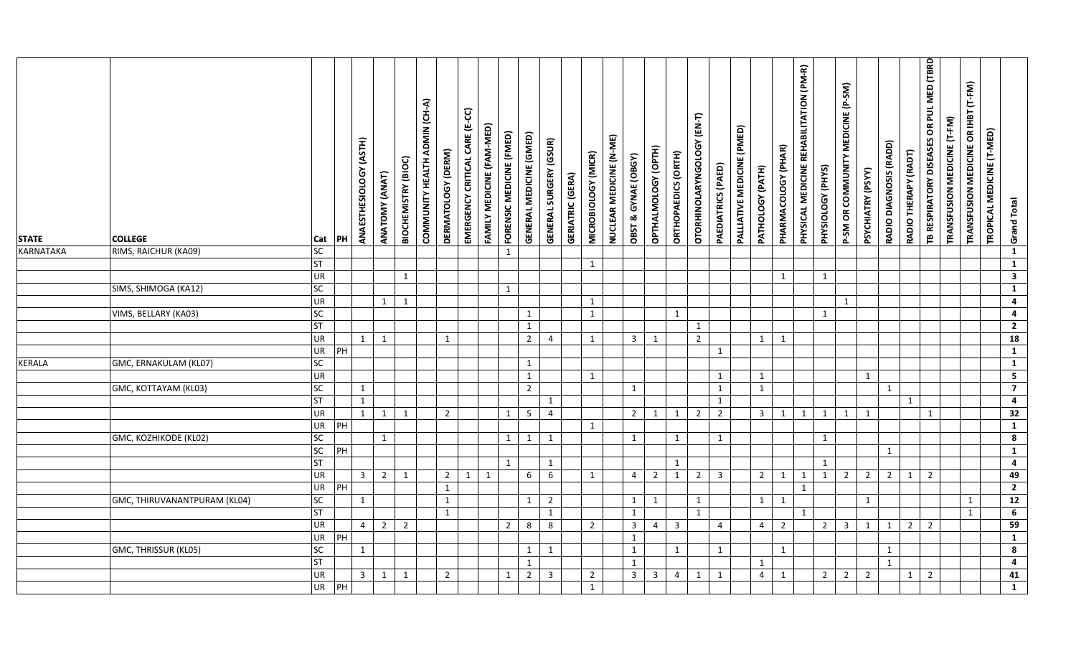| <b>STATE</b>     | <b>COLLEGE</b>               | Cat                    | PH | ANAESTHESIOLOGY (ASTH) | ANATOMY (ANAT) | BIOCHEMISTRY (BIOC) | COMMUNITY HEALTH ADMIN (CH-A) | DERMATOLOGY (DERM) | EMERGENCY CRITICAL CARE (E-CC) | FAMILY MEDICINE (FAM-MED) | FORENSIC MEDICINE (FMED) | GENERAL MEDICINE (GMED) | <b>GENERAL SURGERY (GSUR)</b> | <b>GERIATRIC (GERA)</b> | MICROBIOLOGY (MICR) | NUCLEAR MEDICINE (N-ME) | OBST & GYNAE (OBGY) | OPTHALMOLOGY (OPTH) | ORTHOPAEDICS (ORTH) | OTORHINOLARYNGOLOGY (EN-T) | PAEDIATRICS (PAED) | PALLIATIVE MEDICINE (PMED) | PATHOLOGY (PATH) | PHARMACOLOGY (PHAR) | PHYSICAL MEDICINE REHABILITATION (PM-R) | PHYSIOLOGY (PHYS) | P-SM OR COMMUNITY MEDICINE (P-SM) | PSYCHIATRY (PSYY) | RADIO DIAGNOSIS (RADD) | RADIO THERAPY (RADT) | TB RESPIRATORY DISEASES OR PUL MED (TBRD | TRANSFUSION MEDICINE (T-FM) | TRANSFUSION MEDICINE OR IHBT (T-FM) | TROPICAL MEDICINE (T-MED) | <b>Grand Total</b>           |
|------------------|------------------------------|------------------------|----|------------------------|----------------|---------------------|-------------------------------|--------------------|--------------------------------|---------------------------|--------------------------|-------------------------|-------------------------------|-------------------------|---------------------|-------------------------|---------------------|---------------------|---------------------|----------------------------|--------------------|----------------------------|------------------|---------------------|-----------------------------------------|-------------------|-----------------------------------|-------------------|------------------------|----------------------|------------------------------------------|-----------------------------|-------------------------------------|---------------------------|------------------------------|
| <b>KARNATAKA</b> | RIMS, RAICHUR (KA09)         | SC<br><b>ST</b>        |    |                        |                |                     |                               |                    |                                |                           | 1                        |                         |                               |                         |                     |                         |                     |                     |                     |                            |                    |                            |                  |                     |                                         |                   |                                   |                   |                        |                      |                                          |                             |                                     |                           | $\mathbf{1}$                 |
|                  |                              | UR                     |    |                        |                | $\mathbf{1}$        |                               |                    |                                |                           |                          |                         |                               |                         | 1                   |                         |                     |                     |                     |                            |                    |                            |                  | 1                   |                                         | 1                 |                                   |                   |                        |                      |                                          |                             |                                     |                           | $\mathbf{1}$<br>$\mathbf{3}$ |
|                  | SIMS, SHIMOGA (KA12)         | <b>SC</b>              |    |                        |                |                     |                               |                    |                                |                           | $\mathbf{1}$             |                         |                               |                         |                     |                         |                     |                     |                     |                            |                    |                            |                  |                     |                                         |                   |                                   |                   |                        |                      |                                          |                             |                                     |                           | $\mathbf{1}$                 |
|                  |                              | UR                     |    |                        | 1              | $\mathbf{1}$        |                               |                    |                                |                           |                          |                         |                               |                         | 1                   |                         |                     |                     |                     |                            |                    |                            |                  |                     |                                         |                   | $\mathbf{1}$                      |                   |                        |                      |                                          |                             |                                     |                           | $\overline{\mathbf{4}}$      |
|                  | VIMS, BELLARY (KA03)         | SC                     |    |                        |                |                     |                               |                    |                                |                           |                          | $\mathbf{1}$            |                               |                         | $\mathbf{1}$        |                         |                     |                     | $\mathbf{1}$        |                            |                    |                            |                  |                     |                                         | 1                 |                                   |                   |                        |                      |                                          |                             |                                     |                           | $\overline{\mathbf{4}}$      |
|                  |                              | <b>ST</b>              |    |                        |                |                     |                               |                    |                                |                           |                          | $\mathbf{1}$            |                               |                         |                     |                         |                     |                     |                     | $\mathbf{1}$               |                    |                            |                  |                     |                                         |                   |                                   |                   |                        |                      |                                          |                             |                                     |                           | $\mathbf{2}$                 |
|                  |                              | UR                     |    | $\overline{1}$         | $\mathbf{1}$   |                     |                               | $\mathbf{1}$       |                                |                           |                          | $\overline{2}$          | 4                             |                         | $\mathbf{1}$        |                         | $\overline{3}$      | $\mathbf{1}$        |                     | $\overline{2}$             |                    |                            | $\mathbf{1}$     | 1                   |                                         |                   |                                   |                   |                        |                      |                                          |                             |                                     |                           | <b>18</b>                    |
|                  |                              | <b>UR</b>              | PH |                        |                |                     |                               |                    |                                |                           |                          |                         |                               |                         |                     |                         |                     |                     |                     |                            | $\mathbf{1}$       |                            |                  |                     |                                         |                   |                                   |                   |                        |                      |                                          |                             |                                     |                           | $\overline{1}$               |
| <b>KERALA</b>    | GMC, ERNAKULAM (KL07)        | <b>SC</b>              |    |                        |                |                     |                               |                    |                                |                           |                          | $\mathbf{1}$            |                               |                         |                     |                         |                     |                     |                     |                            |                    |                            |                  |                     |                                         |                   |                                   |                   |                        |                      |                                          |                             |                                     |                           | $\overline{1}$               |
|                  |                              | <b>UR</b>              |    |                        |                |                     |                               |                    |                                |                           |                          | $\mathbf{1}$            |                               |                         | $\mathbf{1}$        |                         |                     |                     |                     |                            | $\mathbf{1}$       |                            | $\mathbf{1}$     |                     |                                         |                   |                                   | $\mathbf{1}$      |                        |                      |                                          |                             |                                     |                           | $\overline{\mathbf{5}}$      |
|                  | GMC, KOTTAYAM (KL03)         | SC                     |    | 1                      |                |                     |                               |                    |                                |                           |                          | $\overline{2}$          |                               |                         |                     |                         | 1                   |                     |                     |                            | $\mathbf{1}$       |                            | $\mathbf{1}$     |                     |                                         |                   |                                   |                   | 1                      |                      |                                          |                             |                                     |                           | $\overline{7}$               |
|                  |                              | <b>ST</b>              |    | $\mathbf{1}$           |                |                     |                               |                    |                                |                           |                          |                         | $\mathbf{1}$                  |                         |                     |                         |                     |                     |                     |                            | 1                  |                            |                  |                     |                                         |                   |                                   |                   |                        | 1                    |                                          |                             |                                     |                           | $\overline{\mathbf{4}}$      |
|                  |                              | <b>UR</b>              |    | $\mathbf{1}$           | 1              | $\mathbf{1}$        |                               | $\overline{2}$     |                                |                           | 1                        | $5\phantom{.0}$         | $\overline{4}$                |                         |                     |                         | $\overline{2}$      | 1                   | 1                   | $\overline{2}$             | $\overline{2}$     |                            | $\overline{3}$   | 1                   | $\mathbf{1}$                            | 1                 | $\mathbf{1}$                      | $\mathbf{1}$      |                        |                      | $\mathbf{1}$                             |                             |                                     |                           | $\overline{32}$              |
|                  |                              | <b>UR</b>              | PH |                        |                |                     |                               |                    |                                |                           |                          |                         |                               |                         | 1                   |                         |                     |                     |                     |                            |                    |                            |                  |                     |                                         |                   |                                   |                   |                        |                      |                                          |                             |                                     |                           | $\overline{1}$               |
|                  | GMC, KOZHIKODE (KL02)        | <b>SC</b>              |    |                        | 1              |                     |                               |                    |                                |                           | 1                        | 1                       | $\mathbf{1}$                  |                         |                     |                         | $\mathbf{1}$        |                     | 1                   |                            | $\mathbf{1}$       |                            |                  |                     |                                         | $\mathbf{1}$      |                                   |                   |                        |                      |                                          |                             |                                     |                           | $\boldsymbol{8}$             |
|                  |                              | SC                     | PH |                        |                |                     |                               |                    |                                |                           |                          |                         |                               |                         |                     |                         |                     |                     |                     |                            |                    |                            |                  |                     |                                         |                   |                                   |                   | $\mathbf{1}$           |                      |                                          |                             |                                     |                           | $\mathbf{1}$                 |
|                  |                              | <b>ST</b>              |    |                        |                |                     |                               |                    |                                |                           | $\mathbf{1}$             |                         | $\mathbf{1}$                  |                         |                     |                         |                     |                     | $\mathbf{1}$        |                            |                    |                            |                  |                     |                                         | 1                 |                                   |                   |                        |                      |                                          |                             |                                     |                           | $\overline{\mathbf{4}}$      |
|                  |                              | UR                     |    | $\overline{3}$         | $\overline{2}$ | $\mathbf{1}$        |                               | $2^{\circ}$        | $\mathbf{1}$                   | 1                         |                          | 6                       | $6\phantom{1}6$               |                         | 1                   |                         | $\overline{4}$      | $\overline{2}$      | $\mathbf{1}$        | $\overline{2}$             | $\overline{3}$     |                            | $\overline{2}$   | 1                   | 1                                       | $\mathbf{1}$      | $\overline{2}$                    | $2^{\circ}$       | $\overline{2}$         | $\mathbf{1}$         | $\overline{2}$                           |                             |                                     |                           | 49                           |
|                  |                              | <b>UR</b>              | PH |                        |                |                     |                               | $\mathbf{1}$       |                                |                           |                          |                         |                               |                         |                     |                         |                     |                     |                     |                            |                    |                            |                  |                     | $\mathbf{1}$                            |                   |                                   |                   |                        |                      |                                          |                             |                                     |                           | $\overline{2}$               |
|                  | GMC, THIRUVANANTPURAM (KL04) | SC                     |    | 1                      |                |                     |                               | $\mathbf{1}$       |                                |                           |                          | 1                       | $\overline{2}$                |                         |                     |                         | 1                   | $\mathbf{1}$        |                     | 1                          |                    |                            | $\mathbf{1}$     | 1                   |                                         |                   |                                   | $\mathbf{1}$      |                        |                      |                                          |                             | $\mathbf{1}$                        |                           | $\overline{12}$              |
|                  |                              | <b>ST</b><br><b>UR</b> |    | $\overline{4}$         | $\overline{2}$ | $\overline{2}$      |                               | $\mathbf{1}$       |                                |                           | $\overline{2}$           | 8                       | $\mathbf{1}$<br>8             |                         | $\overline{2}$      |                         | 1<br>$\overline{3}$ | $\overline{4}$      | $\overline{3}$      | 1                          | $\overline{4}$     |                            | $\overline{4}$   | $\overline{2}$      | 1                                       | $\overline{2}$    | $\overline{3}$                    | $\mathbf{1}$      | 1                      | $2^{\circ}$          | $\overline{2}$                           |                             | $\mathbf{1}$                        |                           | $\overline{6}$<br>59         |
|                  |                              | <b>UR</b>              | PH |                        |                |                     |                               |                    |                                |                           |                          |                         |                               |                         |                     |                         | $\mathbf{1}$        |                     |                     |                            |                    |                            |                  |                     |                                         |                   |                                   |                   |                        |                      |                                          |                             |                                     |                           | $\mathbf{1}$                 |
|                  | GMC, THRISSUR (KL05)         | <b>SC</b>              |    | $\mathbf{1}$           |                |                     |                               |                    |                                |                           |                          | $\mathbf{1}$            | 1                             |                         |                     |                         | $\mathbf{1}$        |                     | $\mathbf{1}$        |                            | $\mathbf{1}$       |                            |                  | $\mathbf{1}$        |                                         |                   |                                   |                   | $\mathbf{1}$           |                      |                                          |                             |                                     |                           | $\bf{8}$                     |
|                  |                              | <b>ST</b>              |    |                        |                |                     |                               |                    |                                |                           |                          | $\mathbf{1}$            |                               |                         |                     |                         | $\mathbf{1}$        |                     |                     |                            |                    |                            | $\mathbf{1}$     |                     |                                         |                   |                                   |                   | $\mathbf{1}$           |                      |                                          |                             |                                     |                           | $\overline{\mathbf{4}}$      |
|                  |                              | <b>UR</b>              |    | $\overline{3}$         | $\mathbf{1}$   | $\mathbf{1}$        |                               | $\overline{2}$     |                                |                           | $\mathbf{1}$             | $\overline{2}$          | $\overline{3}$                |                         | $\overline{2}$      |                         | $\mathbf{3}$        | 3                   | 4                   | $\mathbf{1}$               | $\mathbf{1}$       |                            | $\overline{4}$   | 1                   |                                         | $\overline{2}$    | $\overline{2}$                    | $\overline{2}$    |                        | $\mathbf{1}$         | $\overline{2}$                           |                             |                                     |                           | 41                           |
|                  |                              | <b>UR</b>              | PH |                        |                |                     |                               |                    |                                |                           |                          |                         |                               |                         | 1                   |                         |                     |                     |                     |                            |                    |                            |                  |                     |                                         |                   |                                   |                   |                        |                      |                                          |                             |                                     |                           | $\overline{1}$               |
|                  |                              |                        |    |                        |                |                     |                               |                    |                                |                           |                          |                         |                               |                         |                     |                         |                     |                     |                     |                            |                    |                            |                  |                     |                                         |                   |                                   |                   |                        |                      |                                          |                             |                                     |                           |                              |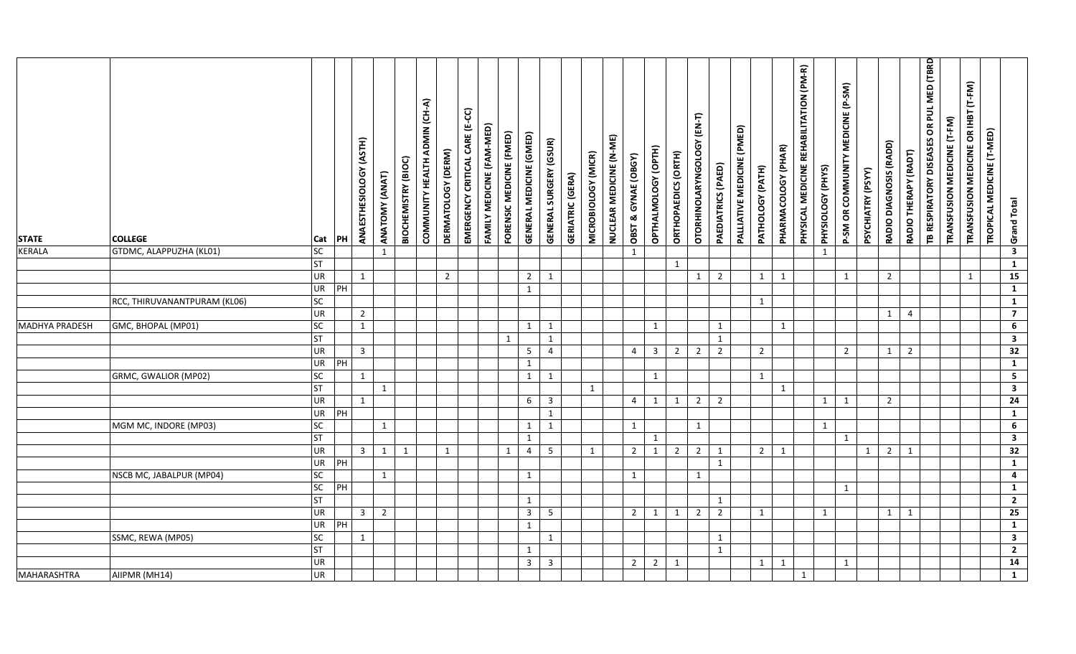| <b>STATE</b>          | <b>COLLEGE</b>               | Cat        | PH | (ASTH)<br>ANAESTHESIOLOGY | ANATOMY (ANAT) | BIOCHEMISTRY (BIOC) | COMMUNITY HEALTH ADMIN (CH-A) | DERMATOLOGY (DERM) | EMERGENCY CRITICAL CARE (E-CC) | FAMILY MEDICINE (FAM-MED) | FORENSIC MEDICINE (FMED) | <b>GENERAL MEDICINE (GMED)</b> | <b>GENERAL SURGERY (GSUR)</b> | <b>GERIATRIC (GERA)</b> | MICROBIOLOGY (MICR) | NUCLEAR MEDICINE (N-ME) | OBST & GYNAE (OBGY) | OPTHALMOLOGY (OPTH)          | ORTHOPAEDICS (ORTH) | OTORHINOLARYNGOLOGY (EN-T) | PAEDIATRICS (PAED) | PALLIATIVE MEDICINE (PMED) | PATHOLOGY (PATH) | PHARMACOLOGY (PHAR) | PHYSICAL MEDICINE REHABILITATION (PM-R) | PHYSIOLOGY (PHYS) | MEDICINE (P-SM)<br>P-SM OR COMMUNITY | PSYCHIATRY (PSYY) | RADIO DIAGNOSIS (RADD) | RADIO THERAPY (RADT) | TB RESPIRATORY DISEASES OR PUL MED (TBRD | TRANSFUSION MEDICINE (T-FM) | TRANSFUSION MEDICINE OR IHBT (T-FM) | TROPICAL MEDICINE (T-MED) | <b>Grand Total</b>      |  |
|-----------------------|------------------------------|------------|----|---------------------------|----------------|---------------------|-------------------------------|--------------------|--------------------------------|---------------------------|--------------------------|--------------------------------|-------------------------------|-------------------------|---------------------|-------------------------|---------------------|------------------------------|---------------------|----------------------------|--------------------|----------------------------|------------------|---------------------|-----------------------------------------|-------------------|--------------------------------------|-------------------|------------------------|----------------------|------------------------------------------|-----------------------------|-------------------------------------|---------------------------|-------------------------|--|
| <b>KERALA</b>         | GTDMC, ALAPPUZHA (KL01)      | SC         |    |                           | $\mathbf{1}$   |                     |                               |                    |                                |                           |                          |                                |                               |                         |                     |                         | 1                   |                              |                     |                            |                    |                            |                  |                     |                                         | 1                 |                                      |                   |                        |                      |                                          |                             |                                     |                           | $\overline{\mathbf{3}}$ |  |
|                       |                              | <b>ST</b>  |    |                           |                |                     |                               |                    |                                |                           |                          |                                |                               |                         |                     |                         |                     |                              | $\mathbf{1}$        |                            |                    |                            |                  |                     |                                         |                   |                                      |                   |                        |                      |                                          |                             |                                     |                           | $\mathbf{1}$            |  |
|                       |                              | <b>UR</b>  |    | $\mathbf{1}$              |                |                     |                               | $\overline{2}$     |                                |                           |                          | $\overline{2}$                 | 1                             |                         |                     |                         |                     |                              |                     | 1                          | $\overline{2}$     |                            | $\mathbf{1}$     | 1                   |                                         |                   | $\mathbf{1}$                         |                   | $\overline{2}$         |                      |                                          |                             | 1                                   |                           | 15                      |  |
|                       |                              | UR         | PH |                           |                |                     |                               |                    |                                |                           |                          | $\mathbf{1}$                   |                               |                         |                     |                         |                     |                              |                     |                            |                    |                            |                  |                     |                                         |                   |                                      |                   |                        |                      |                                          |                             |                                     |                           | $\mathbf{1}$            |  |
|                       | RCC, THIRUVANANTPURAM (KL06) | SC         |    |                           |                |                     |                               |                    |                                |                           |                          |                                |                               |                         |                     |                         |                     |                              |                     |                            |                    |                            | 1                |                     |                                         |                   |                                      |                   |                        |                      |                                          |                             |                                     |                           | $\mathbf{1}$            |  |
|                       |                              | <b>UR</b>  |    | $\overline{2}$            |                |                     |                               |                    |                                |                           |                          |                                |                               |                         |                     |                         |                     |                              |                     |                            |                    |                            |                  |                     |                                         |                   |                                      |                   | $\mathbf{1}$           | $\overline{4}$       |                                          |                             |                                     |                           | $\overline{7}$          |  |
| <b>MADHYA PRADESH</b> | GMC, BHOPAL (MP01)           | SC         |    | $\mathbf{1}$              |                |                     |                               |                    |                                |                           |                          | 1                              | 1                             |                         |                     |                         |                     | $\mathbf{1}$                 |                     |                            | $\mathbf{1}$       |                            |                  | $\mathbf{1}$        |                                         |                   |                                      |                   |                        |                      |                                          |                             |                                     |                           | $\overline{6}$          |  |
|                       |                              | ST         |    |                           |                |                     |                               |                    |                                |                           | $\mathbf{1}$             |                                | $\mathbf{1}$                  |                         |                     |                         |                     |                              |                     |                            | 1                  |                            |                  |                     |                                         |                   |                                      |                   |                        |                      |                                          |                             |                                     |                           | $\overline{\mathbf{3}}$ |  |
|                       |                              | UR         |    | $\overline{3}$            |                |                     |                               |                    |                                |                           |                          | -5                             | $\overline{4}$                |                         |                     |                         | 4                   | $\overline{3}$               | $\overline{2}$      | $\overline{2}$             | $\overline{2}$     |                            | $\overline{2}$   |                     |                                         |                   | $\overline{2}$                       |                   | $\mathbf{1}$           | $\overline{2}$       |                                          |                             |                                     |                           | $\overline{32}$         |  |
|                       |                              | UR         | PH |                           |                |                     |                               |                    |                                |                           |                          | $\mathbf{1}$                   |                               |                         |                     |                         |                     |                              |                     |                            |                    |                            |                  |                     |                                         |                   |                                      |                   |                        |                      |                                          |                             |                                     |                           | $\overline{1}$          |  |
|                       | GRMC, GWALIOR (MP02)         | ${\sf SC}$ |    | $\mathbf{1}$              |                |                     |                               |                    |                                |                           |                          | $\mathbf{1}$                   | $\mathbf{1}$                  |                         |                     |                         |                     | $\mathbf{1}$                 |                     |                            |                    |                            | $\mathbf{1}$     |                     |                                         |                   |                                      |                   |                        |                      |                                          |                             |                                     |                           | $\overline{\mathbf{5}}$ |  |
|                       |                              | <b>ST</b>  |    |                           | $\mathbf{1}$   |                     |                               |                    |                                |                           |                          |                                |                               |                         | $\mathbf{1}$        |                         |                     |                              |                     |                            |                    |                            |                  | $\mathbf{1}$        |                                         |                   |                                      |                   |                        |                      |                                          |                             |                                     |                           | $\overline{\mathbf{3}}$ |  |
|                       |                              | <b>UR</b>  |    | 1                         |                |                     |                               |                    |                                |                           |                          | 6                              | $\overline{3}$                |                         |                     |                         | $\overline{4}$      | 1                            | $\mathbf{1}$        | $\overline{2}$             | $\overline{2}$     |                            |                  |                     |                                         | $\mathbf{1}$      | 1                                    |                   | $\overline{2}$         |                      |                                          |                             |                                     |                           | $\overline{24}$         |  |
|                       |                              | UR<br>SC   | PH |                           |                |                     |                               |                    |                                |                           |                          |                                | $\mathbf{1}$                  |                         |                     |                         |                     |                              |                     |                            |                    |                            |                  |                     |                                         |                   |                                      |                   |                        |                      |                                          |                             |                                     |                           | $\mathbf{1}$<br>6       |  |
|                       | MGM MC, INDORE (MP03)        | <b>ST</b>  |    |                           | 1              |                     |                               |                    |                                |                           |                          | 1                              | $\mathbf{1}$                  |                         |                     |                         | 1                   |                              |                     | $\mathbf{1}$               |                    |                            |                  |                     |                                         | $\mathbf{1}$      |                                      |                   |                        |                      |                                          |                             |                                     |                           | $\overline{\mathbf{3}}$ |  |
|                       |                              | <b>UR</b>  |    | $\overline{3}$            | 1              | $\overline{1}$      |                               | $\mathbf{1}$       |                                |                           | $\mathbf{1}$             | $\mathbf{1}$<br>$\overline{4}$ | 5                             |                         | 1                   |                         | $\overline{2}$      | $\mathbf{1}$<br>$\mathbf{1}$ | $\overline{2}$      | $\overline{2}$             | $\mathbf{1}$       |                            | $\overline{2}$   | 1                   |                                         |                   | $\mathbf{1}$                         | $\mathbf{1}$      | $\overline{2}$         | 1                    |                                          |                             |                                     |                           | $\overline{32}$         |  |
|                       |                              | UR         | PH |                           |                |                     |                               |                    |                                |                           |                          |                                |                               |                         |                     |                         |                     |                              |                     |                            | 1                  |                            |                  |                     |                                         |                   |                                      |                   |                        |                      |                                          |                             |                                     |                           | $\mathbf{1}$            |  |
|                       | NSCB MC, JABALPUR (MP04)     | SC         |    |                           | 1              |                     |                               |                    |                                |                           |                          | $\mathbf{1}$                   |                               |                         |                     |                         | 1                   |                              |                     | 1                          |                    |                            |                  |                     |                                         |                   |                                      |                   |                        |                      |                                          |                             |                                     |                           | $\overline{4}$          |  |
|                       |                              | $\sf SC$   | PH |                           |                |                     |                               |                    |                                |                           |                          |                                |                               |                         |                     |                         |                     |                              |                     |                            |                    |                            |                  |                     |                                         |                   | $\mathbf{1}$                         |                   |                        |                      |                                          |                             |                                     |                           | $\mathbf{1}$            |  |
|                       |                              | <b>ST</b>  |    |                           |                |                     |                               |                    |                                |                           |                          | $\mathbf{1}$                   |                               |                         |                     |                         |                     |                              |                     |                            | $\mathbf{1}$       |                            |                  |                     |                                         |                   |                                      |                   |                        |                      |                                          |                             |                                     |                           | $\overline{2}$          |  |
|                       |                              | <b>UR</b>  |    | $\mathbf{3}$              | $\overline{2}$ |                     |                               |                    |                                |                           |                          | $\overline{3}$                 | $5\overline{)}$               |                         |                     |                         | $\overline{2}$      | 1                            | 1                   | $\overline{2}$             | $\overline{2}$     |                            | $\mathbf{1}$     |                     |                                         | $\mathbf{1}$      |                                      |                   | 1                      | 1                    |                                          |                             |                                     |                           | 25                      |  |
|                       |                              | <b>UR</b>  | PH |                           |                |                     |                               |                    |                                |                           |                          | $\mathbf{1}$                   |                               |                         |                     |                         |                     |                              |                     |                            |                    |                            |                  |                     |                                         |                   |                                      |                   |                        |                      |                                          |                             |                                     |                           | $\overline{1}$          |  |
|                       | SSMC, REWA (MP05)            | SC         |    | $\mathbf{1}$              |                |                     |                               |                    |                                |                           |                          |                                | $\mathbf{1}$                  |                         |                     |                         |                     |                              |                     |                            | $\mathbf{1}$       |                            |                  |                     |                                         |                   |                                      |                   |                        |                      |                                          |                             |                                     |                           | $\overline{\mathbf{3}}$ |  |
|                       |                              | <b>ST</b>  |    |                           |                |                     |                               |                    |                                |                           |                          | $\mathbf{1}$                   |                               |                         |                     |                         |                     |                              |                     |                            | $\mathbf{1}$       |                            |                  |                     |                                         |                   |                                      |                   |                        |                      |                                          |                             |                                     |                           | $\overline{2}$          |  |
|                       |                              | <b>UR</b>  |    |                           |                |                     |                               |                    |                                |                           |                          | $\overline{\mathbf{3}}$        | $\overline{3}$                |                         |                     |                         | $\overline{2}$      | $\overline{2}$               | $\mathbf{1}$        |                            |                    |                            | $\mathbf{1}$     | 1                   |                                         |                   | $\mathbf{1}$                         |                   |                        |                      |                                          |                             |                                     |                           | $\overline{14}$         |  |
| <b>MAHARASHTRA</b>    | AIIPMR (MH14)                | UR         |    |                           |                |                     |                               |                    |                                |                           |                          |                                |                               |                         |                     |                         |                     |                              |                     |                            |                    |                            |                  |                     | 1                                       |                   |                                      |                   |                        |                      |                                          |                             |                                     |                           | $\mathbf{1}$            |  |
|                       |                              |            |    |                           |                |                     |                               |                    |                                |                           |                          |                                |                               |                         |                     |                         |                     |                              |                     |                            |                    |                            |                  |                     |                                         |                   |                                      |                   |                        |                      |                                          |                             |                                     |                           |                         |  |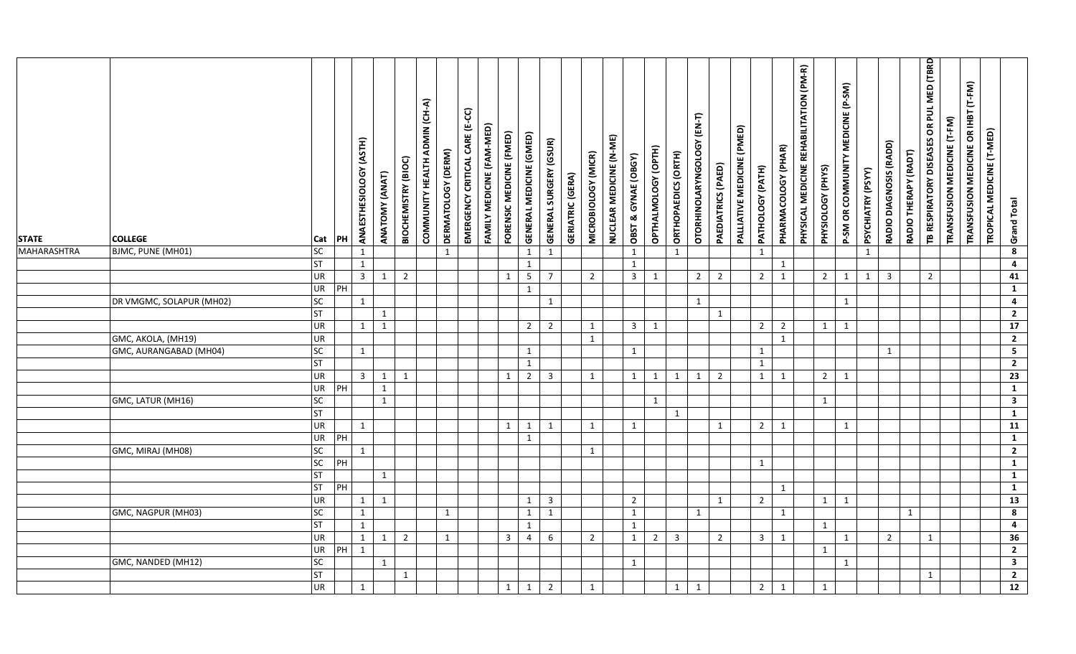| <b>STATE</b><br><b>MAHARASHTRA</b> | <b>COLLEGE</b><br>BJMC, PUNE (MH01) | Cat<br>SC       | PH             | ANAESTHESIOLOGY (ASTH)<br>$\mathbf{1}$ | ANATOMY (ANAT) | BIOCHEMISTRY (BIOC) | COMMUNITY HEALTH ADMIN (CH-A) | DERMATOLOGY (DERM)<br>$\mathbf{1}$ | EMERGENCY CRITICAL CARE (E-CC) | FAMILY MEDICINE (FAM-MED) | FORENSIC MEDICINE (FMED) | GENERAL MEDICINE (GMED)<br>$\mathbf{1}$ | <b>GENERAL SURGERY (GSUR)</b><br>$\mathbf{1}$ | <b>GERIATRIC (GERA)</b> | MICROBIOLOGY (MICR) | NUCLEAR MEDICINE (N-ME) | OBST & GYNAE (OBGY)<br>$\mathbf{1}$ | OPTHALMOLOGY (OPTH) | ORTHOPAEDICS (ORTH)<br>$\mathbf{1}$ | OTORHINOLARYNGOLOGY (EN-T) | PAEDIATRICS (PAED) | PALLIATIVE MEDICINE (PMED) | PATHOLOGY (PATH)<br>$\mathbf{1}$ | PHARMACOLOGY (PHAR) | PHYSICAL MEDICINE REHABILITATION (PM-R) | PHYSIOLOGY (PHYS) | P-SM OR COMMUNITY MEDICINE (P-SM) | PSYCHIATRY (PSYY)<br>$\mathbf{1}$ | RADIO DIAGNOSIS (RADD) | RADIO THERAPY (RADT) | TB RESPIRATORY DISEASES OR PUL MED (TBRD | TRANSFUSION MEDICINE (T-FM) | TRANSFUSION MEDICINE OR IHBT (T-FM) | TROPICAL MEDICINE (T-MED) | <b>Grand Total</b><br>$\overline{\mathbf{8}}$ |  |
|------------------------------------|-------------------------------------|-----------------|----------------|----------------------------------------|----------------|---------------------|-------------------------------|------------------------------------|--------------------------------|---------------------------|--------------------------|-----------------------------------------|-----------------------------------------------|-------------------------|---------------------|-------------------------|-------------------------------------|---------------------|-------------------------------------|----------------------------|--------------------|----------------------------|----------------------------------|---------------------|-----------------------------------------|-------------------|-----------------------------------|-----------------------------------|------------------------|----------------------|------------------------------------------|-----------------------------|-------------------------------------|---------------------------|-----------------------------------------------|--|
|                                    |                                     | <b>ST</b>       |                | $\mathbf{1}$                           |                |                     |                               |                                    |                                |                           |                          | $\mathbf{1}$                            |                                               |                         |                     |                         | 1                                   |                     |                                     |                            |                    |                            |                                  | 1                   |                                         |                   |                                   |                                   |                        |                      |                                          |                             |                                     |                           | $\overline{4}$                                |  |
|                                    |                                     | <b>UR</b>       |                | $\overline{3}$                         | 1              | $\overline{2}$      |                               |                                    |                                |                           | 1                        | $\overline{\mathbf{5}}$                 | $\overline{7}$                                |                         | $\overline{2}$      |                         | $\overline{3}$                      | $\mathbf{1}$        |                                     | $2^{\circ}$                | $\overline{2}$     |                            | $\overline{2}$                   | 1                   |                                         | $\overline{2}$    | $\mathbf{1}$                      | $\mathbf{1}$                      | $\overline{3}$         |                      | $2^{\circ}$                              |                             |                                     |                           | 41                                            |  |
|                                    |                                     | UR              | PH             |                                        |                |                     |                               |                                    |                                |                           |                          | $\mathbf{1}$                            |                                               |                         |                     |                         |                                     |                     |                                     |                            |                    |                            |                                  |                     |                                         |                   |                                   |                                   |                        |                      |                                          |                             |                                     |                           | $\mathbf{1}$                                  |  |
|                                    | DR VMGMC, SOLAPUR (MH02)            | SC              |                | 1                                      |                |                     |                               |                                    |                                |                           |                          |                                         | $\mathbf{1}$                                  |                         |                     |                         |                                     |                     |                                     | $\mathbf{1}$               |                    |                            |                                  |                     |                                         |                   | 1                                 |                                   |                        |                      |                                          |                             |                                     |                           | $\overline{4}$                                |  |
|                                    |                                     | <b>ST</b>       |                |                                        | $\mathbf{1}$   |                     |                               |                                    |                                |                           |                          |                                         |                                               |                         |                     |                         |                                     |                     |                                     |                            | 1                  |                            |                                  |                     |                                         |                   |                                   |                                   |                        |                      |                                          |                             |                                     |                           | $\overline{2}$                                |  |
|                                    |                                     | UR              |                | 1                                      | $\mathbf{1}$   |                     |                               |                                    |                                |                           |                          | $2^{\circ}$                             | $\overline{2}$                                |                         | 1                   |                         | $\overline{3}$                      | $\mathbf{1}$        |                                     |                            |                    |                            | $\overline{2}$                   | $\overline{2}$      |                                         | 1                 | $\mathbf{1}$                      |                                   |                        |                      |                                          |                             |                                     |                           | $\overline{17}$                               |  |
|                                    | GMC, AKOLA, (MH19)                  | UR              |                |                                        |                |                     |                               |                                    |                                |                           |                          |                                         |                                               |                         | 1                   |                         |                                     |                     |                                     |                            |                    |                            |                                  | 1                   |                                         |                   |                                   |                                   |                        |                      |                                          |                             |                                     |                           | $\overline{2}$                                |  |
|                                    | GMC, AURANGABAD (MH04)              | SC              |                | 1                                      |                |                     |                               |                                    |                                |                           |                          | $\mathbf{1}$                            |                                               |                         |                     |                         | $\mathbf{1}$                        |                     |                                     |                            |                    |                            | $\mathbf{1}$                     |                     |                                         |                   |                                   |                                   | 1                      |                      |                                          |                             |                                     |                           | $\overline{\mathbf{5}}$                       |  |
|                                    |                                     | <b>ST</b>       |                |                                        |                |                     |                               |                                    |                                |                           |                          | $\mathbf{1}$                            |                                               |                         |                     |                         |                                     |                     |                                     |                            |                    |                            | $\mathbf{1}$                     |                     |                                         |                   |                                   |                                   |                        |                      |                                          |                             |                                     |                           | $\overline{2}$                                |  |
|                                    |                                     | UR              |                | $\overline{\mathbf{3}}$                | $\mathbf{1}$   | 1                   |                               |                                    |                                |                           | $\mathbf{1}$             | $\overline{2}$                          | $\overline{3}$                                |                         | 1                   |                         | 1                                   | $\mathbf{1}$        | $\mathbf{1}$                        | $\mathbf{1}$               | $\overline{2}$     |                            | $\mathbf{1}$                     | 1                   |                                         | $2^{\circ}$       | $\mathbf{1}$                      |                                   |                        |                      |                                          |                             |                                     |                           | $\overline{23}$                               |  |
|                                    |                                     | UR              | PH             |                                        | $\mathbf{1}$   |                     |                               |                                    |                                |                           |                          |                                         |                                               |                         |                     |                         |                                     |                     |                                     |                            |                    |                            |                                  |                     |                                         |                   |                                   |                                   |                        |                      |                                          |                             |                                     |                           | $\overline{1}$                                |  |
|                                    | GMC, LATUR (MH16)                   | SC              |                |                                        | $\mathbf{1}$   |                     |                               |                                    |                                |                           |                          |                                         |                                               |                         |                     |                         |                                     | $\mathbf{1}$        |                                     |                            |                    |                            |                                  |                     |                                         | $\mathbf{1}$      |                                   |                                   |                        |                      |                                          |                             |                                     |                           | $\overline{\mathbf{3}}$                       |  |
|                                    |                                     | <b>ST</b><br>UR |                |                                        |                |                     |                               |                                    |                                |                           |                          |                                         |                                               |                         |                     |                         |                                     |                     | 1                                   |                            |                    |                            |                                  |                     |                                         |                   |                                   |                                   |                        |                      |                                          |                             |                                     |                           | $\overline{1}$<br>11                          |  |
|                                    |                                     |                 |                | 1                                      |                |                     |                               |                                    |                                |                           | 1                        | 1                                       | 1                                             |                         | 1                   |                         | 1                                   |                     |                                     |                            | 1                  |                            | $\overline{2}$                   | 1                   |                                         |                   | $\mathbf{1}$                      |                                   |                        |                      |                                          |                             |                                     |                           | $\overline{1}$                                |  |
|                                    | GMC, MIRAJ (MH08)                   | UR<br>SC        | PH             | $\mathbf{1}$                           |                |                     |                               |                                    |                                |                           |                          | $\mathbf{1}$                            |                                               |                         | 1                   |                         |                                     |                     |                                     |                            |                    |                            |                                  |                     |                                         |                   |                                   |                                   |                        |                      |                                          |                             |                                     |                           | $\overline{2}$                                |  |
|                                    |                                     | SC              | PH             |                                        |                |                     |                               |                                    |                                |                           |                          |                                         |                                               |                         |                     |                         |                                     |                     |                                     |                            |                    |                            | $\mathbf{1}$                     |                     |                                         |                   |                                   |                                   |                        |                      |                                          |                             |                                     |                           | $\mathbf{1}$                                  |  |
|                                    |                                     | <b>ST</b>       |                |                                        | 1              |                     |                               |                                    |                                |                           |                          |                                         |                                               |                         |                     |                         |                                     |                     |                                     |                            |                    |                            |                                  |                     |                                         |                   |                                   |                                   |                        |                      |                                          |                             |                                     |                           | $\overline{1}$                                |  |
|                                    |                                     | <b>ST</b>       | $\overline{P}$ |                                        |                |                     |                               |                                    |                                |                           |                          |                                         |                                               |                         |                     |                         |                                     |                     |                                     |                            |                    |                            |                                  | $\mathbf{1}$        |                                         |                   |                                   |                                   |                        |                      |                                          |                             |                                     |                           | $\overline{1}$                                |  |
|                                    |                                     | UR              |                | $\mathbf{1}$                           | 1              |                     |                               |                                    |                                |                           |                          | $\mathbf{1}$                            | $\overline{3}$                                |                         |                     |                         | $\overline{2}$                      |                     |                                     |                            | 1                  |                            | $\overline{2}$                   |                     |                                         | 1                 | 1                                 |                                   |                        |                      |                                          |                             |                                     |                           | $\overline{13}$                               |  |
|                                    | GMC, NAGPUR (MH03)                  | SC              |                | $\mathbf{1}$                           |                |                     |                               | $\mathbf{1}$                       |                                |                           |                          | $\mathbf{1}$                            | 1                                             |                         |                     |                         | 1                                   |                     |                                     | $\mathbf{1}$               |                    |                            |                                  | 1                   |                                         |                   |                                   |                                   |                        | $\mathbf{1}$         |                                          |                             |                                     |                           | $\overline{\mathbf{8}}$                       |  |
|                                    |                                     | <b>ST</b>       |                | 1                                      |                |                     |                               |                                    |                                |                           |                          | 1                                       |                                               |                         |                     |                         | 1                                   |                     |                                     |                            |                    |                            |                                  |                     |                                         | 1                 |                                   |                                   |                        |                      |                                          |                             |                                     |                           | $\overline{4}$                                |  |
|                                    |                                     | UR              |                | $\mathbf{1}$                           | 1              | $\overline{2}$      |                               | $\mathbf{1}$                       |                                |                           | $\overline{3}$           | $\overline{4}$                          | 6                                             |                         | $\overline{2}$      |                         | 1                                   | $2^{\circ}$         | $\overline{3}$                      |                            | $\overline{2}$     |                            | $\overline{3}$                   | 1                   |                                         |                   | $\mathbf{1}$                      |                                   | $\overline{2}$         |                      | $\mathbf{1}$                             |                             |                                     |                           | 36                                            |  |
|                                    |                                     | UR              | PH             | 1                                      |                |                     |                               |                                    |                                |                           |                          |                                         |                                               |                         |                     |                         |                                     |                     |                                     |                            |                    |                            |                                  |                     |                                         | $\mathbf{1}$      |                                   |                                   |                        |                      |                                          |                             |                                     |                           | $\overline{2}$                                |  |
|                                    | GMC, NANDED (MH12)                  | SC              |                |                                        | 1              |                     |                               |                                    |                                |                           |                          |                                         |                                               |                         |                     |                         | 1                                   |                     |                                     |                            |                    |                            |                                  |                     |                                         |                   | 1                                 |                                   |                        |                      |                                          |                             |                                     |                           | $\overline{\mathbf{3}}$                       |  |
|                                    |                                     | <b>ST</b>       |                |                                        |                | $\mathbf{1}$        |                               |                                    |                                |                           |                          |                                         |                                               |                         |                     |                         |                                     |                     |                                     |                            |                    |                            |                                  |                     |                                         |                   |                                   |                                   |                        |                      | $\mathbf{1}$                             |                             |                                     |                           | $\overline{2}$                                |  |
|                                    |                                     | UR              |                | 1                                      |                |                     |                               |                                    |                                |                           | $\mathbf{1}$             | $\mathbf{1}$                            | $\overline{2}$                                |                         | $\mathbf{1}$        |                         |                                     |                     | $\mathbf{1}$                        | $\mathbf{1}$               |                    |                            | $2^{\circ}$                      | 1                   |                                         | 1                 |                                   |                                   |                        |                      |                                          |                             |                                     |                           | 12                                            |  |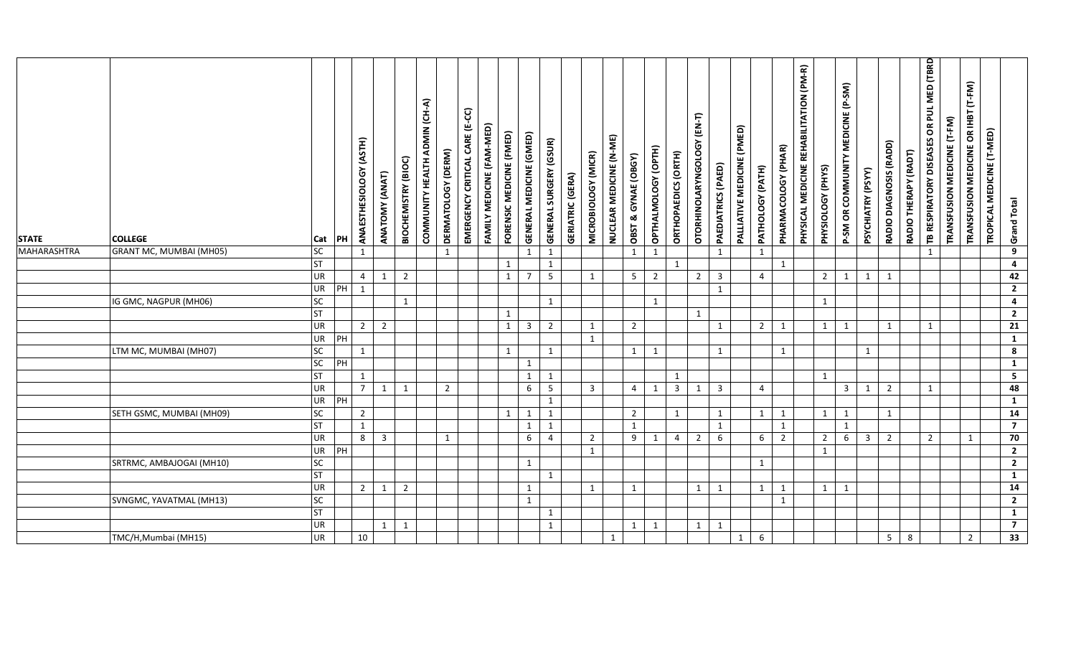| <b>STATE</b>       | <b>COLLEGE</b>           | Cat       | PH | ANAESTHESIOLOGY (ASTH) | ANATOMY (ANAT)             | BIOCHEMISTRY (BIOC) | COMMUNITY HEALTH ADMIN (CH-A) | DERMATOLOGY (DERM) | EMERGENCY CRITICAL CARE (E-CC) | FAMILY MEDICINE (FAM-MED) | FORENSIC MEDICINE (FMED) | GENERAL MEDICINE (GMED) | <b>GENERAL SURGERY (GSUR)</b> | <b>GERIATRIC (GERA)</b> | MICROBIOLOGY (MICR) | NUCLEAR MEDICINE (N-ME) | OBST & GYNAE (OBGY) | OPTHALMOLOGY (OPTH) | ORTHOPAEDICS (ORTH) | OTORHINOLARYNGOLOGY (EN-T) | PAEDIATRICS (PAED) | PALLIATIVE MEDICINE (PMED) | PATHOLOGY (PATH) | PHARMACOLOGY (PHAR) | PHYSICAL MEDICINE REHABILITATION (PM-R) | PHYSIOLOGY (PHYS) | MEDICINE (P-SM)<br>P-SM OR COMMUNITY | PSYCHIATRY (PSYY) | RADIO DIAGNOSIS (RADD) | RADIO THERAPY (RADT) | PUL MED (TBRD<br>$\tilde{6}$<br>TB RESPIRATORY DISEASES | TRANSFUSION MEDICINE (T-FM) | TRANSFUSION MEDICINE OR IHBT (T-FM) | TROPICAL MEDICINE (T-MED) | Grand Total             |
|--------------------|--------------------------|-----------|----|------------------------|----------------------------|---------------------|-------------------------------|--------------------|--------------------------------|---------------------------|--------------------------|-------------------------|-------------------------------|-------------------------|---------------------|-------------------------|---------------------|---------------------|---------------------|----------------------------|--------------------|----------------------------|------------------|---------------------|-----------------------------------------|-------------------|--------------------------------------|-------------------|------------------------|----------------------|---------------------------------------------------------|-----------------------------|-------------------------------------|---------------------------|-------------------------|
| <b>MAHARASHTRA</b> | GRANT MC, MUMBAI (MH05)  | <b>SC</b> |    | 1                      |                            |                     |                               | $\mathbf{1}$       |                                |                           |                          | $\mathbf{1}$            | $\mathbf{1}$                  |                         |                     |                         | $\mathbf{1}$        | $\mathbf{1}$        |                     |                            | 1                  |                            | 1                |                     |                                         |                   |                                      |                   |                        |                      | 1                                                       |                             |                                     |                           | $9^{\circ}$             |
|                    |                          | <b>ST</b> |    |                        |                            |                     |                               |                    |                                |                           | $\mathbf{1}$             |                         | 1                             |                         |                     |                         |                     |                     | $\mathbf{1}$        |                            |                    |                            |                  | 1                   |                                         |                   |                                      |                   |                        |                      |                                                         |                             |                                     |                           | 4                       |
|                    |                          | <b>UR</b> |    | $\overline{4}$         | 1                          | $\overline{2}$      |                               |                    |                                |                           | $\mathbf{1}$             | $\overline{7}$          | $5\overline{5}$               |                         | 1                   |                         | $5\overline{)}$     | $\overline{2}$      |                     | $\overline{2}$             | $\overline{3}$     |                            | $\overline{4}$   |                     |                                         | $\overline{2}$    | 1                                    | $\mathbf{1}$      | 1                      |                      |                                                         |                             |                                     |                           | 42                      |
|                    |                          | <b>UR</b> | PH | 1                      |                            |                     |                               |                    |                                |                           |                          |                         |                               |                         |                     |                         |                     |                     |                     |                            | 1                  |                            |                  |                     |                                         |                   |                                      |                   |                        |                      |                                                         |                             |                                     |                           | $\overline{2}$          |
|                    | IG GMC, NAGPUR (MH06)    | SC        |    |                        |                            | $\mathbf{1}$        |                               |                    |                                |                           |                          |                         | 1                             |                         |                     |                         |                     | $\mathbf{1}$        |                     |                            |                    |                            |                  |                     |                                         | 1                 |                                      |                   |                        |                      |                                                         |                             |                                     |                           | $\overline{\mathbf{4}}$ |
|                    |                          | <b>ST</b> |    |                        |                            |                     |                               |                    |                                |                           | 1                        |                         |                               |                         |                     |                         |                     |                     |                     | 1                          |                    |                            |                  |                     |                                         |                   |                                      |                   |                        |                      |                                                         |                             |                                     |                           | $\overline{2}$          |
|                    |                          | <b>UR</b> |    | $\overline{2}$         | $\overline{2}$             |                     |                               |                    |                                |                           | 1                        | $\overline{3}$          | $\overline{2}$                |                         | 1                   |                         | $\overline{2}$      |                     |                     |                            | 1                  |                            | $\overline{2}$   | 1                   |                                         | 1                 | 1                                    |                   | 1                      |                      | $\mathbf{1}$                                            |                             |                                     |                           | $\overline{21}$         |
|                    |                          | UR PH     |    |                        |                            |                     |                               |                    |                                |                           |                          |                         |                               |                         | 1                   |                         |                     |                     |                     |                            |                    |                            |                  |                     |                                         |                   |                                      |                   |                        |                      |                                                         |                             |                                     |                           | $\mathbf{1}$            |
|                    | LTM MC, MUMBAI (MH07)    | <b>SC</b> |    | 1                      |                            |                     |                               |                    |                                |                           | $\mathbf{1}$             |                         | $\mathbf{1}$                  |                         |                     |                         | 1                   | $\mathbf{1}$        |                     |                            | 1                  |                            |                  | 1                   |                                         |                   |                                      | $\mathbf{1}$      |                        |                      |                                                         |                             |                                     |                           | $\overline{\mathbf{8}}$ |
|                    |                          | <b>SC</b> | PH |                        |                            |                     |                               |                    |                                |                           |                          | $\mathbf{1}$            |                               |                         |                     |                         |                     |                     |                     |                            |                    |                            |                  |                     |                                         |                   |                                      |                   |                        |                      |                                                         |                             |                                     |                           | $\overline{1}$          |
|                    |                          | <b>ST</b> |    | 1                      |                            |                     |                               |                    |                                |                           |                          | $\mathbf{1}$            | 1                             |                         |                     |                         |                     |                     | 1                   |                            |                    |                            |                  |                     |                                         | 1                 |                                      |                   |                        |                      |                                                         |                             |                                     |                           | $\overline{\mathbf{5}}$ |
|                    |                          | UR        |    | $\overline{7}$         | 1                          | $\mathbf{1}$        |                               | 2                  |                                |                           |                          | 6                       | $\overline{\phantom{0}}$      |                         | $\overline{3}$      |                         | 4                   | 1                   | $\overline{3}$      | 1                          | $\overline{3}$     |                            | $\overline{4}$   |                     |                                         |                   | $\overline{3}$                       | $\mathbf{1}$      | $\overline{2}$         |                      | $\mathbf{1}$                                            |                             |                                     |                           | 48                      |
|                    |                          | UR PH     |    |                        |                            |                     |                               |                    |                                |                           |                          |                         | $\mathbf{1}$                  |                         |                     |                         |                     |                     |                     |                            |                    |                            |                  |                     |                                         |                   |                                      |                   |                        |                      |                                                         |                             |                                     |                           | $\mathbf{1}$            |
|                    | SETH GSMC, MUMBAI (MH09) | <b>SC</b> |    | $\overline{2}$         |                            |                     |                               |                    |                                |                           | 1                        | $\mathbf{1}$            | $\mathbf{1}$                  |                         |                     |                         | $\overline{2}$      |                     | 1                   |                            | 1                  |                            | $\mathbf{1}$     | 1                   |                                         | 1                 | 1                                    |                   | 1                      |                      |                                                         |                             |                                     |                           | 14                      |
|                    |                          | <b>ST</b> |    | $\mathbf{1}$           |                            |                     |                               |                    |                                |                           |                          | $\mathbf{1}$            | $\mathbf{1}$                  |                         |                     |                         | $\mathbf{1}$        |                     |                     |                            | $\mathbf{1}$       |                            |                  | 1                   |                                         |                   | $\mathbf{1}$                         |                   |                        |                      |                                                         |                             |                                     |                           | $\overline{7}$          |
|                    |                          | <b>UR</b> |    | 8                      | $\overline{\phantom{a}}$ 3 |                     |                               | $\mathbf{1}$       |                                |                           |                          | $6\overline{6}$         | $\overline{4}$                |                         | $\overline{2}$      |                         | 9                   | $\mathbf{1}$        | $\overline{4}$      | $\overline{2}$             | 6                  |                            | $6\overline{6}$  | $\overline{2}$      |                                         | $\overline{2}$    | $6\overline{6}$                      | $\overline{3}$    | $\overline{2}$         |                      | $2^{\circ}$                                             |                             | $\mathbf{1}$                        |                           | 70                      |
|                    |                          | <b>UR</b> | PH |                        |                            |                     |                               |                    |                                |                           |                          |                         |                               |                         | 1                   |                         |                     |                     |                     |                            |                    |                            |                  |                     |                                         | 1                 |                                      |                   |                        |                      |                                                         |                             |                                     |                           | $\overline{2}$          |
|                    | SRTRMC, AMBAJOGAI (MH10) | <b>SC</b> |    |                        |                            |                     |                               |                    |                                |                           |                          | $\mathbf{1}$            |                               |                         |                     |                         |                     |                     |                     |                            |                    |                            | $\mathbf{1}$     |                     |                                         |                   |                                      |                   |                        |                      |                                                         |                             |                                     |                           | $\overline{2}$          |
|                    |                          | <b>ST</b> |    |                        |                            |                     |                               |                    |                                |                           |                          |                         | 1                             |                         |                     |                         |                     |                     |                     |                            |                    |                            |                  |                     |                                         |                   |                                      |                   |                        |                      |                                                         |                             |                                     |                           | $\mathbf{1}$            |
|                    |                          | <b>UR</b> |    | $\overline{2}$         | 1                          | $\overline{2}$      |                               |                    |                                |                           |                          | $\mathbf{1}$            |                               |                         | $\mathbf{1}$        |                         | $\mathbf{1}$        |                     |                     | $\mathbf{1}$               | $\mathbf{1}$       |                            | $\mathbf{1}$     | 1                   |                                         | $\overline{1}$    | 1                                    |                   |                        |                      |                                                         |                             |                                     |                           | $\overline{14}$         |
|                    | SVNGMC, YAVATMAL (MH13)  | <b>SC</b> |    |                        |                            |                     |                               |                    |                                |                           |                          | 1                       |                               |                         |                     |                         |                     |                     |                     |                            |                    |                            |                  | 1                   |                                         |                   |                                      |                   |                        |                      |                                                         |                             |                                     |                           | $\overline{2}$          |
|                    |                          | <b>ST</b> |    |                        |                            |                     |                               |                    |                                |                           |                          |                         | $\mathbf{1}$                  |                         |                     |                         |                     |                     |                     |                            |                    |                            |                  |                     |                                         |                   |                                      |                   |                        |                      |                                                         |                             |                                     |                           | $\mathbf{1}$            |
|                    |                          | <b>UR</b> |    |                        | 1                          | 1                   |                               |                    |                                |                           |                          |                         | 1                             |                         |                     |                         | 1                   | 1                   |                     | 1                          | 1                  |                            |                  |                     |                                         |                   |                                      |                   |                        |                      |                                                         |                             |                                     |                           | $\overline{\mathbf{z}}$ |
|                    | TMC/H, Mumbai (MH15)     | <b>UR</b> |    | 10                     |                            |                     |                               |                    |                                |                           |                          |                         |                               |                         |                     | 1                       |                     |                     |                     |                            |                    | 1                          | 6                |                     |                                         |                   |                                      |                   | 5 <sup>5</sup>         | 8                    |                                                         |                             | $2^{\circ}$                         |                           | 33                      |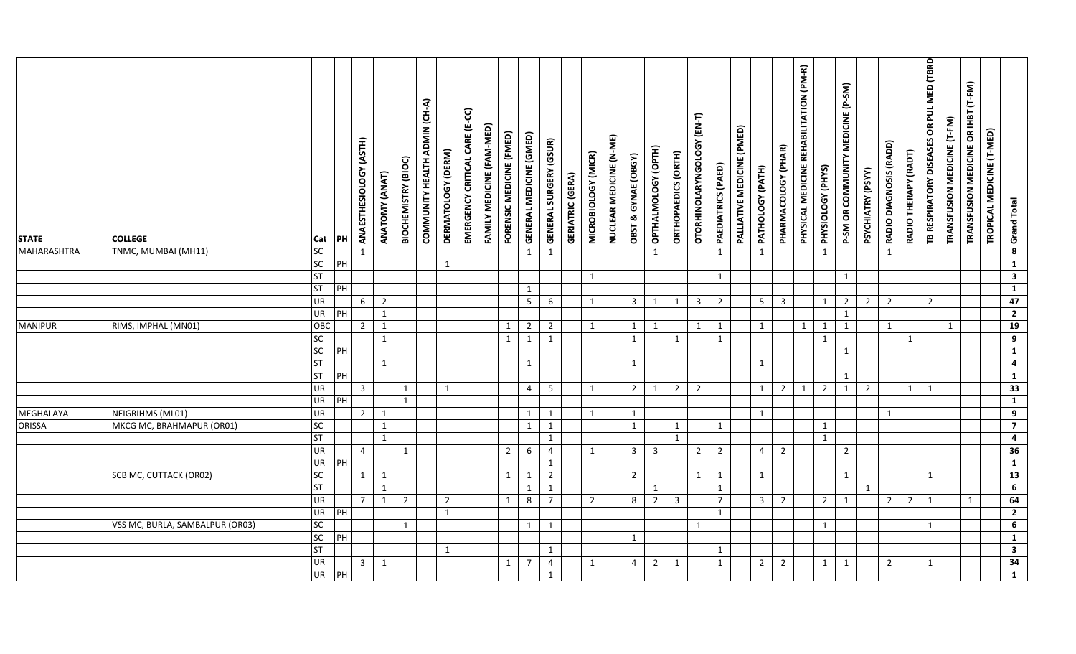| <b>STATE</b>       | <b>COLLEGE</b>                  | Cat       | PH    | (ASTH)<br>ANAESTHESIOLOGY | ANATOMY (ANAT) | <b>BIOCHEMISTRY (BIOC)</b> | COMMUNITY HEALTH ADMIN (CH-A) | DERMATOLOGY (DERM)             | EMERGENCY CRITICAL CARE (E-CC) | FAMILY MEDICINE (FAM-MED) | FORENSIC MEDICINE (FMED) | GENERAL MEDICINE (GMED) | <b>GENERAL SURGERY (GSUR)</b> | <b>GERIATRIC (GERA)</b> | MICROBIOLOGY (MICR) | NUCLEAR MEDICINE (N-ME) | OBST & GYNAE (OBGY)     | OPTHALMOLOGY (OPTH) | ORTHOPAEDICS (ORTH) | OTORHINOLARYNGOLOGY (EN-T) | PAEDIATRICS (PAED) | PALLIATIVE MEDICINE (PMED) | PATHOLOGY (PATH) | PHARMACOLOGY (PHAR) | PHYSICAL MEDICINE REHABILITATION (PM-R) | PHYSIOLOGY (PHYS) | P-SM OR COMMUNITY MEDICINE (P-SM) | PSYCHIATRY (PSYY) | RADIO DIAGNOSIS (RADD) | RADIO THERAPY (RADT) | TB RESPIRATORY DISEASES OR PUL MED (TBRD | TRANSFUSION MEDICINE (T-FM) | TRANSFUSION MEDICINE OR IHBT (T-FM) | TROPICAL MEDICINE (T-MED) | <b>Grand Total</b>               |
|--------------------|---------------------------------|-----------|-------|---------------------------|----------------|----------------------------|-------------------------------|--------------------------------|--------------------------------|---------------------------|--------------------------|-------------------------|-------------------------------|-------------------------|---------------------|-------------------------|-------------------------|---------------------|---------------------|----------------------------|--------------------|----------------------------|------------------|---------------------|-----------------------------------------|-------------------|-----------------------------------|-------------------|------------------------|----------------------|------------------------------------------|-----------------------------|-------------------------------------|---------------------------|----------------------------------|
| <b>MAHARASHTRA</b> | TNMC, MUMBAI (MH11)             | SC        |       | $\mathbf{1}$              |                |                            |                               |                                |                                |                           |                          | $\mathbf{1}$            | 1                             |                         |                     |                         |                         | $\mathbf{1}$        |                     |                            | $\mathbf{1}$       |                            | $\mathbf{1}$     |                     |                                         | 1                 |                                   |                   | $\mathbf{1}$           |                      |                                          |                             |                                     |                           | $\boldsymbol{8}$                 |
|                    |                                 | SC        | PH    |                           |                |                            |                               | $\mathbf{1}$                   |                                |                           |                          |                         |                               |                         |                     |                         |                         |                     |                     |                            |                    |                            |                  |                     |                                         |                   |                                   |                   |                        |                      |                                          |                             |                                     |                           | $\mathbf{1}$                     |
|                    |                                 | <b>ST</b> |       |                           |                |                            |                               |                                |                                |                           |                          |                         |                               |                         | 1                   |                         |                         |                     |                     |                            | $\mathbf{1}$       |                            |                  |                     |                                         |                   | $\mathbf{1}$                      |                   |                        |                      |                                          |                             |                                     |                           | $\mathbf{3}$                     |
|                    |                                 | <b>ST</b> | PH    |                           |                |                            |                               |                                |                                |                           |                          | $\mathbf{1}$            |                               |                         |                     |                         |                         |                     |                     |                            |                    |                            |                  |                     |                                         |                   |                                   |                   |                        |                      |                                          |                             |                                     |                           | $\mathbf{1}$                     |
|                    |                                 | UR        |       | 6                         | $\overline{2}$ |                            |                               |                                |                                |                           |                          | 5 <sub>1</sub>          | 6                             |                         | 1                   |                         | $\overline{\mathbf{3}}$ | 1                   | 1                   | $\overline{3}$             | $\overline{2}$     |                            | 5 <sub>5</sub>   | $\overline{3}$      |                                         | 1                 | $\overline{2}$                    | $\overline{2}$    | $\overline{2}$         |                      | $2^{\circ}$                              |                             |                                     |                           | 47                               |
|                    |                                 | UR        | PH    |                           | $\mathbf{1}$   |                            |                               |                                |                                |                           |                          |                         |                               |                         |                     |                         |                         |                     |                     |                            |                    |                            |                  |                     |                                         |                   | 1                                 |                   |                        |                      |                                          |                             |                                     |                           | $\overline{2}$                   |
| <b>MANIPUR</b>     | RIMS, IMPHAL (MN01)             | OBC       |       | $\overline{2}$            | 1              |                            |                               |                                |                                |                           | 1                        | $\overline{2}$          | $\overline{2}$                |                         | 1                   |                         | 1                       | 1                   |                     | 1                          | 1                  |                            | 1                |                     | $\mathbf{1}$                            | 1                 | 1                                 |                   | 1                      |                      |                                          | $\mathbf{1}$                |                                     |                           | 19                               |
|                    |                                 | <b>SC</b> |       |                           | 1              |                            |                               |                                |                                |                           | 1                        | $\mathbf{1}$            | 1                             |                         |                     |                         | 1                       |                     | 1                   |                            | 1                  |                            |                  |                     |                                         | 1                 |                                   |                   |                        | $\mathbf{1}$         |                                          |                             |                                     |                           | $\overline{9}$                   |
|                    |                                 | SC        | PH    |                           |                |                            |                               |                                |                                |                           |                          |                         |                               |                         |                     |                         |                         |                     |                     |                            |                    |                            |                  |                     |                                         |                   | $\mathbf{1}$                      |                   |                        |                      |                                          |                             |                                     |                           | $\overline{1}$                   |
|                    |                                 | <b>ST</b> |       |                           | $\mathbf{1}$   |                            |                               |                                |                                |                           |                          | $\mathbf{1}$            |                               |                         |                     |                         | $\mathbf{1}$            |                     |                     |                            |                    |                            | 1                |                     |                                         |                   |                                   |                   |                        |                      |                                          |                             |                                     |                           | $\overline{4}$                   |
|                    |                                 | <b>ST</b> | PH    |                           |                |                            |                               |                                |                                |                           |                          |                         |                               |                         |                     |                         |                         |                     |                     |                            |                    |                            |                  |                     |                                         |                   | $\mathbf{1}$                      |                   |                        |                      |                                          |                             |                                     |                           | $\overline{1}$                   |
|                    |                                 | UR        |       | $\overline{3}$            |                | $\mathbf{1}$               |                               | 1                              |                                |                           |                          | $\overline{4}$          | 5                             |                         | 1                   |                         | $\overline{2}$          | 1                   | $2^{\circ}$         | $\overline{2}$             |                    |                            | $\mathbf{1}$     | $\overline{2}$      | 1                                       | $\overline{2}$    | $\mathbf{1}$                      | $\overline{2}$    |                        | 1                    | $\mathbf{1}$                             |                             |                                     |                           | 33                               |
|                    |                                 | UR        | PH    |                           |                | $\mathbf{1}$               |                               |                                |                                |                           |                          |                         |                               |                         |                     |                         |                         |                     |                     |                            |                    |                            |                  |                     |                                         |                   |                                   |                   |                        |                      |                                          |                             |                                     |                           | $\overline{1}$                   |
| <b>MEGHALAYA</b>   | NEIGRIHMS (ML01)                | UR        |       | 2 <sup>1</sup>            | $\mathbf{1}$   |                            |                               |                                |                                |                           |                          | $\mathbf{1}$            | 1                             |                         | 1                   |                         | 1                       |                     |                     |                            |                    |                            | 1                |                     |                                         |                   |                                   |                   | $\mathbf{1}$           |                      |                                          |                             |                                     |                           | $\overline{9}$                   |
| <b>ORISSA</b>      | MKCG MC, BRAHMAPUR (OR01)       | <b>SC</b> |       |                           | $\mathbf{1}$   |                            |                               |                                |                                |                           |                          | $\mathbf{1}$            | $\mathbf{1}$                  |                         |                     |                         | $\mathbf{1}$            |                     | $\mathbf{1}$        |                            | $\mathbf{1}$       |                            |                  |                     |                                         | $\mathbf{1}$      |                                   |                   |                        |                      |                                          |                             |                                     |                           | $\overline{7}$                   |
|                    |                                 | <b>ST</b> |       |                           | $\mathbf{1}$   |                            |                               |                                |                                |                           |                          |                         | $\mathbf{1}$                  |                         |                     |                         |                         |                     | $\mathbf{1}$        |                            |                    |                            |                  |                     |                                         | 1                 |                                   |                   |                        |                      |                                          |                             |                                     |                           | $\overline{\mathbf{4}}$          |
|                    |                                 | UR        |       | $\overline{4}$            |                | $\mathbf{1}$               |                               |                                |                                |                           | $\overline{2}$           | 6                       | $\overline{4}$                |                         | 1                   |                         | $\mathbf{3}$            | $\overline{3}$      |                     | $\overline{2}$             | $\overline{2}$     |                            | $\overline{4}$   | $\overline{2}$      |                                         |                   | $\overline{2}$                    |                   |                        |                      |                                          |                             |                                     |                           | 36                               |
|                    |                                 | UR        | $P$ H |                           |                |                            |                               |                                |                                |                           |                          |                         | $\mathbf{1}$                  |                         |                     |                         |                         |                     |                     |                            |                    |                            |                  |                     |                                         |                   |                                   |                   |                        |                      |                                          |                             |                                     |                           | $\mathbf{1}$                     |
|                    | SCB MC, CUTTACK (OR02)          | SC        |       | 1                         | 1              |                            |                               |                                |                                |                           | 1                        | $\mathbf{1}$            | $\overline{2}$                |                         |                     |                         | $\overline{2}$          |                     |                     | $\mathbf{1}$               | 1                  |                            | 1                |                     |                                         |                   | $\mathbf{1}$                      |                   |                        |                      | $\mathbf{1}$                             |                             |                                     |                           | $\overline{13}$                  |
|                    |                                 | <b>ST</b> |       |                           | $\mathbf{1}$   |                            |                               |                                |                                |                           |                          | $\mathbf{1}$            | $\mathbf{1}$                  |                         |                     |                         |                         | $\mathbf{1}$        |                     |                            | 1                  |                            |                  |                     |                                         |                   |                                   | $\mathbf{1}$      |                        |                      |                                          |                             |                                     |                           | 6                                |
|                    |                                 | UR<br>UR  | PH    | $\overline{7}$            | $\mathbf{1}$   | $\overline{2}$             |                               | $\overline{2}$<br>$\mathbf{1}$ |                                |                           | $\mathbf{1}$             | 8                       | $\overline{7}$                |                         | $\overline{2}$      |                         | 8                       | 2                   | $\overline{3}$      |                            | $\overline{7}$     |                            | $\overline{3}$   | $\overline{2}$      |                                         | $\overline{2}$    | $\mathbf{1}$                      |                   | $\overline{2}$         | $\overline{2}$       | $\mathbf{1}$                             |                             | $\mathbf{1}$                        |                           | 64                               |
|                    |                                 | SC        |       |                           |                | $\mathbf{1}$               |                               |                                |                                |                           |                          | $\mathbf{1}$            | 1                             |                         |                     |                         |                         |                     |                     | $\mathbf{1}$               | $\mathbf{1}$       |                            |                  |                     |                                         | 1                 |                                   |                   |                        |                      | $\mathbf{1}$                             |                             |                                     |                           | $\overline{2}$<br>$6\phantom{a}$ |
|                    | VSS MC, BURLA, SAMBALPUR (OR03) | <b>SC</b> | PH    |                           |                |                            |                               |                                |                                |                           |                          |                         |                               |                         |                     |                         | 1                       |                     |                     |                            |                    |                            |                  |                     |                                         |                   |                                   |                   |                        |                      |                                          |                             |                                     |                           | $\mathbf{1}$                     |
|                    |                                 | <b>ST</b> |       |                           |                |                            |                               | 1                              |                                |                           |                          |                         | 1                             |                         |                     |                         |                         |                     |                     |                            | 1                  |                            |                  |                     |                                         |                   |                                   |                   |                        |                      |                                          |                             |                                     |                           | $\overline{\mathbf{a}}$          |
|                    |                                 | UR        |       | 3 <sup>1</sup>            | 1              |                            |                               |                                |                                |                           | 1                        | $\overline{7}$          | $\overline{4}$                |                         | 1                   |                         | $\overline{4}$          | $2 \mid 1$          |                     |                            | $\mathbf{1}$       |                            | $\overline{2}$   | $\overline{2}$      |                                         | 1                 | 1                                 |                   | $\overline{2}$         |                      | $\mathbf{1}$                             |                             |                                     |                           | $\overline{34}$                  |
|                    |                                 |           |       |                           |                |                            |                               |                                |                                |                           |                          |                         |                               |                         |                     |                         |                         |                     |                     |                            |                    |                            |                  |                     |                                         |                   |                                   |                   |                        |                      |                                          |                             |                                     |                           |                                  |
|                    |                                 | UR        | PH    |                           |                |                            |                               |                                |                                |                           |                          |                         | $\mathbf{1}$                  |                         |                     |                         |                         |                     |                     |                            |                    |                            |                  |                     |                                         |                   |                                   |                   |                        |                      |                                          |                             |                                     |                           | $\mathbf{1}$                     |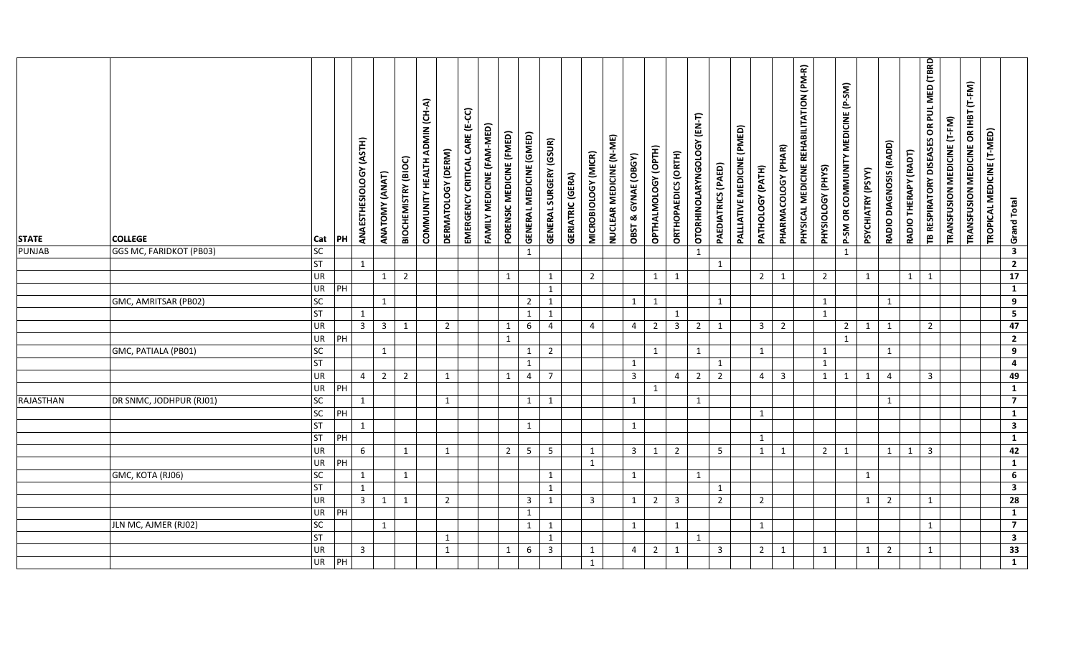| <b>STATE</b>  | <b>COLLEGE</b>          | Cat       | PH             | ANAESTHESIOLOGY (ASTH)  | ANATOMY (ANAT) | BIOCHEMISTRY (BIOC) | COMMUNITY HEALTH ADMIN (CH-A) | DERMATOLOGY (DERM) | EMERGENCY CRITICAL CARE (E-CC) | FAMILY MEDICINE (FAM-MED) | FORENSIC MEDICINE (FMED) | GENERAL MEDICINE (GMED)      | <b>GENERAL SURGERY (GSUR)</b> | <b>GERIATRIC (GERA)</b> | MICROBIOLOGY (MICR) | NUCLEAR MEDICINE (N-ME) | OBST & GYNAE (OBGY) | OPTHALMOLOGY (OPTH) | ORTHOPAEDICS (ORTH) | OTORHINOLARYNGOLOGY (EN-T) | PAEDIATRICS (PAED)      | PALLIATIVE MEDICINE (PMED) | PATHOLOGY (PATH) | PHARMACOLOGY (PHAR)     | PHYSICAL MEDICINE REHABILITATION (PM-R) | PHYSIOLOGY (PHYS) | P-SM OR COMMUNITY MEDICINE (P-SM) | PSYCHIATRY (PSYY) | RADIO DIAGNOSIS (RADD) | RADIO THERAPY (RADT) | TB RESPIRATORY DISEASES OR PUL MED (TBRD | TRANSFUSION MEDICINE (T-FM) | TRANSFUSION MEDICINE OR IHBT (T-FM) | TROPICAL MEDICINE (T-MED) | Grand Total                      |  |
|---------------|-------------------------|-----------|----------------|-------------------------|----------------|---------------------|-------------------------------|--------------------|--------------------------------|---------------------------|--------------------------|------------------------------|-------------------------------|-------------------------|---------------------|-------------------------|---------------------|---------------------|---------------------|----------------------------|-------------------------|----------------------------|------------------|-------------------------|-----------------------------------------|-------------------|-----------------------------------|-------------------|------------------------|----------------------|------------------------------------------|-----------------------------|-------------------------------------|---------------------------|----------------------------------|--|
| <b>PUNJAB</b> | GGS MC, FARIDKOT (PB03) | <b>SC</b> |                |                         |                |                     |                               |                    |                                |                           |                          | 1                            |                               |                         |                     |                         |                     |                     |                     | $\mathbf{1}$               |                         |                            |                  |                         |                                         |                   | $\mathbf{1}$                      |                   |                        |                      |                                          |                             |                                     |                           | $\overline{\mathbf{3}}$          |  |
|               |                         | <b>ST</b> |                | 1                       |                |                     |                               |                    |                                |                           |                          |                              |                               |                         |                     |                         |                     |                     |                     |                            | 1                       |                            |                  |                         |                                         |                   |                                   |                   |                        |                      |                                          |                             |                                     |                           | $\overline{2}$                   |  |
|               |                         | UR        |                |                         | 1              | $\overline{2}$      |                               |                    |                                |                           | 1                        |                              | 1                             |                         | $\overline{2}$      |                         |                     | 1                   | $\mathbf{1}$        |                            |                         |                            | $\overline{2}$   | 1                       |                                         | $\overline{2}$    |                                   | $\mathbf{1}$      |                        | $\mathbf{1}$         | $\mathbf{1}$                             |                             |                                     |                           | 17                               |  |
|               |                         | UR        | $\overline{P}$ |                         |                |                     |                               |                    |                                |                           |                          |                              | 1                             |                         |                     |                         |                     |                     |                     |                            |                         |                            |                  |                         |                                         |                   |                                   |                   |                        |                      |                                          |                             |                                     |                           | $\mathbf{1}$                     |  |
|               | GMC, AMRITSAR (PB02)    | SC        |                |                         | $\mathbf{1}$   |                     |                               |                    |                                |                           |                          | $\overline{2}$               | $\mathbf{1}$                  |                         |                     |                         | 1                   | 1                   |                     |                            | 1                       |                            |                  |                         |                                         | $\mathbf{1}$      |                                   |                   | $\mathbf{1}$           |                      |                                          |                             |                                     |                           | $\overline{9}$                   |  |
|               |                         | <b>ST</b> |                | 1                       |                |                     |                               |                    |                                |                           |                          | $\mathbf{1}$                 | $\mathbf{1}$                  |                         |                     |                         |                     |                     | $\mathbf{1}$        |                            |                         |                            |                  |                         |                                         | $\mathbf{1}$      |                                   |                   |                        |                      |                                          |                             |                                     |                           | $\overline{\mathbf{5}}$<br>47    |  |
|               |                         | UR        |                | $\overline{3}$          | $\overline{3}$ | $\mathbf{1}$        |                               | $\overline{2}$     |                                |                           | $\mathbf{1}$             | $6\overline{6}$              | $\overline{4}$                |                         | $\overline{4}$      |                         | $\overline{4}$      | $\overline{2}$      | $\overline{3}$      | $\overline{2}$             | 1                       |                            | $\overline{3}$   | $\overline{2}$          |                                         |                   | $\overline{2}$                    | $\mathbf{1}$      | $\mathbf{1}$           |                      | $2^{\circ}$                              |                             |                                     |                           |                                  |  |
|               |                         | UR<br>SC  | PH             |                         |                |                     |                               |                    |                                |                           | $\mathbf{1}$             |                              |                               |                         |                     |                         |                     |                     |                     |                            |                         |                            |                  |                         |                                         |                   | 1                                 |                   |                        |                      |                                          |                             |                                     |                           | $\overline{2}$<br>$\overline{9}$ |  |
|               | GMC, PATIALA (PB01)     | <b>ST</b> |                |                         | 1              |                     |                               |                    |                                |                           |                          | $\mathbf{1}$<br>$\mathbf{1}$ | $\overline{2}$                |                         |                     |                         | 1                   | 1                   |                     | $\mathbf{1}$               | 1                       |                            | $\mathbf{1}$     |                         |                                         | $\mathbf{1}$<br>1 |                                   |                   | 1                      |                      |                                          |                             |                                     |                           | $\overline{4}$                   |  |
|               |                         | UR        |                | $\overline{4}$          | $\overline{2}$ | $\overline{2}$      |                               | $\mathbf{1}$       |                                |                           | 1                        | $\overline{4}$               | $\overline{7}$                |                         |                     |                         | $\overline{3}$      |                     | $\overline{4}$      | $\overline{2}$             | $\overline{2}$          |                            | $\overline{4}$   | $\overline{\mathbf{3}}$ |                                         | 1                 | $\mathbf{1}$                      | $\mathbf{1}$      | $\overline{4}$         |                      | $\overline{3}$                           |                             |                                     |                           | 49                               |  |
|               |                         | UR        | $\overline{P}$ |                         |                |                     |                               |                    |                                |                           |                          |                              |                               |                         |                     |                         |                     | 1                   |                     |                            |                         |                            |                  |                         |                                         |                   |                                   |                   |                        |                      |                                          |                             |                                     |                           | $\overline{1}$                   |  |
| RAJASTHAN     | DR SNMC, JODHPUR (RJ01) | SC        |                | 1                       |                |                     |                               | $\mathbf{1}$       |                                |                           |                          | $\mathbf{1}$                 | 1                             |                         |                     |                         | $\mathbf{1}$        |                     |                     | 1                          |                         |                            |                  |                         |                                         |                   |                                   |                   | $\mathbf{1}$           |                      |                                          |                             |                                     |                           | $\overline{7}$                   |  |
|               |                         | SC        | $\overline{H}$ |                         |                |                     |                               |                    |                                |                           |                          |                              |                               |                         |                     |                         |                     |                     |                     |                            |                         |                            | 1                |                         |                                         |                   |                                   |                   |                        |                      |                                          |                             |                                     |                           | $\overline{1}$                   |  |
|               |                         | <b>ST</b> |                | $\mathbf{1}$            |                |                     |                               |                    |                                |                           |                          | $\mathbf{1}$                 |                               |                         |                     |                         | 1                   |                     |                     |                            |                         |                            |                  |                         |                                         |                   |                                   |                   |                        |                      |                                          |                             |                                     |                           | $\overline{\mathbf{3}}$          |  |
|               |                         | <b>ST</b> | PH             |                         |                |                     |                               |                    |                                |                           |                          |                              |                               |                         |                     |                         |                     |                     |                     |                            |                         |                            | $\mathbf{1}$     |                         |                                         |                   |                                   |                   |                        |                      |                                          |                             |                                     |                           | $\mathbf{1}$                     |  |
|               |                         | UR        |                | 6                       |                | $\mathbf{1}$        |                               | $\mathbf{1}$       |                                |                           | $\overline{2}$           | 5 <sup>5</sup>               | -5                            |                         | 1                   |                         | $\overline{3}$      | $\mathbf{1}$        | $\overline{2}$      |                            | 5                       |                            | $\mathbf{1}$     | 1                       |                                         | $2^{\circ}$       | 1                                 |                   | 1                      | 1                    | $\overline{3}$                           |                             |                                     |                           | 42                               |  |
|               |                         | <b>UR</b> | PH             |                         |                |                     |                               |                    |                                |                           |                          |                              |                               |                         | 1                   |                         |                     |                     |                     |                            |                         |                            |                  |                         |                                         |                   |                                   |                   |                        |                      |                                          |                             |                                     |                           | $\mathbf{1}$                     |  |
|               | GMC, KOTA (RJ06)        | <b>SC</b> |                | $\mathbf{1}$            |                | $\mathbf{1}$        |                               |                    |                                |                           |                          |                              | $\mathbf{1}$                  |                         |                     |                         | $\mathbf{1}$        |                     |                     | $\mathbf{1}$               |                         |                            |                  |                         |                                         |                   |                                   | $\mathbf{1}$      |                        |                      |                                          |                             |                                     |                           | $6\overline{6}$                  |  |
|               |                         | <b>ST</b> |                | $\mathbf{1}$            |                |                     |                               |                    |                                |                           |                          |                              | $\mathbf{1}$                  |                         |                     |                         |                     |                     |                     |                            | $\mathbf{1}$            |                            |                  |                         |                                         |                   |                                   |                   |                        |                      |                                          |                             |                                     |                           | $\mathbf{3}$                     |  |
|               |                         | UR        |                | $\overline{\mathbf{3}}$ | 1              | 1                   |                               | $2^{\circ}$        |                                |                           |                          | $\mathbf{3}$                 | $\overline{1}$                |                         | $\overline{3}$      |                         | 1                   | 2                   | $\overline{3}$      |                            | $\overline{2}$          |                            | $\overline{2}$   |                         |                                         |                   |                                   | $\mathbf{1}$      | $\overline{2}$         |                      | $\mathbf{1}$                             |                             |                                     |                           | $\overline{28}$                  |  |
|               |                         | <b>UR</b> | PH             |                         |                |                     |                               |                    |                                |                           |                          | $\mathbf{1}$                 |                               |                         |                     |                         |                     |                     |                     |                            |                         |                            |                  |                         |                                         |                   |                                   |                   |                        |                      |                                          |                             |                                     |                           | $\mathbf{1}$                     |  |
|               | JLN MC, AJMER (RJ02)    | SC        |                |                         | 1              |                     |                               |                    |                                |                           |                          | $\mathbf{1}$                 | 1                             |                         |                     |                         | 1                   |                     | 1                   |                            |                         |                            | $\mathbf{1}$     |                         |                                         |                   |                                   |                   |                        |                      | $\mathbf{1}$                             |                             |                                     |                           | $\overline{7}$                   |  |
|               |                         | <b>ST</b> |                |                         |                |                     |                               | $\mathbf{1}$       |                                |                           |                          |                              | $\mathbf{1}$                  |                         |                     |                         |                     |                     |                     | $\mathbf{1}$               |                         |                            |                  |                         |                                         |                   |                                   |                   |                        |                      |                                          |                             |                                     |                           | $\mathbf{3}$                     |  |
|               |                         | UR        |                | $\mathbf{3}$            |                |                     |                               | 1                  |                                |                           | 1                        | $6\overline{6}$              | $\overline{\mathbf{3}}$       |                         | 1                   |                         | $\overline{4}$      | $2 \mid$            | 1                   |                            | $\overline{\mathbf{3}}$ |                            | $\overline{2}$   | 1                       |                                         | 1                 |                                   | $\mathbf{1}$      | $\overline{2}$         |                      | $\mathbf{1}$                             |                             |                                     |                           | $\overline{33}$                  |  |
|               |                         | <b>UR</b> | PH             |                         |                |                     |                               |                    |                                |                           |                          |                              |                               |                         | 1                   |                         |                     |                     |                     |                            |                         |                            |                  |                         |                                         |                   |                                   |                   |                        |                      |                                          |                             |                                     |                           | $\mathbf{1}$                     |  |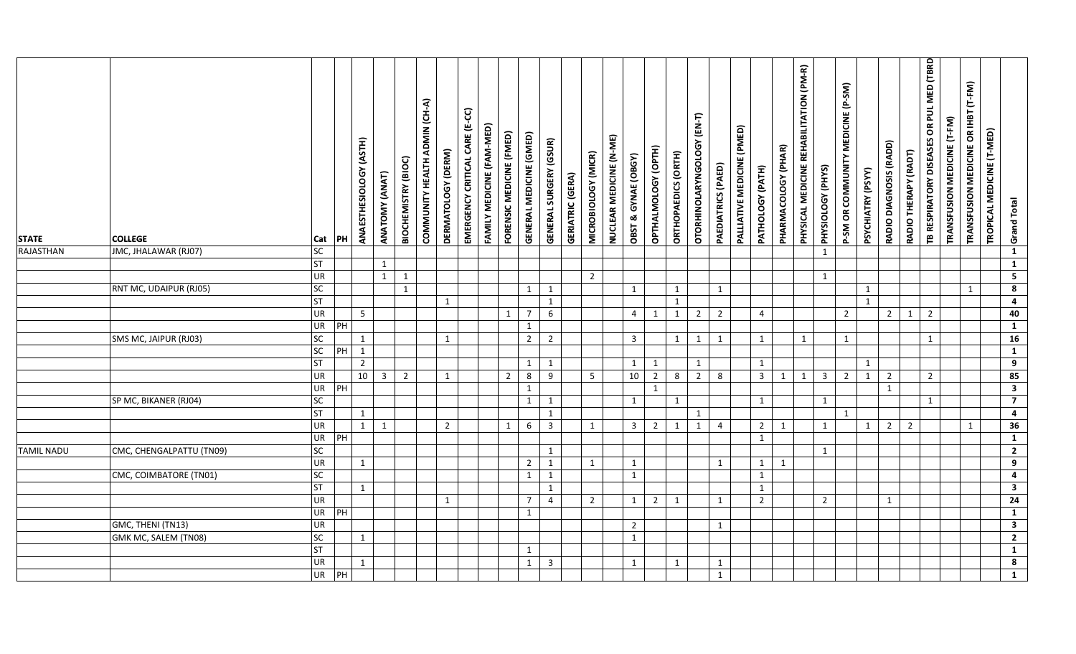| <b>STATE</b>      | <b>COLLEGE</b>           | Cat             | PH | (ASTH)<br>ANAESTHESIOLOGY | ANATOMY (ANAT) | BIOCHEMISTRY (BIOC) | COMMUNITY HEALTH ADMIN (CH-A) | DERMATOLOGY (DERM) | EMERGENCY CRITICAL CARE (E-CC) | FAMILY MEDICINE (FAM-MED) | FORENSIC MEDICINE (FMED) | GENERAL MEDICINE (GMED) | <b>GENERAL SURGERY (GSUR)</b> | <b>GERIATRIC (GERA)</b> | MICROBIOLOGY (MICR) | NUCLEAR MEDICINE (N-ME) | OBST & GYNAE (OBGY) | OPTHALMOLOGY (OPTH) | ORTHOPAEDICS (ORTH) | OTORHINOLARYNGOLOGY (EN-T)   | PAEDIATRICS (PAED) | PALLIATIVE MEDICINE (PMED) | PATHOLOGY (PATH)        | PHARMACOLOGY (PHAR) | PHYSICAL MEDICINE REHABILITATION (PM-R) | PHYSIOLOGY (PHYS)       | P-SM OR COMMUNITY MEDICINE (P-SM) | PSYCHIATRY (PSYY) | RADIO DIAGNOSIS (RADD) | RADIO THERAPY (RADT) | TB RESPIRATORY DISEASES OR PUL MED (TBRD | TRANSFUSION MEDICINE (T-FM) | TRANSFUSION MEDICINE OR IHBT (T-FM) | TROPICAL MEDICINE (T-MED) | <b>Grand Total</b>                |
|-------------------|--------------------------|-----------------|----|---------------------------|----------------|---------------------|-------------------------------|--------------------|--------------------------------|---------------------------|--------------------------|-------------------------|-------------------------------|-------------------------|---------------------|-------------------------|---------------------|---------------------|---------------------|------------------------------|--------------------|----------------------------|-------------------------|---------------------|-----------------------------------------|-------------------------|-----------------------------------|-------------------|------------------------|----------------------|------------------------------------------|-----------------------------|-------------------------------------|---------------------------|-----------------------------------|
| RAJASTHAN         | JMC, JHALAWAR (RJ07)     | SC              |    |                           |                |                     |                               |                    |                                |                           |                          |                         |                               |                         |                     |                         |                     |                     |                     |                              |                    |                            |                         |                     |                                         | 1                       |                                   |                   |                        |                      |                                          |                             |                                     |                           | $\mathbf{1}$                      |
|                   |                          | <b>ST</b>       |    |                           | 1              |                     |                               |                    |                                |                           |                          |                         |                               |                         |                     |                         |                     |                     |                     |                              |                    |                            |                         |                     |                                         |                         |                                   |                   |                        |                      |                                          |                             |                                     |                           | $\mathbf{1}$                      |
|                   |                          | <b>UR</b>       |    |                           | 1              | $\mathbf{1}$        |                               |                    |                                |                           |                          |                         |                               |                         | $\overline{2}$      |                         |                     |                     |                     |                              |                    |                            |                         |                     |                                         | 1                       |                                   |                   |                        |                      |                                          |                             |                                     |                           | $\overline{\mathbf{5}}$           |
|                   | RNT MC, UDAIPUR (RJ05)   | <b>SC</b>       |    |                           |                | $\mathbf{1}$        |                               |                    |                                |                           |                          | 1                       | 1                             |                         |                     |                         | 1                   |                     | 1                   |                              | 1                  |                            |                         |                     |                                         |                         |                                   | $\mathbf{1}$      |                        |                      |                                          |                             | 1                                   |                           | $\overline{\mathbf{8}}$           |
|                   |                          | <b>ST</b>       |    |                           |                |                     |                               | $\mathbf{1}$       |                                |                           |                          |                         | 1                             |                         |                     |                         |                     |                     | 1                   |                              |                    |                            |                         |                     |                                         |                         |                                   | $\mathbf{1}$      |                        |                      |                                          |                             |                                     |                           | $\overline{\mathbf{4}}$           |
|                   |                          | <b>UR</b>       |    | 5 <sub>1</sub>            |                |                     |                               |                    |                                |                           | $\mathbf{1}$             | $\overline{7}$          | 6                             |                         |                     |                         | $\overline{4}$      | 1                   | $\mathbf{1}$        | $\overline{2}$               | $\overline{2}$     |                            | $\overline{4}$          |                     |                                         |                         | $\overline{2}$                    |                   | $2^{\circ}$            | $\mathbf{1}$         | $\overline{2}$                           |                             |                                     |                           | 40                                |
|                   |                          | <b>UR</b>       | PH |                           |                |                     |                               |                    |                                |                           |                          | $\mathbf{1}$            |                               |                         |                     |                         |                     |                     |                     |                              |                    |                            |                         |                     |                                         |                         |                                   |                   |                        |                      |                                          |                             |                                     |                           | $\overline{1}$                    |
|                   | SMS MC, JAIPUR (RJ03)    | SC              |    | 1                         |                |                     |                               | $\mathbf{1}$       |                                |                           |                          | $\overline{2}$          | $\overline{2}$                |                         |                     |                         | $\overline{3}$      |                     | 1                   | $\mathbf{1}$                 | 1                  |                            | 1                       |                     | $\mathbf{1}$                            |                         | $\mathbf{1}$                      |                   |                        |                      | $\mathbf{1}$                             |                             |                                     |                           | 16                                |
|                   |                          | SC              | PH | 1                         |                |                     |                               |                    |                                |                           |                          |                         |                               |                         |                     |                         |                     |                     |                     |                              |                    |                            |                         |                     |                                         |                         |                                   |                   |                        |                      |                                          |                             |                                     |                           | $\overline{1}$                    |
|                   |                          | <b>ST</b>       |    | $\overline{2}$            |                |                     |                               |                    |                                |                           |                          | 1                       | 1                             |                         |                     |                         | $\mathbf{1}$        | $\mathbf{1}$        |                     | $\mathbf{1}$                 |                    |                            | $\mathbf{1}$            |                     |                                         |                         |                                   | $\mathbf{1}$      |                        |                      |                                          |                             |                                     |                           | $\overline{9}$                    |
|                   |                          | <b>UR</b>       |    | $10 \mid 3$               |                | $\overline{2}$      |                               | $\mathbf{1}$       |                                |                           | $\overline{2}$           | 8                       | 9                             |                         | $5\overline{)}$     |                         | 10                  | $2^{\circ}$         | 8                   | $\overline{2}$               | 8                  |                            | $\overline{\mathbf{3}}$ | 1                   | $\mathbf{1}$                            | $\overline{\mathbf{3}}$ | $\overline{2}$                    | $\mathbf{1}$      | $\overline{2}$         |                      | $2^{\circ}$                              |                             |                                     |                           | 85                                |
|                   |                          | <b>UR</b>       | PH |                           |                |                     |                               |                    |                                |                           |                          | $\mathbf{1}$            |                               |                         |                     |                         |                     | $\mathbf{1}$        |                     |                              |                    |                            |                         |                     |                                         |                         |                                   |                   | $\mathbf{1}$           |                      |                                          |                             |                                     |                           | $\overline{\mathbf{3}}$           |
|                   | SP MC, BIKANER (RJ04)    | <b>SC</b>       |    |                           |                |                     |                               |                    |                                |                           |                          | 1                       | $\mathbf{1}$                  |                         |                     |                         | $\mathbf{1}$        |                     | 1                   |                              |                    |                            | $\mathbf{1}$            |                     |                                         | 1                       |                                   |                   |                        |                      | $\mathbf{1}$                             |                             |                                     |                           | $\overline{7}$                    |
|                   |                          | <b>ST</b><br>UR |    | 1                         |                |                     |                               | $\overline{2}$     |                                |                           |                          |                         | $\mathbf{1}$                  |                         | 1                   |                         |                     |                     |                     | $\mathbf{1}$<br>$\mathbf{1}$ | $\overline{4}$     |                            | $\overline{2}$          | $\mathbf{1}$        |                                         | 1                       | $\mathbf{1}$                      |                   |                        |                      |                                          |                             | $\mathbf{1}$                        |                           | $\overline{4}$<br>$\overline{36}$ |
|                   |                          | <b>UR</b>       | PH | $\mathbf{1}$              | 1              |                     |                               |                    |                                |                           | 1                        | $6\overline{6}$         | $\overline{3}$                |                         |                     |                         | $\overline{3}$      | $\overline{2}$      | $\mathbf{1}$        |                              |                    |                            | $\mathbf{1}$            |                     |                                         |                         |                                   | $\mathbf{1}$      | $\overline{2}$         | $\overline{2}$       |                                          |                             |                                     |                           | $\mathbf{1}$                      |
| <b>TAMIL NADU</b> | CMC, CHENGALPATTU (TN09) | <b>SC</b>       |    |                           |                |                     |                               |                    |                                |                           |                          |                         | 1                             |                         |                     |                         |                     |                     |                     |                              |                    |                            |                         |                     |                                         | 1                       |                                   |                   |                        |                      |                                          |                             |                                     |                           | $\overline{2}$                    |
|                   |                          | UR              |    | 1                         |                |                     |                               |                    |                                |                           |                          | $\overline{2}$          | 1                             |                         | 1                   |                         | 1                   |                     |                     |                              | 1                  |                            | 1                       | 1                   |                                         |                         |                                   |                   |                        |                      |                                          |                             |                                     |                           | $\overline{9}$                    |
|                   | CMC, COIMBATORE (TN01)   | <b>SC</b>       |    |                           |                |                     |                               |                    |                                |                           |                          | $\mathbf{1}$            | $\mathbf{1}$                  |                         |                     |                         | 1                   |                     |                     |                              |                    |                            | $\mathbf{1}$            |                     |                                         |                         |                                   |                   |                        |                      |                                          |                             |                                     |                           | $\overline{4}$                    |
|                   |                          | <b>ST</b>       |    | 1                         |                |                     |                               |                    |                                |                           |                          |                         | $\mathbf{1}$                  |                         |                     |                         |                     |                     |                     |                              |                    |                            | $\mathbf{1}$            |                     |                                         |                         |                                   |                   |                        |                      |                                          |                             |                                     |                           | $\mathbf{3}$                      |
|                   |                          | <b>UR</b>       |    |                           |                |                     |                               | $\mathbf{1}$       |                                |                           |                          | $\overline{7}$          | $\overline{4}$                |                         | $\overline{2}$      |                         | $\mathbf{1}$        | $\overline{2}$      | 1                   |                              | 1                  |                            | $\overline{2}$          |                     |                                         | $\overline{2}$          |                                   |                   | $\mathbf{1}$           |                      |                                          |                             |                                     |                           | $\overline{24}$                   |
|                   |                          | <b>UR</b>       | PH |                           |                |                     |                               |                    |                                |                           |                          | 1                       |                               |                         |                     |                         |                     |                     |                     |                              |                    |                            |                         |                     |                                         |                         |                                   |                   |                        |                      |                                          |                             |                                     |                           | $\mathbf{1}$                      |
|                   | GMC, THENI (TN13)        | UR              |    |                           |                |                     |                               |                    |                                |                           |                          |                         |                               |                         |                     |                         | $\overline{2}$      |                     |                     |                              | 1                  |                            |                         |                     |                                         |                         |                                   |                   |                        |                      |                                          |                             |                                     |                           | $\overline{\mathbf{3}}$           |
|                   | GMK MC, SALEM (TN08)     | SC              |    | 1                         |                |                     |                               |                    |                                |                           |                          |                         |                               |                         |                     |                         | $\mathbf{1}$        |                     |                     |                              |                    |                            |                         |                     |                                         |                         |                                   |                   |                        |                      |                                          |                             |                                     |                           | $\overline{2}$                    |
|                   |                          | <b>ST</b>       |    |                           |                |                     |                               |                    |                                |                           |                          | 1                       |                               |                         |                     |                         |                     |                     |                     |                              |                    |                            |                         |                     |                                         |                         |                                   |                   |                        |                      |                                          |                             |                                     |                           | $\mathbf{1}$                      |
|                   |                          | <b>UR</b>       |    | 1                         |                |                     |                               |                    |                                |                           |                          | $\mathbf{1}$            | 3                             |                         |                     |                         | $\mathbf{1}$        |                     | 1                   |                              | $\mathbf{1}$       |                            |                         |                     |                                         |                         |                                   |                   |                        |                      |                                          |                             |                                     |                           | $\bf{8}$                          |
|                   |                          | <b>UR</b>       | PH |                           |                |                     |                               |                    |                                |                           |                          |                         |                               |                         |                     |                         |                     |                     |                     |                              | 1                  |                            |                         |                     |                                         |                         |                                   |                   |                        |                      |                                          |                             |                                     |                           | $\mathbf{1}$                      |
|                   |                          |                 |    |                           |                |                     |                               |                    |                                |                           |                          |                         |                               |                         |                     |                         |                     |                     |                     |                              |                    |                            |                         |                     |                                         |                         |                                   |                   |                        |                      |                                          |                             |                                     |                           |                                   |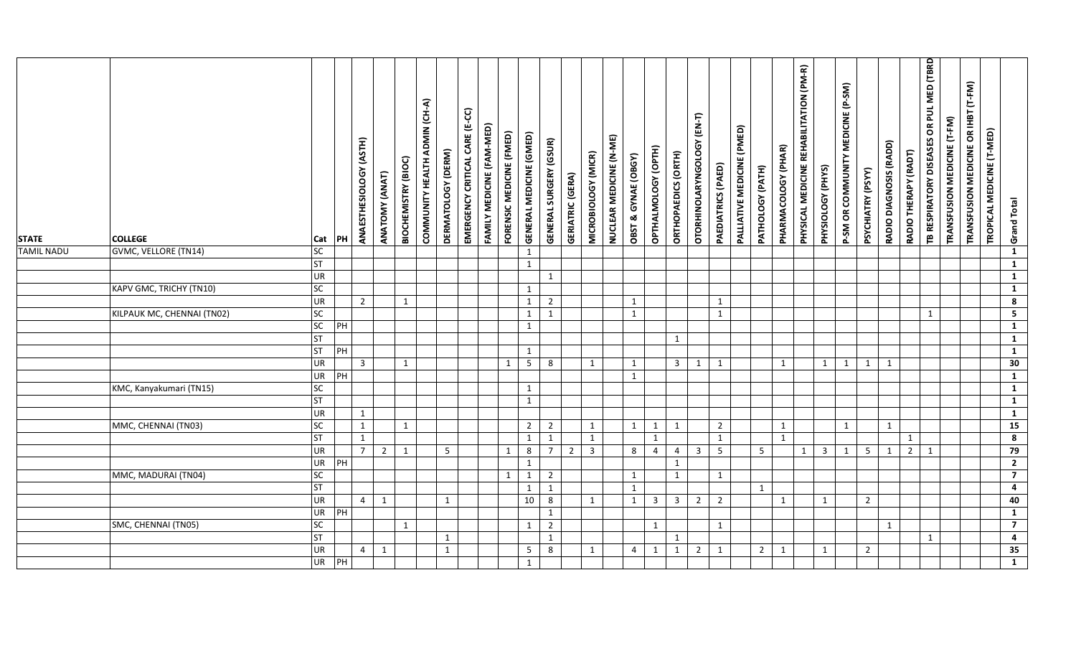| <b>STATE</b>      | <b>COLLEGE</b>             | Cat       | PH             | (ASTH)<br>ANAESTHESIOLOGY | ANATOMY (ANAT) | BIOCHEMISTRY (BIOC) | COMMUNITY HEALTH ADMIN (CH-A) | DERMATOLOGY (DERM) | EMERGENCY CRITICAL CARE (E-CC) | FAMILY MEDICINE (FAM-MED) | FORENSIC MEDICINE (FMED) | GENERAL MEDICINE (GMED) | <b>GENERAL SURGERY (GSUR)</b> | <b>GERIATRIC (GERA)</b> | MICROBIOLOGY (MICR)     | NUCLEAR MEDICINE (N-ME) | <b>OBST &amp; GYNAE (OBGY)</b> | OPTHALMOLOGY (OPTH) | ORTHOPAEDICS (ORTH)     | OTORHINOLARYNGOLOGY (EN-T) | PAEDIATRICS (PAED) | PALLIATIVE MEDICINE (PMED) | PATHOLOGY (PATH) | PHARMACOLOGY (PHAR) | PHYSICAL MEDICINE REHABILITATION (PM-R) | PHYSIOLOGY (PHYS)       | P-SM OR COMMUNITY MEDICINE (P-SM) | PSYCHIATRY (PSYY) | RADIO DIAGNOSIS (RADD) | RADIO THERAPY (RADT) | TB RESPIRATORY DISEASES OR PUL MED (TBRD | TRANSFUSION MEDICINE (T-FM) | TRANSFUSION MEDICINE OR IHBT (T-FM) | TROPICAL MEDICINE (T-MED) | <b>Grand Total</b>      |
|-------------------|----------------------------|-----------|----------------|---------------------------|----------------|---------------------|-------------------------------|--------------------|--------------------------------|---------------------------|--------------------------|-------------------------|-------------------------------|-------------------------|-------------------------|-------------------------|--------------------------------|---------------------|-------------------------|----------------------------|--------------------|----------------------------|------------------|---------------------|-----------------------------------------|-------------------------|-----------------------------------|-------------------|------------------------|----------------------|------------------------------------------|-----------------------------|-------------------------------------|---------------------------|-------------------------|
| <b>TAMIL NADU</b> | GVMC, VELLORE (TN14)       | <b>SC</b> |                |                           |                |                     |                               |                    |                                |                           |                          | $\mathbf{1}$            |                               |                         |                         |                         |                                |                     |                         |                            |                    |                            |                  |                     |                                         |                         |                                   |                   |                        |                      |                                          |                             |                                     |                           | $\mathbf{1}$            |
|                   |                            | <b>ST</b> |                |                           |                |                     |                               |                    |                                |                           |                          | $\mathbf{1}$            |                               |                         |                         |                         |                                |                     |                         |                            |                    |                            |                  |                     |                                         |                         |                                   |                   |                        |                      |                                          |                             |                                     |                           | $\mathbf{1}$            |
|                   |                            | <b>UR</b> |                |                           |                |                     |                               |                    |                                |                           |                          |                         | 1                             |                         |                         |                         |                                |                     |                         |                            |                    |                            |                  |                     |                                         |                         |                                   |                   |                        |                      |                                          |                             |                                     |                           | $\mathbf{1}$            |
|                   | KAPV GMC, TRICHY (TN10)    | <b>SC</b> |                |                           |                |                     |                               |                    |                                |                           |                          | $\mathbf{1}$            |                               |                         |                         |                         |                                |                     |                         |                            |                    |                            |                  |                     |                                         |                         |                                   |                   |                        |                      |                                          |                             |                                     |                           | $\mathbf{1}$            |
|                   |                            | <b>UR</b> |                | $\overline{2}$            |                | $\mathbf{1}$        |                               |                    |                                |                           |                          | $\mathbf{1}$            | $\overline{2}$                |                         |                         |                         | 1                              |                     |                         |                            | $\mathbf{1}$       |                            |                  |                     |                                         |                         |                                   |                   |                        |                      |                                          |                             |                                     |                           | $\overline{\mathbf{8}}$ |
|                   | KILPAUK MC, CHENNAI (TN02) | <b>SC</b> |                |                           |                |                     |                               |                    |                                |                           |                          | 1                       | $\mathbf{1}$                  |                         |                         |                         | $\mathbf{1}$                   |                     |                         |                            | $\mathbf{1}$       |                            |                  |                     |                                         |                         |                                   |                   |                        |                      | $\mathbf{1}$                             |                             |                                     |                           | $5\overline{)}$         |
|                   |                            | SC        | PH             |                           |                |                     |                               |                    |                                |                           |                          | 1                       |                               |                         |                         |                         |                                |                     |                         |                            |                    |                            |                  |                     |                                         |                         |                                   |                   |                        |                      |                                          |                             |                                     |                           | $\overline{1}$          |
|                   |                            | ΓS        |                |                           |                |                     |                               |                    |                                |                           |                          |                         |                               |                         |                         |                         |                                |                     | $\mathbf{1}$            |                            |                    |                            |                  |                     |                                         |                         |                                   |                   |                        |                      |                                          |                             |                                     |                           | $\overline{1}$          |
|                   |                            | <b>ST</b> | $\overline{P}$ |                           |                |                     |                               |                    |                                |                           |                          | $\mathbf{1}$            |                               |                         |                         |                         |                                |                     |                         |                            |                    |                            |                  |                     |                                         |                         |                                   |                   |                        |                      |                                          |                             |                                     |                           | $\mathbf{1}$            |
|                   |                            | UR        |                | $\overline{3}$            |                | $\mathbf{1}$        |                               |                    |                                |                           | 1                        | 5 <sup>5</sup>          | 8                             |                         | 1                       |                         | 1                              |                     | $\overline{\mathbf{3}}$ | 1                          | 1                  |                            |                  | 1                   |                                         | 1                       | 1                                 | $\mathbf{1}$      | 1                      |                      |                                          |                             |                                     |                           | 30                      |
|                   |                            | <b>UR</b> | PH             |                           |                |                     |                               |                    |                                |                           |                          |                         |                               |                         |                         |                         | 1                              |                     |                         |                            |                    |                            |                  |                     |                                         |                         |                                   |                   |                        |                      |                                          |                             |                                     |                           | $\mathbf{1}$            |
|                   | KMC, Kanyakumari (TN15)    | <b>SC</b> |                |                           |                |                     |                               |                    |                                |                           |                          | 1                       |                               |                         |                         |                         |                                |                     |                         |                            |                    |                            |                  |                     |                                         |                         |                                   |                   |                        |                      |                                          |                             |                                     |                           | $\mathbf{1}$            |
|                   |                            | <b>ST</b> |                |                           |                |                     |                               |                    |                                |                           |                          | $\mathbf{1}$            |                               |                         |                         |                         |                                |                     |                         |                            |                    |                            |                  |                     |                                         |                         |                                   |                   |                        |                      |                                          |                             |                                     |                           | $\overline{1}$          |
|                   |                            | <b>UR</b> |                | $\mathbf{1}$              |                |                     |                               |                    |                                |                           |                          |                         |                               |                         |                         |                         |                                |                     |                         |                            |                    |                            |                  |                     |                                         |                         |                                   |                   |                        |                      |                                          |                             |                                     |                           | $\mathbf{1}$            |
|                   | MMC, CHENNAI (TN03)        | <b>SC</b> |                | $\mathbf{1}$              |                | $\mathbf{1}$        |                               |                    |                                |                           |                          | $\overline{2}$          | $\overline{2}$                |                         | 1                       |                         | 1                              | $\mathbf{1}$        | 1                       |                            | $\overline{2}$     |                            |                  | 1                   |                                         |                         | $\mathbf{1}$                      |                   | $\mathbf{1}$           |                      |                                          |                             |                                     |                           | 15                      |
|                   |                            | IST       |                | 1                         |                |                     |                               |                    |                                |                           |                          | $\mathbf{1}$            | 1                             |                         | 1                       |                         |                                | $\mathbf{1}$        |                         |                            | $\mathbf{1}$       |                            |                  | 1                   |                                         |                         |                                   |                   |                        | $\mathbf{1}$         |                                          |                             |                                     |                           | $\bf{8}$                |
|                   |                            | <b>UR</b> |                | 7 <sup>7</sup>            | $\overline{2}$ | $\mathbf{1}$        |                               | $5\overline{)}$    |                                |                           | 1                        | $8\phantom{1}$          | $\overline{7}$                | $\overline{2}$          | $\overline{\mathbf{3}}$ |                         | 8                              | $\overline{4}$      | 4                       | $\overline{\mathbf{3}}$    | $5\phantom{.0}$    |                            | $5\phantom{.0}$  |                     | $1 \mid$                                | $\overline{\mathbf{3}}$ | 1                                 | 5 <sub>1</sub>    | 1                      | $\overline{2}$       | 1                                        |                             |                                     |                           | 79                      |
|                   |                            | <b>UR</b> | PH             |                           |                |                     |                               |                    |                                |                           |                          | 1                       |                               |                         |                         |                         |                                |                     | 1                       |                            |                    |                            |                  |                     |                                         |                         |                                   |                   |                        |                      |                                          |                             |                                     |                           | $\overline{2}$          |
|                   | MMC, MADURAI (TN04)        | <b>SC</b> |                |                           |                |                     |                               |                    |                                |                           | 1                        | $\mathbf{1}$            | $\overline{2}$                |                         |                         |                         | 1                              |                     | 1                       |                            | $\mathbf{1}$       |                            |                  |                     |                                         |                         |                                   |                   |                        |                      |                                          |                             |                                     |                           | $\overline{7}$          |
|                   |                            | <b>ST</b> |                |                           |                |                     |                               |                    |                                |                           |                          | $\mathbf{1}$            | 1                             |                         |                         |                         | 1                              |                     |                         |                            |                    |                            | 1                |                     |                                         |                         |                                   |                   |                        |                      |                                          |                             |                                     |                           | $\overline{\mathbf{4}}$ |
|                   |                            | <b>UR</b> |                | $\overline{4}$            | 1              |                     |                               | $\mathbf{1}$       |                                |                           |                          | 10                      | 8                             |                         | 1                       |                         | 1                              | 3 <sup>1</sup>      | 3 <sup>1</sup>          | $\overline{2}$             | $\overline{2}$     |                            |                  | 1                   |                                         | 1                       |                                   | $\overline{2}$    |                        |                      |                                          |                             |                                     |                           | 40                      |
|                   |                            | <b>UR</b> | PH             |                           |                |                     |                               |                    |                                |                           |                          |                         | $\mathbf{1}$                  |                         |                         |                         |                                |                     |                         |                            |                    |                            |                  |                     |                                         |                         |                                   |                   |                        |                      |                                          |                             |                                     |                           | $\mathbf{1}$            |
|                   | SMC, CHENNAI (TN05)        | <b>SC</b> |                |                           |                | $\mathbf{1}$        |                               |                    |                                |                           |                          | 1                       | $\overline{2}$                |                         |                         |                         |                                | $\mathbf{1}$        |                         |                            | 1                  |                            |                  |                     |                                         |                         |                                   |                   | $\mathbf{1}$           |                      |                                          |                             |                                     |                           | $\overline{7}$          |
|                   |                            | <b>ST</b> |                |                           |                |                     |                               | 1                  |                                |                           |                          |                         | 1                             |                         |                         |                         |                                |                     | 1                       |                            |                    |                            |                  |                     |                                         |                         |                                   |                   |                        |                      | $\mathbf{1}$                             |                             |                                     |                           | $\overline{\mathbf{4}}$ |
|                   |                            | UR        |                | $\overline{4}$            | $\mathbf{1}$   |                     |                               | $\mathbf{1}$       |                                |                           |                          | $5\phantom{.0}$         | 8                             |                         | 1                       |                         | 4                              | $\mathbf{1}$        | $\mathbf{1}$            | $\overline{2}$             | $\mathbf{1}$       |                            | $\overline{2}$   | 1                   |                                         | $\mathbf{1}$            |                                   | $\overline{2}$    |                        |                      |                                          |                             |                                     |                           | 35                      |
|                   |                            | UR PH     |                |                           |                |                     |                               |                    |                                |                           |                          | $\mathbf{1}$            |                               |                         |                         |                         |                                |                     |                         |                            |                    |                            |                  |                     |                                         |                         |                                   |                   |                        |                      |                                          |                             |                                     |                           | $\mathbf{1}$            |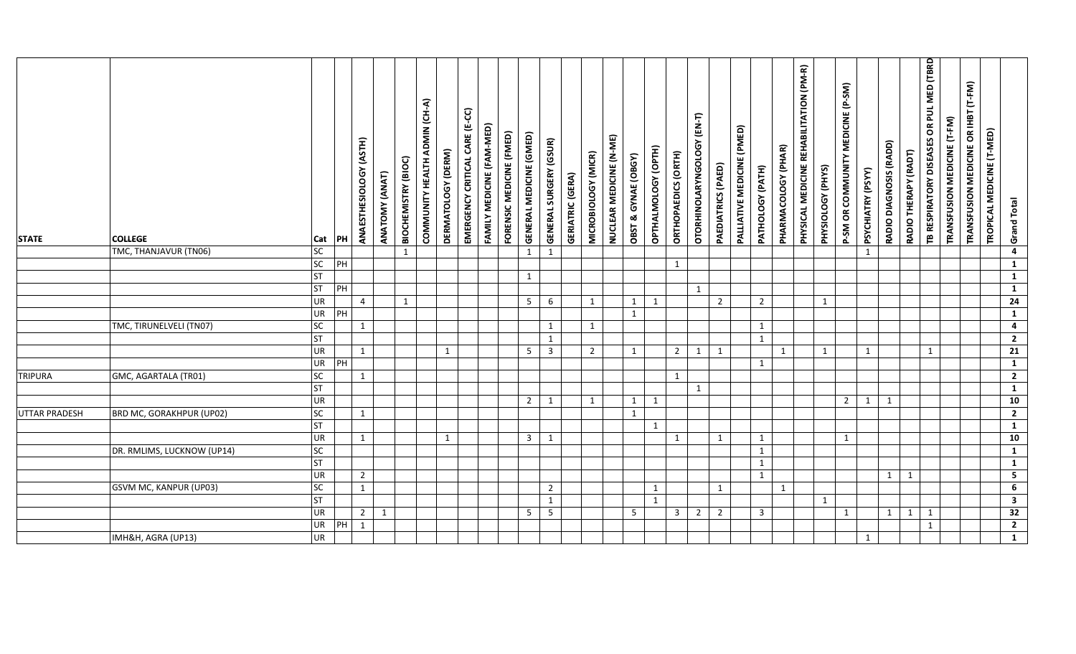| <b>STATE</b>         | <b>COLLEGE</b>                | Cat                    | PH                        | (ASTH)<br>ANAESTHESIOLOGY      | ANATOMY (ANAT) | <b>BIOCHEMISTRY (BIOC)</b> | COMMUNITY HEALTH ADMIN (CH-A) | DERMATOLOGY (DERM) | EMERGENCY CRITICAL CARE (E-CC) | FAMILY MEDICINE (FAM-MED) | FORENSIC MEDICINE (FMED) | <b>GENERAL MEDICINE (GMED)</b> | <b>GENERAL SURGERY (GSUR)</b> | <b>GERIATRIC (GERA)</b> | MICROBIOLOGY (MICR) | NUCLEAR MEDICINE (N-ME) | OBST & GYNAE (OBGY) | OPTHALMOLOGY (OPTH) | ORTHOPAEDICS (ORTH) | OTORHINOLARYNGOLOGY (EN-T) | PAEDIATRICS (PAED) | PALLIATIVE MEDICINE (PMED) | PATHOLOGY (PATH)             | PHARMACOLOGY (PHAR) | PHYSICAL MEDICINE REHABILITATION (PM-R) | PHYSIOLOGY (PHYS) | MEDICINE (P-SM)<br>P-SM OR COMMUNITY | PSYCHIATRY (PSYY) | RADIO DIAGNOSIS (RADD) | RADIO THERAPY (RADT) | TB RESPIRATORY DISEASES OR PUL MED (TBRD | TRANSFUSION MEDICINE (T-FM) | TRANSFUSION MEDICINE OR IHBT (T-FM) | TROPICAL MEDICINE (T-MED) | <b>Grand Total</b>                      |
|----------------------|-------------------------------|------------------------|---------------------------|--------------------------------|----------------|----------------------------|-------------------------------|--------------------|--------------------------------|---------------------------|--------------------------|--------------------------------|-------------------------------|-------------------------|---------------------|-------------------------|---------------------|---------------------|---------------------|----------------------------|--------------------|----------------------------|------------------------------|---------------------|-----------------------------------------|-------------------|--------------------------------------|-------------------|------------------------|----------------------|------------------------------------------|-----------------------------|-------------------------------------|---------------------------|-----------------------------------------|
|                      | TMC, THANJAVUR (TN06)         | <b>SC</b>              |                           |                                |                | $\mathbf{1}$               |                               |                    |                                |                           |                          | 1                              | $\mathbf{1}$                  |                         |                     |                         |                     |                     |                     |                            |                    |                            |                              |                     |                                         |                   |                                      | $\mathbf{1}$      |                        |                      |                                          |                             |                                     |                           | $\overline{\mathbf{4}}$                 |
|                      |                               | SC                     | PH                        |                                |                |                            |                               |                    |                                |                           |                          |                                |                               |                         |                     |                         |                     |                     | $\mathbf{1}$        |                            |                    |                            |                              |                     |                                         |                   |                                      |                   |                        |                      |                                          |                             |                                     |                           | $\mathbf{1}$                            |
|                      |                               | <b>ST</b>              |                           |                                |                |                            |                               |                    |                                |                           |                          | $\mathbf{1}$                   |                               |                         |                     |                         |                     |                     |                     |                            |                    |                            |                              |                     |                                         |                   |                                      |                   |                        |                      |                                          |                             |                                     |                           | $\mathbf{1}$                            |
|                      |                               | <b>ST</b>              | $\overline{P}$            |                                |                |                            |                               |                    |                                |                           |                          |                                |                               |                         |                     |                         |                     |                     |                     | $\mathbf{1}$               |                    |                            |                              |                     |                                         |                   |                                      |                   |                        |                      |                                          |                             |                                     |                           | $\mathbf{1}$                            |
|                      |                               | <b>UR</b>              |                           | $\overline{4}$                 |                | $\mathbf{1}$               |                               |                    |                                |                           |                          | 5 <sup>5</sup>                 | 6                             |                         | 1                   |                         | 1                   | 1                   |                     |                            | $\overline{2}$     |                            | $\overline{2}$               |                     |                                         | 1                 |                                      |                   |                        |                      |                                          |                             |                                     |                           | $\overline{24}$                         |
|                      |                               | <b>UR</b>              | PH                        |                                |                |                            |                               |                    |                                |                           |                          |                                |                               |                         |                     |                         | $\mathbf{1}$        |                     |                     |                            |                    |                            |                              |                     |                                         |                   |                                      |                   |                        |                      |                                          |                             |                                     |                           | $\mathbf{1}$                            |
|                      | TMC, TIRUNELVELI (TN07)       | <b>SC</b>              |                           | 1                              |                |                            |                               |                    |                                |                           |                          |                                | $\mathbf{1}$                  |                         | 1                   |                         |                     |                     |                     |                            |                    |                            | $\mathbf{1}$                 |                     |                                         |                   |                                      |                   |                        |                      |                                          |                             |                                     |                           | $\overline{\mathbf{4}}$                 |
|                      |                               | ST                     |                           |                                |                |                            |                               |                    |                                |                           |                          |                                | $\mathbf{1}$                  |                         |                     |                         |                     |                     |                     |                            |                    |                            | $\mathbf{1}$                 |                     |                                         |                   |                                      |                   |                        |                      |                                          |                             |                                     |                           | $\overline{2}$                          |
|                      |                               | <b>UR</b>              |                           | 1                              |                |                            |                               | 1                  |                                |                           |                          | -5                             | $\overline{3}$                |                         | $\overline{2}$      |                         | $\mathbf{1}$        |                     | $2 \quad 1$         |                            | 1                  |                            |                              | 1                   |                                         | 1                 |                                      | $\mathbf{1}$      |                        |                      | $\mathbf{1}$                             |                             |                                     |                           | $\overline{21}$                         |
|                      |                               | <b>UR</b>              | $\overline{\overline{P}}$ |                                |                |                            |                               |                    |                                |                           |                          |                                |                               |                         |                     |                         |                     |                     |                     |                            |                    |                            | $\mathbf{1}$                 |                     |                                         |                   |                                      |                   |                        |                      |                                          |                             |                                     |                           | $\mathbf{1}$                            |
| <b>TRIPURA</b>       | GMC, AGARTALA (TR01)          | <b>SC</b>              |                           | 1                              |                |                            |                               |                    |                                |                           |                          |                                |                               |                         |                     |                         |                     |                     | $\mathbf{1}$        |                            |                    |                            |                              |                     |                                         |                   |                                      |                   |                        |                      |                                          |                             |                                     |                           | $\overline{2}$                          |
|                      |                               | <b>ST</b>              |                           |                                |                |                            |                               |                    |                                |                           |                          |                                |                               |                         |                     |                         |                     |                     |                     | 1                          |                    |                            |                              |                     |                                         |                   |                                      |                   |                        |                      |                                          |                             |                                     |                           | $\overline{1}$                          |
|                      |                               | <b>UR</b>              |                           |                                |                |                            |                               |                    |                                |                           |                          | $\overline{2}$                 | 1                             |                         | 1                   |                         | 1                   | $\mathbf{1}$        |                     |                            |                    |                            |                              |                     |                                         |                   | $2^{\circ}$                          | $\mathbf{1}$      | 1                      |                      |                                          |                             |                                     |                           | 10                                      |
| <b>UTTAR PRADESH</b> | BRD MC, GORAKHPUR (UP02)      | SC                     |                           | 1                              |                |                            |                               |                    |                                |                           |                          |                                |                               |                         |                     |                         | $\mathbf{1}$        |                     |                     |                            |                    |                            |                              |                     |                                         |                   |                                      |                   |                        |                      |                                          |                             |                                     |                           | $\overline{2}$                          |
|                      |                               | <b>ST</b>              |                           |                                |                |                            |                               |                    |                                |                           |                          |                                |                               |                         |                     |                         |                     | 1                   |                     |                            |                    |                            |                              |                     |                                         |                   |                                      |                   |                        |                      |                                          |                             |                                     |                           | $\mathbf{1}$<br>10                      |
|                      |                               | <b>UR</b><br><b>SC</b> |                           | $\mathbf{1}$                   |                |                            |                               | $\mathbf{1}$       |                                |                           |                          | $\overline{3}$                 | $\mathbf{1}$                  |                         |                     |                         |                     |                     | $\mathbf{1}$        |                            | $\mathbf{1}$       |                            | $\mathbf{1}$<br>$\mathbf{1}$ |                     |                                         |                   | $\mathbf{1}$                         |                   |                        |                      |                                          |                             |                                     |                           | $\mathbf{1}$                            |
|                      | DR. RMLIMS, LUCKNOW (UP14)    | <b>ST</b>              |                           |                                |                |                            |                               |                    |                                |                           |                          |                                |                               |                         |                     |                         |                     |                     |                     |                            |                    |                            |                              |                     |                                         |                   |                                      |                   |                        |                      |                                          |                             |                                     |                           |                                         |
|                      |                               | <b>UR</b>              |                           |                                |                |                            |                               |                    |                                |                           |                          |                                |                               |                         |                     |                         |                     |                     |                     |                            |                    |                            | $\mathbf{1}$<br>$\mathbf{1}$ |                     |                                         |                   |                                      |                   | 1                      | 1                    |                                          |                             |                                     |                           | $\mathbf{1}$<br>$\overline{\mathbf{5}}$ |
|                      | <b>GSVM MC, KANPUR (UP03)</b> | <b>SC</b>              |                           | $\overline{2}$<br>$\mathbf{1}$ |                |                            |                               |                    |                                |                           |                          |                                | $\overline{2}$                |                         |                     |                         |                     | $\mathbf{1}$        |                     |                            | 1                  |                            |                              | 1                   |                                         |                   |                                      |                   |                        |                      |                                          |                             |                                     |                           | $\overline{6}$                          |
|                      |                               | <b>ST</b>              |                           |                                |                |                            |                               |                    |                                |                           |                          |                                | $\mathbf{1}$                  |                         |                     |                         |                     | $\mathbf{1}$        |                     |                            |                    |                            |                              |                     |                                         | 1                 |                                      |                   |                        |                      |                                          |                             |                                     |                           | $\overline{\mathbf{3}}$                 |
|                      |                               | <b>UR</b>              |                           | $\overline{2}$                 | 1              |                            |                               |                    |                                |                           |                          | $5\overline{)}$                | $5\overline{)}$               |                         |                     |                         | 5                   |                     | $\overline{3}$      | $\overline{2}$             | $\overline{2}$     |                            | $\overline{3}$               |                     |                                         |                   | $\mathbf{1}$                         |                   | 1                      | 1                    | 1                                        |                             |                                     |                           | $\overline{32}$                         |
|                      |                               | <b>UR</b>              | PH                        | 1                              |                |                            |                               |                    |                                |                           |                          |                                |                               |                         |                     |                         |                     |                     |                     |                            |                    |                            |                              |                     |                                         |                   |                                      |                   |                        |                      | $\mathbf{1}$                             |                             |                                     |                           | $\overline{2}$                          |
|                      | IMH&H, AGRA (UP13)            | <b>UR</b>              |                           |                                |                |                            |                               |                    |                                |                           |                          |                                |                               |                         |                     |                         |                     |                     |                     |                            |                    |                            |                              |                     |                                         |                   |                                      | $\mathbf{1}$      |                        |                      |                                          |                             |                                     |                           | $\mathbf{1}$                            |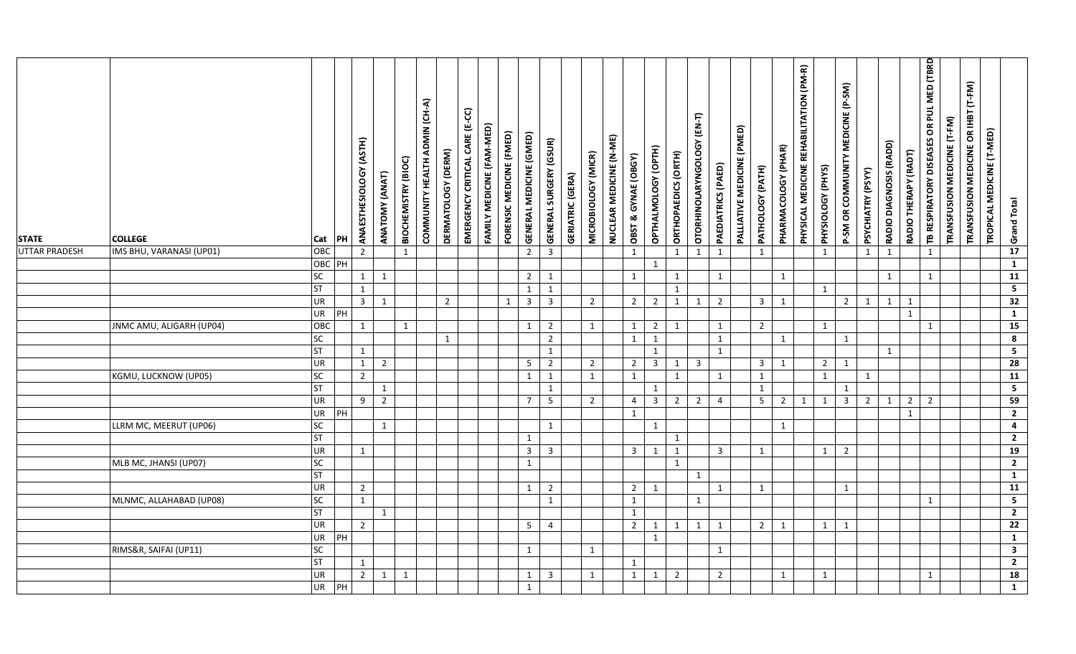| <b>STATE</b><br><b>UTTAR PRADESH</b> | <b>COLLEGE</b><br>IMS BHU, VARANASI (UP01) | Cat<br>OBC      | PH             | ANAESTHESIOLOGY (ASTH)<br>$\overline{2}$ | ANATOMY (ANAT) | BIOCHEMISTRY (BIOC)<br>1 | COMMUNITY HEALTH ADMIN (CH-A) | DERMATOLOGY (DERM) | EMERGENCY CRITICAL CARE (E-CC) | FAMILY MEDICINE (FAM-MED) | FORENSIC MEDICINE (FMED) | GENERAL MEDICINE (GMED)<br>$\overline{2}$ | <b>GENERAL SURGERY (GSUR)</b><br>$\overline{3}$ | <b>GERIATRIC (GERA)</b> | MICROBIOLOGY (MICR) | NUCLEAR MEDICINE (N-ME) | OBST & GYNAE (OBGY)<br>$\mathbf{1}$ | OPTHALMOLOGY (OPTH) | ORTHOPAEDICS (ORTH)<br>$\mathbf{1}$ | OTORHINOLARYNGOLOGY (EN-T)<br>$\mathbf{1}$ | PAEDIATRICS (PAED)<br>1 | PALLIATIVE MEDICINE (PMED) | PATHOLOGY (PATH)<br>$\mathbf{1}$ | PHARMACOLOGY (PHAR) | PHYSICAL MEDICINE REHABILITATION (PM-R) | PHYSIOLOGY (PHYS)<br>1 | P-SM OR COMMUNITY MEDICINE (P-SM) | PSYCHIATRY (PSYY)<br>$\mathbf{1}$ | RADIO DIAGNOSIS (RADD)<br>$\mathbf{1}$ | RADIO THERAPY (RADT) | TB RESPIRATORY DISEASES OR PUL MED (TBRD<br>$\mathbf{1}$ | TRANSFUSION MEDICINE (T-FM) | TRANSFUSION MEDICINE OR IHBT (T-FM) | TROPICAL MEDICINE (T-MED) | <b>Grand Total</b><br>$\overline{17}$ |  |
|--------------------------------------|--------------------------------------------|-----------------|----------------|------------------------------------------|----------------|--------------------------|-------------------------------|--------------------|--------------------------------|---------------------------|--------------------------|-------------------------------------------|-------------------------------------------------|-------------------------|---------------------|-------------------------|-------------------------------------|---------------------|-------------------------------------|--------------------------------------------|-------------------------|----------------------------|----------------------------------|---------------------|-----------------------------------------|------------------------|-----------------------------------|-----------------------------------|----------------------------------------|----------------------|----------------------------------------------------------|-----------------------------|-------------------------------------|---------------------------|---------------------------------------|--|
|                                      |                                            | OBC PH          |                |                                          |                |                          |                               |                    |                                |                           |                          |                                           |                                                 |                         |                     |                         |                                     | $\mathbf{1}$        |                                     |                                            |                         |                            |                                  |                     |                                         |                        |                                   |                                   |                                        |                      |                                                          |                             |                                     |                           | $\overline{1}$                        |  |
|                                      |                                            | <b>SC</b>       |                | $\mathbf{1}$                             | 1              |                          |                               |                    |                                |                           |                          | $2^{\circ}$                               | $\mathbf{1}$                                    |                         |                     |                         | 1                                   |                     | $\mathbf{1}$                        |                                            | 1                       |                            |                                  | 1                   |                                         |                        |                                   |                                   | $\mathbf{1}$                           |                      | $\mathbf{1}$                                             |                             |                                     |                           | $\overline{11}$                       |  |
|                                      |                                            | <b>ST</b>       |                | $\mathbf{1}$                             |                |                          |                               |                    |                                |                           |                          | $\mathbf{1}$                              | $\mathbf{1}$                                    |                         |                     |                         |                                     |                     | 1                                   |                                            |                         |                            |                                  |                     |                                         | 1                      |                                   |                                   |                                        |                      |                                                          |                             |                                     |                           | $\overline{\mathbf{5}}$               |  |
|                                      |                                            | UR              |                | $\overline{3}$                           | $\mathbf{1}$   |                          |                               | $\overline{2}$     |                                |                           | $\mathbf{1}$             | $\overline{3}$                            | $\overline{3}$                                  |                         | $\overline{2}$      |                         | $\overline{2}$                      | $\overline{2}$      | $\mathbf{1}$                        | 1                                          | $\overline{2}$          |                            | $\overline{\mathbf{3}}$          | $\mathbf{1}$        |                                         |                        | $\overline{2}$                    | $\mathbf{1}$                      | $\mathbf{1}$                           | 1                    |                                                          |                             |                                     |                           | 32                                    |  |
|                                      |                                            | UR              | PH             |                                          |                |                          |                               |                    |                                |                           |                          |                                           |                                                 |                         |                     |                         |                                     |                     |                                     |                                            |                         |                            |                                  |                     |                                         |                        |                                   |                                   |                                        | $\mathbf{1}$         |                                                          |                             |                                     |                           | $\mathbf{1}$                          |  |
|                                      | JNMC AMU, ALIGARH (UP04)                   | OBC             |                | 1                                        |                | 1                        |                               |                    |                                |                           |                          | 1                                         | $\overline{2}$                                  |                         | 1                   |                         | 1                                   |                     | $2 \mid 1$                          |                                            | 1                       |                            | $\overline{2}$                   |                     |                                         | $\mathbf{1}$           |                                   |                                   |                                        |                      | $\mathbf{1}$                                             |                             |                                     |                           | $\overline{15}$                       |  |
|                                      |                                            | SC              |                |                                          |                |                          |                               | $\mathbf{1}$       |                                |                           |                          |                                           | $\overline{2}$                                  |                         |                     |                         | 1                                   | $\mathbf{1}$        |                                     |                                            | 1                       |                            |                                  | 1                   |                                         |                        | 1                                 |                                   |                                        |                      |                                                          |                             |                                     |                           | $\overline{\mathbf{8}}$               |  |
|                                      |                                            | <b>ST</b>       |                | 1                                        |                |                          |                               |                    |                                |                           |                          |                                           | $\mathbf{1}$                                    |                         |                     |                         |                                     | $\mathbf{1}$        |                                     |                                            | $\mathbf{1}$            |                            |                                  |                     |                                         |                        |                                   |                                   | 1                                      |                      |                                                          |                             |                                     |                           | $\overline{\mathbf{5}}$               |  |
|                                      |                                            | UR              |                | $\overline{1}$                           | $\overline{2}$ |                          |                               |                    |                                |                           |                          | 5                                         | $\overline{2}$                                  |                         | $\overline{2}$      |                         | $\overline{2}$                      |                     | $3 \mid 1$                          | $\overline{\mathbf{3}}$                    |                         |                            | $\overline{3}$                   | 1                   |                                         | $\overline{2}$         | $\mathbf{1}$                      |                                   |                                        |                      |                                                          |                             |                                     |                           | 28                                    |  |
|                                      | KGMU, LUCKNOW (UP05)                       | <b>SC</b>       |                | $\overline{2}$                           |                |                          |                               |                    |                                |                           |                          | $\mathbf{1}$                              | $\mathbf{1}$                                    |                         | 1                   |                         | $\mathbf{1}$                        |                     | $\mathbf{1}$                        |                                            | $\mathbf{1}$            |                            | $\mathbf 1$                      |                     |                                         | 1                      |                                   | $\mathbf{1}$                      |                                        |                      |                                                          |                             |                                     |                           | $\overline{11}$                       |  |
|                                      |                                            | <b>ST</b><br>UR |                |                                          | $\mathbf{1}$   |                          |                               |                    |                                |                           |                          |                                           | $\mathbf{1}$                                    |                         |                     |                         |                                     | $\mathbf{1}$        |                                     |                                            |                         |                            | $\mathbf{1}$                     |                     |                                         |                        | 1                                 |                                   |                                        |                      |                                                          |                             |                                     |                           | $\overline{\mathbf{5}}$<br>59         |  |
|                                      |                                            | UR              | $\overline{P}$ | 9                                        | $\overline{2}$ |                          |                               |                    |                                |                           |                          | $\overline{7}$                            | 5                                               |                         | $\overline{2}$      |                         | $\overline{4}$                      | 3 <sup>7</sup>      | $\overline{2}$                      | $\overline{2}$                             | $\overline{4}$          |                            | 5 <sup>5</sup>                   | $\overline{2}$      | 1                                       | 1                      | $\overline{3}$                    | $\overline{2}$                    | $\mathbf{1}$                           | $\overline{2}$       | $\overline{2}$                                           |                             |                                     |                           | $\overline{2}$                        |  |
|                                      | LLRM MC, MEERUT (UP06)                     | SC              |                |                                          | 1              |                          |                               |                    |                                |                           |                          |                                           | 1                                               |                         |                     |                         | 1                                   | 1                   |                                     |                                            |                         |                            |                                  | 1                   |                                         |                        |                                   |                                   |                                        | $\mathbf{1}$         |                                                          |                             |                                     |                           | $\overline{4}$                        |  |
|                                      |                                            | <b>ST</b>       |                |                                          |                |                          |                               |                    |                                |                           |                          | $\mathbf{1}$                              |                                                 |                         |                     |                         |                                     |                     | $\mathbf{1}$                        |                                            |                         |                            |                                  |                     |                                         |                        |                                   |                                   |                                        |                      |                                                          |                             |                                     |                           | $\overline{2}$                        |  |
|                                      |                                            | UR              |                | $\mathbf{1}$                             |                |                          |                               |                    |                                |                           |                          | $\overline{3}$                            | $\overline{3}$                                  |                         |                     |                         | $\overline{3}$                      | $\mathbf{1}$        | $\mathbf{1}$                        |                                            | $\overline{\mathbf{3}}$ |                            | $\mathbf{1}$                     |                     |                                         | $\mathbf{1}$           | $\overline{2}$                    |                                   |                                        |                      |                                                          |                             |                                     |                           | 19                                    |  |
|                                      | MLB MC, JHANSI (UP07)                      | SC              |                |                                          |                |                          |                               |                    |                                |                           |                          | $\mathbf{1}$                              |                                                 |                         |                     |                         |                                     |                     | $\mathbf{1}$                        |                                            |                         |                            |                                  |                     |                                         |                        |                                   |                                   |                                        |                      |                                                          |                             |                                     |                           | $\overline{2}$                        |  |
|                                      |                                            | <b>ST</b>       |                |                                          |                |                          |                               |                    |                                |                           |                          |                                           |                                                 |                         |                     |                         |                                     |                     |                                     | 1                                          |                         |                            |                                  |                     |                                         |                        |                                   |                                   |                                        |                      |                                                          |                             |                                     |                           | $\overline{1}$                        |  |
|                                      |                                            | UR              |                | $\overline{2}$                           |                |                          |                               |                    |                                |                           |                          | $\mathbf{1}$                              | $\overline{2}$                                  |                         |                     |                         | $\overline{2}$                      | 1                   |                                     |                                            | $\mathbf{1}$            |                            | $\mathbf{1}$                     |                     |                                         |                        | $\mathbf{1}$                      |                                   |                                        |                      |                                                          |                             |                                     |                           | 11                                    |  |
|                                      | MLNMC, ALLAHABAD (UP08)                    | SC              |                | $\mathbf{1}$                             |                |                          |                               |                    |                                |                           |                          |                                           | 1                                               |                         |                     |                         | $\mathbf{1}$                        |                     |                                     | $\mathbf{1}$                               |                         |                            |                                  |                     |                                         |                        |                                   |                                   |                                        |                      | $\mathbf{1}$                                             |                             |                                     |                           | $\overline{\mathbf{5}}$               |  |
|                                      |                                            | <b>ST</b>       |                |                                          | 1              |                          |                               |                    |                                |                           |                          |                                           |                                                 |                         |                     |                         | $\mathbf{1}$                        |                     |                                     |                                            |                         |                            |                                  |                     |                                         |                        |                                   |                                   |                                        |                      |                                                          |                             |                                     |                           | $\overline{2}$                        |  |
|                                      |                                            | UR              |                | $\overline{2}$                           |                |                          |                               |                    |                                |                           |                          | 5 <sup>1</sup>                            | $\overline{4}$                                  |                         |                     |                         | $\overline{2}$                      |                     | $1 \quad 1$                         | 1                                          | 1                       |                            | $\overline{2}$                   | 1                   |                                         | 1                      | 1                                 |                                   |                                        |                      |                                                          |                             |                                     |                           | $\overline{22}$                       |  |
|                                      |                                            | UR              | PH             |                                          |                |                          |                               |                    |                                |                           |                          |                                           |                                                 |                         |                     |                         |                                     | $\mathbf{1}$        |                                     |                                            |                         |                            |                                  |                     |                                         |                        |                                   |                                   |                                        |                      |                                                          |                             |                                     |                           | $\mathbf{1}$                          |  |
|                                      | RIMS&R, SAIFAI (UP11)                      | SC              |                |                                          |                |                          |                               |                    |                                |                           |                          | 1                                         |                                                 |                         | 1                   |                         |                                     |                     |                                     |                                            | 1                       |                            |                                  |                     |                                         |                        |                                   |                                   |                                        |                      |                                                          |                             |                                     |                           | $\overline{\mathbf{a}}$               |  |
|                                      |                                            | <b>ST</b>       |                | 1                                        |                |                          |                               |                    |                                |                           |                          |                                           |                                                 |                         |                     |                         | 1                                   |                     |                                     |                                            |                         |                            |                                  |                     |                                         |                        |                                   |                                   |                                        |                      |                                                          |                             |                                     |                           | $\overline{2}$                        |  |
|                                      |                                            | <b>UR</b>       |                | 2                                        | $\mathbf{1}$   | $\mathbf{1}$             |                               |                    |                                |                           |                          | 1                                         | $\overline{3}$                                  |                         | 1                   |                         | $\mathbf{1}$                        | $\mathbf{1}$        | $\overline{2}$                      |                                            | $\overline{2}$          |                            |                                  | 1                   |                                         | 1                      |                                   |                                   |                                        |                      | $\mathbf{1}$                                             |                             |                                     |                           | 18                                    |  |
|                                      |                                            | UR              | PH             |                                          |                |                          |                               |                    |                                |                           |                          | $\mathbf{1}$                              |                                                 |                         |                     |                         |                                     |                     |                                     |                                            |                         |                            |                                  |                     |                                         |                        |                                   |                                   |                                        |                      |                                                          |                             |                                     |                           | $\mathbf{1}$                          |  |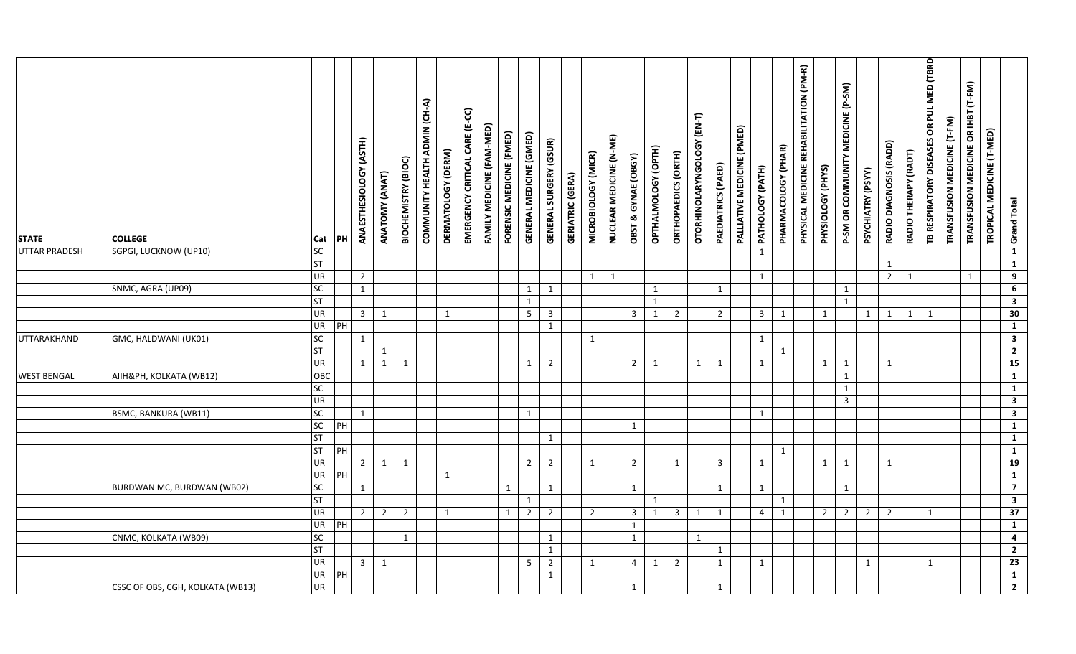| <b>STATE</b>       | <b>COLLEGE</b>                   | Cat                          | PH | ANAESTHESIOLOGY (ASTH) | ANATOMY (ANAT) | BIOCHEMISTRY (BIOC) | COMMUNITY HEALTH ADMIN (CH-A) | DERMATOLOGY (DERM) | EMERGENCY CRITICAL CARE (E-CC) | FAMILY MEDICINE (FAM-MED) | FORENSIC MEDICINE (FMED) | GENERAL MEDICINE (GMED) | <b>GENERAL SURGERY (GSUR)</b> | <b>GERIATRIC (GERA)</b> | MICROBIOLOGY (MICR) | NUCLEAR MEDICINE (N-ME) | OBST & GYNAE (OBGY) | OPTHALMOLOGY (OPTH) | ORTHOPAEDICS (ORTH) | OTORHINOLARYNGOLOGY (EN-T) | PAEDIATRICS (PAED) | PALLIATIVE MEDICINE (PMED) | PATHOLOGY (PATH)        | PHARMACOLOGY (PHAR) | PHYSICAL MEDICINE REHABILITATION (PM-R) | PHYSIOLOGY (PHYS) | P-SM OR COMMUNITY MEDICINE (P-SM) | PSYCHIATRY (PSYY) | RADIO DIAGNOSIS (RADD) | RADIO THERAPY (RADT) | TB RESPIRATORY DISEASES OR PUL MED (TBRD | TRANSFUSION MEDICINE (T-FM) | TRANSFUSION MEDICINE OR IHBT (T-FM) | TROPICAL MEDICINE (T-MED) | <b>Grand Total</b>                |
|--------------------|----------------------------------|------------------------------|----|------------------------|----------------|---------------------|-------------------------------|--------------------|--------------------------------|---------------------------|--------------------------|-------------------------|-------------------------------|-------------------------|---------------------|-------------------------|---------------------|---------------------|---------------------|----------------------------|--------------------|----------------------------|-------------------------|---------------------|-----------------------------------------|-------------------|-----------------------------------|-------------------|------------------------|----------------------|------------------------------------------|-----------------------------|-------------------------------------|---------------------------|-----------------------------------|
| UTTAR PRADESH      | SGPGI, LUCKNOW (UP10)            | SC <sub>1</sub><br><b>ST</b> |    |                        |                |                     |                               |                    |                                |                           |                          |                         |                               |                         |                     |                         |                     |                     |                     |                            |                    |                            | $\mathbf{1}$            |                     |                                         |                   |                                   |                   | $\mathbf{1}$           |                      |                                          |                             |                                     |                           | $\mathbf{1}$<br>$\mathbf{1}$      |
|                    |                                  | <b>UR</b>                    |    | $\overline{2}$         |                |                     |                               |                    |                                |                           |                          |                         |                               |                         | 1                   | 1                       |                     |                     |                     |                            |                    |                            | $\mathbf{1}$            |                     |                                         |                   |                                   |                   | $\overline{2}$         | 1                    |                                          |                             | $\mathbf{1}$                        |                           | $\overline{9}$                    |
|                    | SNMC, AGRA (UP09)                | <b>SC</b>                    |    | $\mathbf{1}$           |                |                     |                               |                    |                                |                           |                          | $\mathbf{1}$            | 1                             |                         |                     |                         |                     | $\mathbf{1}$        |                     |                            | 1                  |                            |                         |                     |                                         |                   | $\mathbf{1}$                      |                   |                        |                      |                                          |                             |                                     |                           | 6                                 |
|                    |                                  | <b>ST</b>                    |    |                        |                |                     |                               |                    |                                |                           |                          | $\mathbf{1}$            |                               |                         |                     |                         |                     | $\mathbf{1}$        |                     |                            |                    |                            |                         |                     |                                         |                   | $\mathbf{1}$                      |                   |                        |                      |                                          |                             |                                     |                           | $\overline{\mathbf{a}}$           |
|                    |                                  | <b>UR</b>                    |    | $3 \mid 1$             |                |                     |                               | $\mathbf{1}$       |                                |                           |                          | 5 <sub>1</sub>          | $\overline{3}$                |                         |                     |                         | $\overline{3}$      | $\mathbf{1}$        | $\overline{2}$      |                            | $\overline{2}$     |                            | $\overline{\mathbf{3}}$ | 1                   |                                         | 1                 |                                   | $\mathbf{1}$      | $\mathbf{1}$           | $\mathbf{1}$         | 1                                        |                             |                                     |                           | 30                                |
|                    |                                  | <b>UR</b>                    | PH |                        |                |                     |                               |                    |                                |                           |                          |                         | $\mathbf{1}$                  |                         |                     |                         |                     |                     |                     |                            |                    |                            |                         |                     |                                         |                   |                                   |                   |                        |                      |                                          |                             |                                     |                           | $\mathbf{1}$                      |
| UTTARAKHAND        | GMC, HALDWANI (UK01)             | <b>SC</b>                    |    | 1                      |                |                     |                               |                    |                                |                           |                          |                         |                               |                         | 1                   |                         |                     |                     |                     |                            |                    |                            | 1                       |                     |                                         |                   |                                   |                   |                        |                      |                                          |                             |                                     |                           | $\overline{\mathbf{3}}$           |
|                    |                                  | ST<br>UR                     |    |                        | $\mathbf{1}$   |                     |                               |                    |                                |                           |                          |                         |                               |                         |                     |                         |                     |                     |                     | $\mathbf{1}$               |                    |                            | 1                       | 1                   |                                         | 1                 | 1                                 |                   |                        |                      |                                          |                             |                                     |                           | $\overline{2}$<br>$\overline{15}$ |
| <b>WEST BENGAL</b> | AIIH&PH, KOLKATA (WB12)          | OBC                          |    | 1                      | $\mathbf{1}$   | $\mathbf{1}$        |                               |                    |                                |                           |                          | 1                       | $\overline{2}$                |                         |                     |                         | $\overline{2}$      | $\mathbf{1}$        |                     |                            | $\mathbf{1}$       |                            |                         |                     |                                         |                   | 1                                 |                   | $\mathbf{1}$           |                      |                                          |                             |                                     |                           | $\mathbf{1}$                      |
|                    |                                  | SC <sub>1</sub>              |    |                        |                |                     |                               |                    |                                |                           |                          |                         |                               |                         |                     |                         |                     |                     |                     |                            |                    |                            |                         |                     |                                         |                   | $\mathbf{1}$                      |                   |                        |                      |                                          |                             |                                     |                           | $\overline{1}$                    |
|                    |                                  | UR                           |    |                        |                |                     |                               |                    |                                |                           |                          |                         |                               |                         |                     |                         |                     |                     |                     |                            |                    |                            |                         |                     |                                         |                   | $\overline{3}$                    |                   |                        |                      |                                          |                             |                                     |                           | $\overline{\mathbf{3}}$           |
|                    | BSMC, BANKURA (WB11)             | <b>SC</b>                    |    | $\mathbf{1}$           |                |                     |                               |                    |                                |                           |                          | $\mathbf{1}$            |                               |                         |                     |                         |                     |                     |                     |                            |                    |                            | $\mathbf{1}$            |                     |                                         |                   |                                   |                   |                        |                      |                                          |                             |                                     |                           | $\overline{\mathbf{a}}$           |
|                    |                                  | SC                           | PH |                        |                |                     |                               |                    |                                |                           |                          |                         |                               |                         |                     |                         | $\mathbf{1}$        |                     |                     |                            |                    |                            |                         |                     |                                         |                   |                                   |                   |                        |                      |                                          |                             |                                     |                           | $\overline{1}$                    |
|                    |                                  | <b>ST</b>                    |    |                        |                |                     |                               |                    |                                |                           |                          |                         | $\mathbf{1}$                  |                         |                     |                         |                     |                     |                     |                            |                    |                            |                         |                     |                                         |                   |                                   |                   |                        |                      |                                          |                             |                                     |                           | $\overline{1}$                    |
|                    |                                  | <b>ST</b>                    | PH |                        |                |                     |                               |                    |                                |                           |                          |                         |                               |                         |                     |                         |                     |                     |                     |                            |                    |                            |                         | 1                   |                                         |                   |                                   |                   |                        |                      |                                          |                             |                                     |                           | $\mathbf{1}$                      |
|                    |                                  | UR                           | PH | $2 \mid 1$             |                | $\mathbf{1}$        |                               |                    |                                |                           |                          | $\overline{2}$          | $\overline{2}$                |                         | $\mathbf{1}$        |                         | $\overline{2}$      |                     | $\mathbf{1}$        |                            | $\overline{3}$     |                            | $\mathbf{1}$            |                     |                                         | 1                 | 1                                 |                   | $\mathbf{1}$           |                      |                                          |                             |                                     |                           | 19<br>$\mathbf{1}$                |
|                    | BURDWAN MC, BURDWAN (WB02)       | UR<br><b>SC</b>              |    | $\mathbf{1}$           |                |                     |                               | $\mathbf{1}$       |                                |                           | $\mathbf{1}$             |                         | $\mathbf{1}$                  |                         |                     |                         | $\mathbf{1}$        |                     |                     |                            | $\mathbf{1}$       |                            | $\mathbf{1}$            |                     |                                         |                   | $\mathbf{1}$                      |                   |                        |                      |                                          |                             |                                     |                           | $\overline{7}$                    |
|                    |                                  | <b>ST</b>                    |    |                        |                |                     |                               |                    |                                |                           |                          | $\mathbf{1}$            |                               |                         |                     |                         |                     | $\mathbf{1}$        |                     |                            |                    |                            |                         | $\mathbf{1}$        |                                         |                   |                                   |                   |                        |                      |                                          |                             |                                     |                           | $\mathbf{3}$                      |
|                    |                                  | UR                           |    | $\overline{2}$         | $\overline{2}$ | $\overline{2}$      |                               | $\mathbf{1}$       |                                |                           | $\mathbf{1}$             | $\overline{2}$          | $\overline{2}$                |                         | $\overline{2}$      |                         | $\overline{3}$      | $\mathbf{1}$        | 3 <sup>7</sup>      | $\mathbf{1}$               | $\mathbf{1}$       |                            | $\overline{4}$          | 1                   |                                         | $\overline{2}$    | $\overline{2}$                    | $2^{\circ}$       | $\overline{2}$         |                      | $\mathbf{1}$                             |                             |                                     |                           | $\overline{37}$                   |
|                    |                                  | <b>UR</b>                    | PH |                        |                |                     |                               |                    |                                |                           |                          |                         |                               |                         |                     |                         | $\mathbf{1}$        |                     |                     |                            |                    |                            |                         |                     |                                         |                   |                                   |                   |                        |                      |                                          |                             |                                     |                           | $\mathbf{1}$                      |
|                    | CNMC, KOLKATA (WB09)             | <b>SC</b>                    |    |                        |                | $\mathbf{1}$        |                               |                    |                                |                           |                          |                         | 1                             |                         |                     |                         | 1                   |                     |                     | $\mathbf{1}$               |                    |                            |                         |                     |                                         |                   |                                   |                   |                        |                      |                                          |                             |                                     |                           | $\overline{\mathbf{4}}$           |
|                    |                                  | <b>ST</b>                    |    |                        |                |                     |                               |                    |                                |                           |                          |                         | $\mathbf{1}$                  |                         |                     |                         |                     |                     |                     |                            | 1                  |                            |                         |                     |                                         |                   |                                   |                   |                        |                      |                                          |                             |                                     |                           | $\overline{2}$                    |
|                    |                                  | UR                           |    | $\overline{3}$         | 1              |                     |                               |                    |                                |                           |                          | $5\phantom{.}$          | $\overline{2}$                |                         | 1                   |                         | 4                   | $\mathbf{1}$        | $\overline{2}$      |                            | $\mathbf{1}$       |                            | 1                       |                     |                                         |                   |                                   | 1                 |                        |                      | $\mathbf{1}$                             |                             |                                     |                           | $\overline{23}$                   |
|                    |                                  | <b>UR</b>                    | PH |                        |                |                     |                               |                    |                                |                           |                          |                         | 1                             |                         |                     |                         |                     |                     |                     |                            |                    |                            |                         |                     |                                         |                   |                                   |                   |                        |                      |                                          |                             |                                     |                           | $\mathbf{1}$                      |
|                    | CSSC OF OBS, CGH, KOLKATA (WB13) | <b>UR</b>                    |    |                        |                |                     |                               |                    |                                |                           |                          |                         |                               |                         |                     |                         | 1                   |                     |                     |                            | $\mathbf{1}$       |                            |                         |                     |                                         |                   |                                   |                   |                        |                      |                                          |                             |                                     |                           | $\overline{2}$                    |